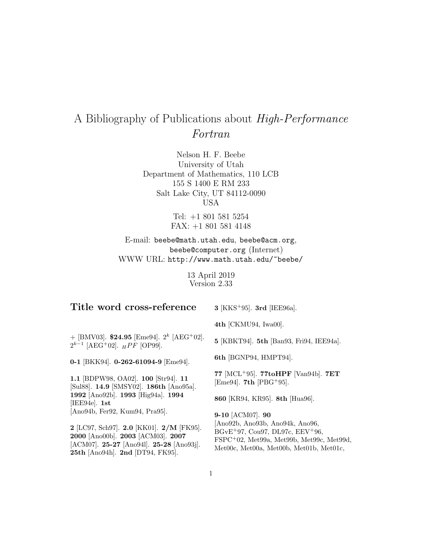# A Bibliography of Publications about High-Performance Fortran

Nelson H. F. Beebe University of Utah Department of Mathematics, 110 LCB 155 S 1400 E RM 233 Salt Lake City, UT 84112-0090 USA

> Tel: +1 801 581 5254 FAX: +1 801 581 4148

E-mail: beebe@math.utah.edu, beebe@acm.org, beebe@computer.org (Internet) WWW URL: http://www.math.utah.edu/~beebe/

> 13 April 2019 Version 2.33

| Title word cross-reference                                                                                                                                          | $3$ [KKS <sup>+</sup> 95]. $3rd$ [IEE96a].                                                                                                                  |
|---------------------------------------------------------------------------------------------------------------------------------------------------------------------|-------------------------------------------------------------------------------------------------------------------------------------------------------------|
|                                                                                                                                                                     | 4th $[CKMU94, Iwa00]$ .                                                                                                                                     |
| + [BMV03]. \$24.95 [Eme94]. $2^k$ [AEG <sup>+</sup> 02].<br>$2^{k-1}$ [AEG <sup>+</sup> 02]. $_{H}PF$ [OP99].                                                       | 5 [KBKT94]. 5th [Ban93, Fri94, IEE94a].                                                                                                                     |
| 0-1 [BKK94]. $0-262-61094-9$ [Eme94].                                                                                                                               | 6th [BGNP94, HMPT94].                                                                                                                                       |
| 1.1 [BDPW98, OA02]. 100 [Str94]. 11<br>[Sul88]. 14.9 [SMSY02]. 186th [Ano95a].<br>1992 [Ano92b]. 1993 [Hig94a]. 1994                                                | 77 [MCL <sup>+95]</sup> . 77toHPF [Van94b]. 7ET<br>[Eme94]. <b>7th</b> [PBG <sup>+</sup> 95].<br>860 [KR94, KR95]. 8th [Hua96].                             |
| [IEE94e]. $1st$<br>[Ano94b, Fer92, Kum94, Pra95].                                                                                                                   | $9-10$ [ACM07]. $90$                                                                                                                                        |
| $2$ [LC97, Sch97]. $2.0$ [KK01]. $2/M$ [FK95].<br>2000 [Ano00b]. 2003 [ACM03]. 2007<br>[ACM07]. 25-27 [Ano941]. 25-28 [Ano93j].<br>25th [Ano94h]. 2nd [DT94, FK95]. | [Ano92b, Ano93b, Ano94k, Ano96,<br>$BGvE+97$ , Cou97, DL97c, EEV+96,<br>FSPC+02, Met99a, Met99b, Met99c, Met99d,<br>Met00c, Met00a, Met00b, Met01b, Met01c, |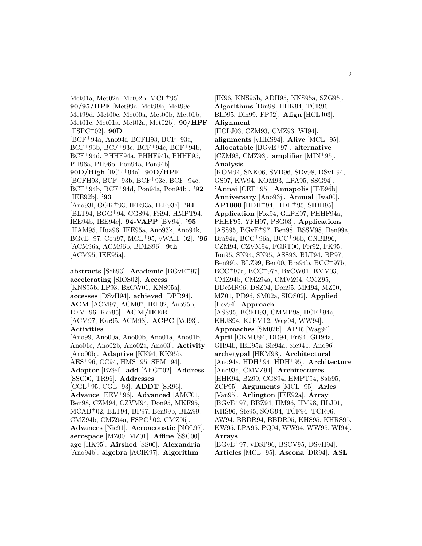Met $01a$ , Met $02a$ , Met $02b$ , MCL<sup>+</sup>95. **90/95/HPF** [Met99a, Met99b, Met99c, Met99d, Met00c, Met00a, Met00b, Met01b, Met01c, Met01a, Met02a, Met02b]. **90/HPF** [FSPC<sup>+</sup>02]. **90D** [BCF<sup>+</sup>94a, Ano94f, BCFH93, BCF<sup>+</sup>93a, BCF<sup>+</sup>93b, BCF<sup>+</sup>93c, BCF<sup>+</sup>94c, BCF<sup>+</sup>94b, BCF<sup>+</sup>94d, PHHF94a, PHHF94b, PHHF95, PH96a, PH96b, Pon94a, Pon94b]. **90D/High** [BCF<sup>+</sup>94a]. **90D/HPF** [BCFH93, BCF<sup>+</sup>93b, BCF<sup>+</sup>93c, BCF<sup>+</sup>94c, BCF<sup>+</sup>94b, BCF<sup>+</sup>94d, Pon94a, Pon94b]. **'92** [IEE92b]. **'93** [Ano93l, GGK<sup>+</sup>93, IEE93a, IEE93c]. **'94** [BLT94, BGG<sup>+</sup>94, CGS94, Fri94, HMPT94, IEE94b, IEE94e]. **94-VAPP** [BV94]. **'95** [HAM95, Hua96, IEE95a, Ano93k, Ano94k, BGvE<sup>+</sup>97, Cou97, MCL<sup>+</sup>95, vWAH<sup>+</sup>02]. **'96** [ACM96a, ACM96b, BDLS96]. **9th** [ACM95, IEE95a].

**abstracts** [Sch93]. **Academic** [BGvE<sup>+</sup>97]. **accelerating** [SIOS02]. **Access** [KNS95b, LP93, BxCW01, KNS95a]. **accesses** [DSvH94]. **achieved** [DPR94]. **ACM** [ACM97, ACM07, IEE02, Ano95b, EEV<sup>+</sup>96, Kar95]. **ACM/IEEE** [ACM97, Kar95, ACM98]. **ACPC** [Vol93]. **Activities** [Ano99, Ano00a, Ano00b, Ano01a, Ano01b, Ano01c, Ano02b, Ano02a, Ano03]. **Activity** [Ano00b]. **Adaptive** [KK94, KK95b, AES<sup>+</sup>96, CC94, HMS<sup>+</sup>95, SPM<sup>+</sup>94]. **Adaptor** [BZ94]. **add** [AEG<sup>+</sup>02]. **Address** [SSC00, TR96]. **Addresses** [CGL<sup>+</sup>95, CGL<sup>+</sup>93]. **ADDT** [SR96]. **Advance** [EEV<sup>+</sup>96]. **Advanced** [AMC01, Ben98, CZM94, CZVM94, Don95, MKF95, MCAB<sup>+</sup>02, BLT94, BP97, Ben99b, BLZ99, CMZ94b, CMZ94a, FSPC<sup>+</sup>02, CMZ95]. **Advances** [Nic91]. **Aeroacoustic** [NOL97]. **aerospace** [MZ00, MZ01]. **Affine** [SSC00]. **age** [HK95]. **Airshed** [SS00]. **Alexandria**

[Ano94b]. **algebra** [ACIK97]. **Algorithm**

[IK96, KNS95b, ADH95, KNS95a, SZG95]. **Algorithms** [Din98, HHK94, TCR96, BID95, Din99, FP92]. **Align** [HCLJ03]. **Alignment** [HCLJ03, CZM93, CMZ93, WI94]. **alignments** [vHKS94]. **Alive** [MCL<sup>+</sup>95]. **Allocatable** [BGvE<sup>+</sup>97]. **alternative** [CZM93, CMZ93]. **amplifier** [MIN<sup>+</sup>95]. **Analysis** [KOM94, SNK06, SVD96, SDv98, DSvH94, GS97, KW94, KOM93, LPA95, SSG94]. **'Annai** [CEF<sup>+</sup>95]. **Annapolis** [IEE96b]. **Anniversary** [Ano93j]. **Annual** [Iwa00]. **AP1000** [HDH<sup>+</sup>94, HDH<sup>+</sup>95, SIDH95]. **Application** [Fox94, GLPE97, PHHF94a, PHHF95, YFH97, PSG03]. **Applications** [ASS95, BGvE<sup>+</sup>97, Ben98, BSSV98, Ben99a, Bra94a, BCC<sup>+</sup>96a, BCC<sup>+</sup>96b, CNBB96, CZM94, CZVM94, FGRT00, Fer92, FK95, Jou95, SN94, SN95, ASS93, BLT94, BP97, Ben99b, BLZ99, Ben00, Bra94b, BCC<sup>+</sup>97b, BCC<sup>+</sup>97a, BCC<sup>+</sup>97c, BxCW01, BMV03, CMZ94b, CMZ94a, CMVZ94, CMZ95, DDcMR96, DSZ94, Don95, MM94, MZ00, MZ01, PD96, SM02a, SIOS02]. **Applied** [Lev94]. **Approach** [ASS95, BCFH93, CMMP98, BCF<sup>+</sup>94c, KHJS94, KJEM12, Wag94, WW94]. **Approaches** [SM02b]. **APR** [Wag94]. **April** [CKMU94, DR94, Fri94, GH94a, GH94b, IEE95a, Sie94a, Sie94b, Ano96]. **archetypal** [HKM98]. **Architectural** [Ano94a, HDH<sup>+</sup>94, HDH<sup>+</sup>95]. **Architecture** [Ano93a, CMVZ94]. **Architectures** [HHK94, BZ99, CGS94, HMPT94, Sab95, ZCP95]. **Arguments** [MCL<sup>+</sup>95]. **Arles** [Van95]. **Arlington** [IEE92a]. **Array** [BGvE<sup>+</sup>97, BBZ94, HM96, HM98, HLJ01, KHS96, Ste95, SOG94, TCF94, TCR96, AW94, BBDR94, BBDR95, KHS95, KHRS95, KW95, LPA95, PQ94, WW94, WW95, WI94]. **Arrays** [BGvE<sup>+</sup>97, vDSP96, BSCV95, DSvH94]. **Articles** [MCL<sup>+</sup>95]. **Ascona** [DR94]. **ASL**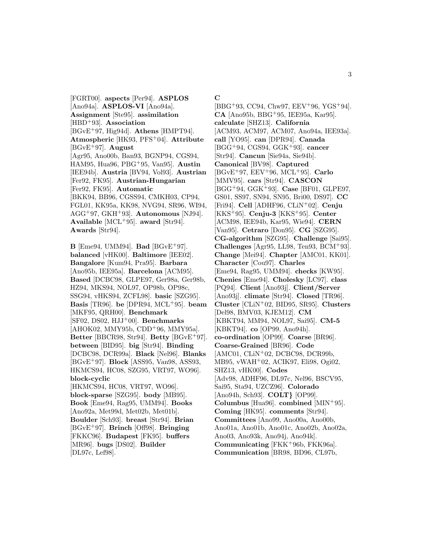[FGRT00]. **aspects** [Per94]. **ASPLOS** [Ano94a]. **ASPLOS-VI** [Ano94a]. **Assignment** [Ste95]. **assimilation** [HBD<sup>+</sup>93]. **Association** [BGvE<sup>+</sup>97, Hig94d]. **Athens** [HMPT94]. **Atmospheric** [HK93, PFS<sup>+</sup>04]. **Attribute** [BGvE<sup>+</sup>97]. **August** [Agr95, Ano00b, Ban93, BGNP94, CGS94, HAM95, Hua96, PBG<sup>+</sup>95, Van95]. **Austin** [IEE94b]. **Austria** [BV94, Vol93]. **Austrian** [Fer92, FK95]. **Austrian-Hungarian** [Fer92, FK95]. **Automatic** [BKK94, BB96, CGSS94, CMKH03, CP94, FGL01, KK95a, KK98, NVG94, SR96, WI94, AGG<sup>+</sup>97, GKH<sup>+</sup>93]. **Autonomous** [NJ94]. **Available** [MCL<sup>+</sup>95]. **award** [Str94]. **Awards** [Str94].

**B** [Eme94, UMM94]. **Bad** [BGvE<sup>+</sup>97]. **balanced** [vHK00]. **Baltimore** [IEE02]. **Bangalore** [Kum94, Pra95]. **Barbara** [Ano95b, IEE95a]. **Barcelona** [ACM95]. **Based** [DCBC98, GLPE97, Ger98a, Ger98b, HZ94, MKS94, NOL97, OP98b, OP98c, SSG94, vHKS94, ZCFL98]. **basic** [SZG95]. **Basis** [TR96]. **be** [DPR94, MCL<sup>+</sup>95]. **beam** [MKF95, QRH00]. **Benchmark** [SF02, DS02, HJJ<sup>+</sup>00]. **Benchmarks** [AHOK02, MMY95b, CDD<sup>+</sup>96, MMY95a]. **Better** [BBCR98, Str94]. **Betty** [BGvE<sup>+</sup>97]. **between** [BID95]. **big** [Str94]. **Binding** [DCBC98, DCR99a]. **Black** [Nel96]. **Blanks** [BGvE<sup>+</sup>97]. **Block** [ASS95, Van98, ASS93, HKMCS94, HC08, SZG95, VRT97, WO96]. **block-cyclic** [HKMCS94, HC08, VRT97, WO96]. **block-sparse** [SZG95]. **body** [MB95]. **Book** [Eme94, Rag95, UMM94]. **Books**

[Ano92a, Met99d, Met02b, Met01b]. **Boulder** [Sch93]. **breast** [Str94]. **Brian** [BGvE<sup>+</sup>97]. **Brinch** [Off98]. **Bringing** [FKKC96]. **Budapest** [FK95]. **buffers** [MR96]. **bugs** [DS02]. **Builder** [DL97c, Lef98].

**C**

[BBG<sup>+</sup>93, CC94, Chw97, EEV<sup>+</sup>96, YGS<sup>+</sup>94]. **CA** [Ano95b, BBG<sup>+</sup>95, IEE95a, Kar95]. **calculate** [SHZ13]. **California** [ACM93, ACM97, ACM07, Ano94a, IEE93a]. **call** [YO95]. **can** [DPR94]. **Canada** [BGG<sup>+</sup>94, CGS94, GGK<sup>+</sup>93]. **cancer** [Str94]. **Cancun** [Sie94a, Sie94b]. **Canonical** [BV98]. **Captured** [BGvE<sup>+</sup>97, EEV<sup>+</sup>96, MCL<sup>+</sup>95]. **Carlo** [MMV95]. **cars** [Str94]. **CASCON** [BGG<sup>+</sup>94, GGK<sup>+</sup>93]. **Case** [BF01, GLPE97, GS01, SS97, SN94, SN95, Bri00, DS97]. **CC** [Fri94]. **Cell** [ADHF96, CLiN<sup>+</sup>02]. **Cenju** [KKS<sup>+</sup>95]. **Cenju-3** [KKS<sup>+</sup>95]. **Center** [ACM98, IEE94b, Kar95, Wie94]. **CERN** [Van95]. **Cetraro** [Don95]. **CG** [SZG95]. **CG-algorithm** [SZG95]. **Challenge** [Sai95]. **Challenges** [Agr95, LL98, Ten93, BCM<sup>+</sup>93]. **Change** [Mei94]. **Chapter** [AMC01, KK01]. **Character** [Cou97]. **Charles** [Eme94, Rag95, UMM94]. **checks** [KW95]. **Chenies** [Eme94]. **Cholesky** [LC97]. **class** [PQ94]. **Client** [Ano93j]. **Client/Server** [Ano93j]. **climate** [Str94]. **Closed** [TR96]. **Cluster** [CLiN<sup>+</sup>02, BID95, SR95]. **Clusters** [Del98, BMV03, KJEM12]. **CM** [KBKT94, MM94, NOL97, Sai95]. **CM-5** [KBKT94]. **co** [OP99, Ano94h]. **co-ordination** [OP99]. **Coarse** [BR96]. **Coarse-Grained** [BR96]. **Code** [AMC01, CLiN<sup>+</sup>02, DCBC98, DCR99b, MB95, vWAH<sup>+</sup>02, ACIK97, Eli98, Ogi02, SHZ13, vHK00]. **Codes** [Adv98, ADHF96, DL97c, Nel96, BSCV95, Sai95, Sta94, UZCZ96]. **Colorado** [Ano94h, Sch93]. **COLT***}* [OP99]. **Columbus** [Hua96]. **combined** [MIN<sup>+</sup>95]. **Coming** [HK95]. **comments** [Str94]. **Committees** [Ano99, Ano00a, Ano00b, Ano01a, Ano01b, Ano01c, Ano02b, Ano02a, Ano03, Ano93k, Ano94j, Ano94k]. **Communicating** [FKK<sup>+</sup>96b, FKK96a]. **Communication** [BR98, BD96, CL97b,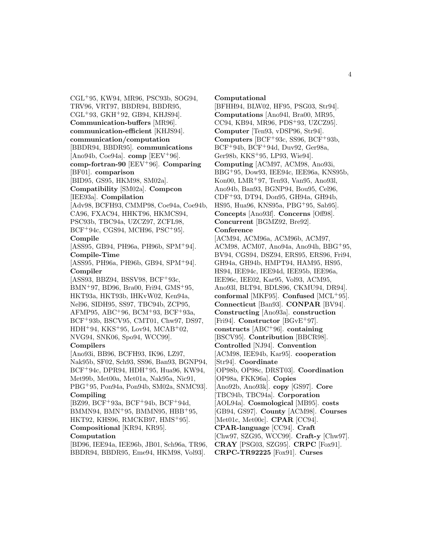CGL<sup>+</sup>95, KW94, MR96, PSC93b, SOG94, TRV96, VRT97, BBDR94, BBDR95,  $CGL+93$ ,  $GKH+92$ ,  $GB94$ ,  $KHJS94$ . **Communication-buffers** [MR96]. **communication-efficient** [KHJS94]. **communication/computation** [BBDR94, BBDR95]. **communications** [Ano94b, Coe94a]. **comp** [EEV<sup>+</sup>96]. **comp-fortran-90** [EEV<sup>+</sup>96]. **Comparing** [BF01]. **comparison** [BID95, GS95, HKM98, SM02a]. **Compatibility** [SM02a]. **Compcon** [IEE93a]. **Compilation** [Adv98, BCFH93, CMMP98, Coe94a, Coe94b, CA96, FXAC94, HHKT96, HKMCS94, PSC93b, TBC94a, UZCZ97, ZCFL98, BCF<sup>+</sup>94c, CGS94, MCH96, PSC<sup>+</sup>95]. **Compile** [ASS95, GB94, PH96a, PH96b, SPM<sup>+</sup>94]. **Compile-Time** [ASS95, PH96a, PH96b, GB94, SPM<sup>+</sup>94]. **Compiler** [ASS93, BBZ94, BSSV98, BCF<sup>+</sup>93c, BMN<sup>+</sup>97, BD96, Bra00, Fri94, GMS<sup>+</sup>95, HKT93a, HKT93b, IHKvW02, Ken94a, Nel96, SIDH95, SS97, TBC94b, ZCP95, AFMP95, ABC<sup>+</sup>96, BCM<sup>+</sup>93, BCF<sup>+</sup>93a, BCF<sup>+</sup>93b, BSCV95, CMT01, Chw97, DS97, HDH<sup>+</sup>94, KKS<sup>+</sup>95, Lov94, MCAB<sup>+</sup>02, NVG94, SNK06, Spo94, WCC99]. **Compilers** [Ano93i, BB96, BCFH93, IK96, LZ97, Nak95b, SF02, Sch93, SS96, Ban93, BGNP94, BCF<sup>+</sup>94c, DPR94, HDH<sup>+</sup>95, Hua96, KW94, Met99b, Met00a, Met01a, Nak95a, Nic91, PBG<sup>+</sup>95, Pon94a, Pon94b, SM02a, SNMC93]. **Compiling** [BZ99, BCF<sup>+</sup>93a, BCF<sup>+</sup>94b, BCF<sup>+</sup>94d, BMMN94, BMN<sup>+</sup>95, BMMN95, HBB<sup>+</sup>95, HKT92, KHS96, RMCKB97, HMS<sup>+</sup>95]. **Compositional** [KR94, KR95]. **Computation**

[BD96, IEE94a, IEE96b, JB01, Sch96a, TR96, BBDR94, BBDR95, Eme94, HKM98, Vol93].

**Computational**

[BFHH94, BLW02, HF95, PSG03, Str94]. **Computations** [Ano94l, Bra00, MR95, CC94, KB94, MR96, PDS<sup>+</sup>93, UZCZ95]. **Computer** [Ten93, vDSP96, Str94]. **Computers** [BCF<sup>+</sup>93c, SS96, BCF<sup>+</sup>93b, BCF<sup>+</sup>94b, BCF<sup>+</sup>94d, Duv92, Ger98a, Ger98b, KKS<sup>+</sup>95, LP93, Wie94]. **Computing** [ACM97, ACM98, Ano93i, BBG<sup>+</sup>95, Dow93, IEE94c, IEE96a, KNS95b, Kon00, LMR<sup>+</sup>97, Ten93, Van95, Ano93l, Ano94b, Ban93, BGNP94, Bou95, Cel96, CDF<sup>+</sup>93, DT94, Don95, GH94a, GH94b, HS95, Hua96, KNS95a, PBG<sup>+</sup>95, Sab95]. **Concepts** [Ano93f]. **Concerns** [Off98]. **Concurrent** [BGMZ92, Bre92].

#### **Conference**

[ACM94, ACM96a, ACM96b, ACM97, ACM98, ACM07, Ano94a, Ano94h, BBG<sup>+</sup>95, BV94, CGS94, DSZ94, ERS95, ERS96, Fri94, GH94a, GH94b, HMPT94, HAM95, HS95, HS94, IEE94c, IEE94d, IEE95b, IEE96a, IEE96c, IEE02, Kar95, Vol93, ACM95, Ano93l, BLT94, BDLS96, CKMU94, DR94]. **conformal** [MKF95]. **Confused** [MCL<sup>+</sup>95]. **Connecticut** [Ban93]. **CONPAR** [BV94]. **Constructing** [Ano93a]. **construction** [Fri94]. **Constructor** [BGvE<sup>+</sup>97]. **constructs** [ABC<sup>+</sup>96]. **containing** [BSCV95]. **Contribution** [BBCR98]. **Controlled** [NJ94]. **Convention** [ACM98, IEE94b, Kar95]. **cooperation** [Str94]. **Coordinate** [OP98b, OP98c, DRST03]. **Coordination** [OP98a, FKK96a]. **Copies** [Ano92b, Ano93k]. **copy** [GS97]. **Core** [TBC94b, TBC94a]. **Corporation** [AOL94a]. **Cosmological** [MB95]. **costs** [GB94, GS97]. **County** [ACM98]. **Courses** [Met01c, Met00c]. **CPAR** [CC94]. **CPAR-language** [CC94]. **Craft** [Chw97, SZG95, WCC99]. **Craft-y** [Chw97]. **CRAY** [PSG03, SZG95]. **CRPC** [Fox91]. **CRPC-TR92225** [Fox91]. **Curses**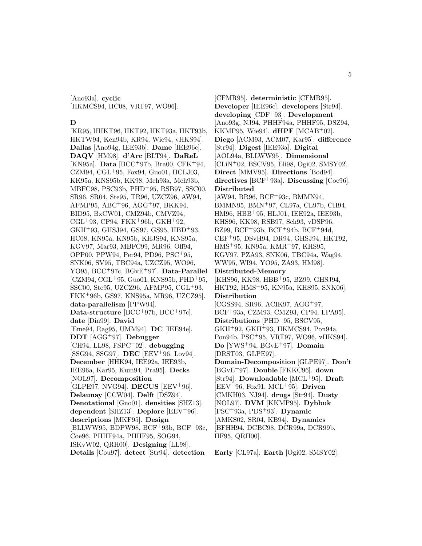[Ano93a]. **cyclic** [HKMCS94, HC08, VRT97, WO96].

#### **D**

[KR95, HHKT96, HKT92, HKT93a, HKT93b, HKTW94, Ken94b, KR94, Wie94, vHKS94]. **Dallas** [Ano94g, IEE93b]. **Dame** [IEE96c]. **DAQV** [HM98]. **d'Arc** [BLT94]. **DaReL** [KN95a]. **Data** [BCC<sup>+</sup>97b, Bra00, CFK<sup>+</sup>94, CZM94, CGL<sup>+</sup>95, Fox94, Guo01, HCLJ03, KK95a, KNS95b, KK98, Meh93a, Meh93b, MBFC98, PSC93b, PHD<sup>+</sup>95, RSB97, SSC00, SR96, SR04, Ste95, TR96, UZCZ96, AW94, AFMP95, ABC<sup>+</sup>96, AGG<sup>+</sup>97, BKK94, BID95, BxCW01, CMZ94b, CMVZ94,  $CGL+93$ , CP94, FKK+96b, GKH+92, GKH<sup>+</sup>93, GHSJ94, GS97, GS95, HBD<sup>+</sup>93, HC08, KN95a, KN95b, KHJS94, KNS95a, KGV97, Mar93, MBFC99, MR96, Off94, OPP00, PPW94, Per94, PD96, PSC<sup>+</sup>95, SNK06, SV95, TBC94a, UZCZ95, WO96, YO95, BCC<sup>+</sup>97c, BGvE<sup>+</sup>97]. **Data-Parallel** [CZM94, CGL<sup>+</sup>95, Guo01, KNS95b, PHD<sup>+</sup>95, SSC00, Ste95, UZCZ96, AFMP95, CGL<sup>+</sup>93, FKK<sup>+</sup>96b, GS97, KNS95a, MR96, UZCZ95]. **data-parallelism** [PPW94]. **Data-structure** [BCC<sup>+</sup>97b, BCC<sup>+</sup>97c]. **date** [Din99]. **David** [Eme94, Rag95, UMM94]. **DC** [IEE94e]. **DDT** [AGG<sup>+</sup>97]. **Debugger** [CH94, LL98, FSPC<sup>+</sup>02]. **debugging** [SSG94, SSG97]. **DEC** [EEV<sup>+</sup>96, Lov94]. **December** [HHK94, IEE92a, IEE93b, IEE96a, Kar95, Kum94, Pra95]. **Decks** [NOL97]. **Decomposition** [GLPE97, NVG94]. **DECUS** [EEV<sup>+</sup>96]. **Delaunay** [CCW04]. **Delft** [DSZ94]. **Denotational** [Guo01]. **densities** [SHZ13]. **dependent** [SHZ13]. **Deplore** [EEV<sup>+</sup>96]. **descriptions** [MKF95]. **Design** [BLLWW95, BDPW98, BCF<sup>+</sup>93b, BCF<sup>+</sup>93c, Coe96, PHHF94a, PHHF95, SOG94, ISKvW02, QRH00]. **Designing** [LL98]. **Details** [Cou97]. **detect** [Str94]. **detection**

[CFMR95]. **deterministic** [CFMR95]. **Developer** [IEE96c]. **developers** [Str94]. **developing** [CDF<sup>+</sup>93]. **Development** [Ano93g, NJ94, PHHF94a, PHHF95, DSZ94, KKMP95, Wie94]. **dHPF** [MCAB<sup>+</sup>02]. **Diego** [ACM93, ACM07, Kar95]. **difference** [Str94]. **Digest** [IEE93a]. **Digital** [AOL94a, BLLWW95]. **Dimensional** [CLiN<sup>+</sup>02, BSCV95, Eli98, Ogi02, SMSY02]. **Direct** [MMV95]. **Directions** [Bod94]. **directives** [BCF<sup>+</sup>93a]. **Discussing** [Coe96]. **Distributed** [AW94, BR96, BCF<sup>+</sup>93c, BMMN94, BMMN95, BMN<sup>+</sup>97, CL97a, CL97b, CH94, HM96, HBB<sup>+</sup>95, HLJ01, IEE92a, IEE93b, KHS96, KK98, RSB97, Sch93, vDSP96, BZ99, BCF<sup>+</sup>93b, BCF<sup>+</sup>94b, BCF<sup>+</sup>94d, CEF<sup>+</sup>95, DSvH94, DR94, GHSJ94, HKT92, HMS<sup>+</sup>95, KN95a, KMR<sup>+</sup>97, KHS95, KGV97, PZA93, SNK06, TBC94a, Wag94, WW95, WI94, YO95, ZA93, HM98]. **Distributed-Memory** [KHS96, KK98, HBB<sup>+</sup>95, BZ99, GHSJ94, HKT92, HMS<sup>+</sup>95, KN95a, KHS95, SNK06]. **Distribution** [CGSS94, SR96, ACIK97, AGG<sup>+</sup>97, BCF<sup>+</sup>93a, CZM93, CMZ93, CP94, LPA95]. **Distributions** [PHD<sup>+</sup>95, BSCV95, GKH<sup>+</sup>92, GKH<sup>+</sup>93, HKMCS94, Pon94a, Pon94b, PSC<sup>+</sup>95, VRT97, WO96, vHKS94]. **Do** [YWS<sup>+</sup>94, BGvE<sup>+</sup>97]. **Domain** [DRST03, GLPE97]. **Domain-Decomposition** [GLPE97]. **Don't** [BGvE<sup>+</sup>97]. **Double** [FKKC96]. **down** [Str94]. **Downloadable** [MCL<sup>+</sup>95]. **Draft** [EEV<sup>+</sup>96, Fox91, MCL<sup>+</sup>95]. **Driven** [CMKH03, NJ94]. **drugs** [Str94]. **Dusty** [NOL97]. **DVM** [KKMP95]. **Dybbuk** [PSC<sup>+</sup>93a, PDS<sup>+</sup>93]. **Dynamic** [AMKS02, SR04, KB94]. **Dynamics** [BFHH94, DCBC98, DCR99a, DCR99b, HF95, QRH00].

**Early** [CL97a]. **Earth** [Ogi02, SMSY02].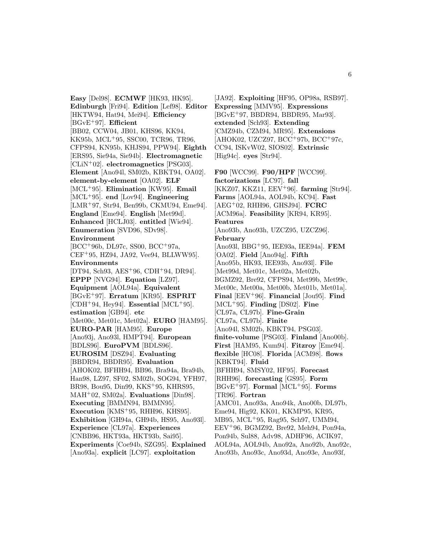**Easy** [Del98]. **ECMWF** [HK93, HK95]. **Edinburgh** [Fri94]. **Edition** [Lef98]. **Editor** [HKTW94, Hat94, Mei94]. **Efficiency** [BGvE<sup>+</sup>97]. **Efficient** [BB02, CCW04, JB01, KHS96, KK94, KK95b, MCL<sup>+</sup>95, SSC00, TCR96, TR96, CFPS94, KN95b, KHJS94, PPW94]. **Eighth** [ERS95, Sie94a, Sie94b]. **Electromagnetic** [CLiN<sup>+</sup>02]. **electromagnetics** [PSG03]. **Element** [Ano94l, SM02b, KBKT94, OA02]. **element-by-element** [OA02]. **ELF** [MCL<sup>+</sup>95]. **Elimination** [KW95]. **Email** [MCL<sup>+</sup>95]. **end** [Lov94]. **Engineering** [LMR<sup>+</sup>97, Str94, Ben99b, CKMU94, Eme94]. **England** [Eme94]. **English** [Met99d]. **Enhanced** [HCLJ03]. **entitled** [Wie94]. **Enumeration** [SVD96, SDv98]. **Environment** [BCC<sup>+</sup>96b, DL97c, SS00, BCC<sup>+</sup>97a, CEF<sup>+</sup>95, HZ94, JA92, Vee94, BLLWW95]. **Environments** [DT94, Sch93, AES<sup>+</sup>96, CDH<sup>+</sup>94, DR94]. **EPPP** [NVG94]. **Equation** [LZ97]. **Equipment** [AOL94a]. **Equivalent** [BGvE<sup>+</sup>97]. **Erratum** [KR95]. **ESPRIT**  $[CDH<sup>+</sup>94, Hey94]$ . **Essential**  $[MCL<sup>+</sup>95]$ . **estimation** [GB94]. **etc** [Met00c, Met01c, Met02a]. **EURO** [HAM95]. **EURO-PAR** [HAM95]. **Europe** [Ano93j, Ano93l, HMPT94]. **European** [BDLS96]. **EuroPVM** [BDLS96]. **EUROSIM** [DSZ94]. **Evaluating** [BBDR94, BBDR95]. **Evaluation** [AHOK02, BFHH94, BB96, Bra94a, Bra94b, Han98, LZ97, SF02, SM02b, SOG94, YFH97, BR98, Bou95, Din99, KKS<sup>+</sup>95, KHRS95, MAH<sup>+</sup>02, SM02a]. **Evaluations** [Din98]. **Executing** [BMMN94, BMMN95]. **Execution** [KMS<sup>+</sup>95, RHH96, KHS95]. **Exhibition** [GH94a, GH94b, HS95, Ano93l]. **Experience** [CL97a]. **Experiences** [CNBB96, HKT93a, HKT93b, Sai95]. **Experiments** [Coe94b, SZG95]. **Explained**

[Ano93a]. **explicit** [LC97]. **exploitation**

[JA92]. **Exploiting** [HF95, OP98a, RSB97]. **Expressing** [MMV95]. **Expressions** [BGvE<sup>+</sup>97, BBDR94, BBDR95, Mar93]. **extended** [Sch93]. **Extending** [CMZ94b, CZM94, MR95]. **Extensions** [AHOK02, UZCZ97, BCC<sup>+</sup>97b, BCC<sup>+</sup>97c, CC94, ISKvW02, SIOS02]. **Extrinsic** [Hig94c]. **eyes** [Str94].

**F90** [WCC99]. **F90/HPF** [WCC99]. **factorizations** [LC97]. **fall** [KKZ07, KKZ11, EEV<sup>+</sup>96]. **farming** [Str94]. **Farms** [AOL94a, AOL94b, KC94]. **Fast** [AEG<sup>+</sup>02, RHH96, GHSJ94]. **FCRC** [ACM96a]. **Feasibility** [KR94, KR95]. **Features** [Ano93b, Ano93h, UZCZ95, UZCZ96]. **February** [Ano93l, BBG<sup>+</sup>95, IEE93a, IEE94a]. **FEM** [OA02]. **Field** [Ano94g]. **Fifth** [Ano95b, HK93, IEE93b, Ano93l]. **File** [Met99d, Met01c, Met02a, Met02b, BGMZ92, Bre92, CFPS94, Met99b, Met99c, Met00c, Met00a, Met00b, Met01b, Met01a]. **Final** [EEV<sup>+</sup>96]. **Financial** [Jou95]. **Find** [MCL<sup>+</sup>95]. **Finding** [DS02]. **Fine** [CL97a, CL97b]. **Fine-Grain** [CL97a, CL97b]. **Finite** [Ano94l, SM02b, KBKT94, PSG03]. **finite-volume** [PSG03]. **Finland** [Ano00b]. **First** [HAM95, Kum94]. **Fitzroy** [Eme94]. **flexible** [HC08]. **Florida** [ACM98]. **flows** [KBKT94]. **Fluid** [BFHH94, SMSY02, HF95]. **Forecast** [RHH96]. **forecasting** [GS95]. **Form** [BGvE<sup>+</sup>97]. **Formal** [MCL<sup>+</sup>95]. **Forms** [TR96]. **Fortran** [AMC01, Ano93a, Ano94k, Ano00b, DL97b, Eme94, Hig92, KK01, KKMP95, KR95, MB95, MCL<sup>+</sup>95, Rag95, Sch97, UMM94, EEV<sup>+</sup>96, BGMZ92, Bre92, Meh94, Pon94a, Pon94b, Sul88, Adv98, ADHF96, ACIK97, AOL94a, AOL94b, Ano92a, Ano92b, Ano92c, Ano93b, Ano93c, Ano93d, Ano93e, Ano93f,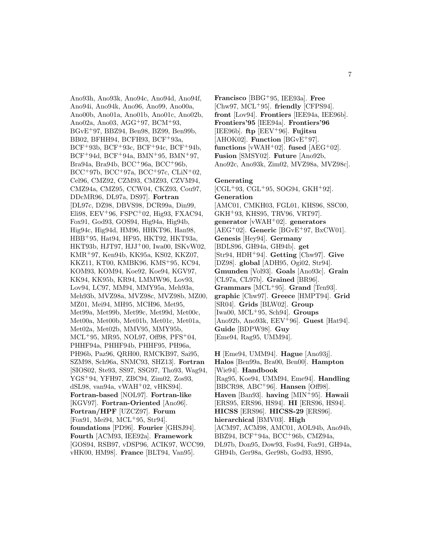Ano93h, Ano93k, Ano94c, Ano94d, Ano94f, Ano94i, Ano94k, Ano96, Ano99, Ano00a, Ano00b, Ano01a, Ano01b, Ano01c, Ano02b, Ano02a, Ano03, AGG<sup>+</sup>97, BCM<sup>+</sup>93, BGvE<sup>+</sup>97, BBZ94, Ben98, BZ99, Ben99b, BB02, BFHH94, BCFH93, BCF<sup>+</sup>93a, BCF<sup>+</sup>93b, BCF<sup>+</sup>93c, BCF<sup>+</sup>94c, BCF<sup>+</sup>94b,  $BCF+94d, BCF+94a, BMN+95, BMN+97,$ Bra94a, Bra94b, BCC<sup>+</sup>96a, BCC<sup>+</sup>96b, BCC<sup>+</sup>97b, BCC<sup>+</sup>97a, BCC<sup>+</sup>97c, CLiN<sup>+</sup>02, Cel96, CMZ92, CZM93, CMZ93, CZVM94, CMZ94a, CMZ95, CCW04, CKZ93, Cou97, DDcMR96, DL97a, DS97]. **Fortran** [DL97c, DZ98, DBVS98, DCR99a, Din99, Eli98, EEV<sup>+</sup>96, FSPC<sup>+</sup>02, Hig93, FXAC94, Fox91, God93, GOS94, Hig94a, Hig94b, Hig94c, Hig94d, HM96, HHKT96, Han98, HBB<sup>+</sup>95, Hat94, HF95, HKT92, HKT93a, HKT93b, HJT97, HJJ<sup>+</sup>00, Iwa00, ISKvW02, KMR<sup>+</sup>97, Ken94b, KK95a, KS02, KKZ07, KKZ11, KT00, KMBK96, KMS<sup>+</sup>95, KC94, KOM93, KOM94, Koe92, Koe94, KGV97, KK94, KK95b, KR94, LMMW96, Lov93, Lov94, LC97, MM94, MMY95a, Meh93a, Meh93b, MVZ98a, MVZ98c, MVZ98b, MZ00, MZ01, Mei94, MH95, MCH96, Met95, Met99a, Met99b, Met99c, Met99d, Met00c, Met00a, Met00b, Met01b, Met01c, Met01a, Met02a, Met02b, MMV95, MMY95b, MCL<sup>+</sup>95, MR95, NOL97, Off98, PFS<sup>+</sup>04, PHHF94a, PHHF94b, PHHF95, PH96a, PH96b, Paz96, QRH00, RMCKB97, Sai95, SZM98, Sch96a, SNMC93, SHZ13]. **Fortran** [SIOS02, Ste93, SS97, SSG97, Tho93, Wag94, YGS<sup>+</sup>94, YFH97, ZBC94, Zim02, Zos93, dSL98, van94a, vWAH<sup>+</sup>02, vHKS94]. **Fortran-based** [NOL97]. **Fortran-like** [KGV97]. **Fortran-Oriented** [Ano96]. **Fortran/HPF** [UZCZ97]. **Forum** [Fox91, Mei94, MCL<sup>+</sup>95, Str94]. **foundations** [PD96]. **Fourier** [GHSJ94]. **Fourth** [ACM93, IEE92a]. **Framework** [GOS94, RSB97, vDSP96, ACIK97, WCC99, vHK00, HM98]. **France** [BLT94, Van95].

**Francisco** [BBG<sup>+</sup>95, IEE93a]. **Free** [Chw97, MCL<sup>+</sup>95]. **friendly** [CFPS94]. **front** [Lov94]. **Frontiers** [IEE94a, IEE96b]. **Frontiers'95** [IEE94a]. **Frontiers'96** [IEE96b]. **ftp** [EEV<sup>+</sup>96]. **Fujitsu** [AHOK02]. **Function** [BGvE<sup>+</sup>97]. **functions** [vWAH<sup>+</sup>02]. **fused** [AEG<sup>+</sup>02]. **Fusion** [SMSY02]. **Future** [Ano92b, Ano92c, Ano93k, Zim02, MVZ98a, MVZ98c].

#### **Generating**

[CGL<sup>+</sup>93, CGL<sup>+</sup>95, SOG94, GKH<sup>+</sup>92]. **Generation** [AMC01, CMKH03, FGL01, KHS96, SSC00, GKH<sup>+</sup>93, KHS95, TRV96, VRT97]. **generator** [vWAH<sup>+</sup>02]. **generators** [AEG<sup>+</sup>02]. **Generic** [BGvE<sup>+</sup>97, BxCW01]. **Genesis** [Hey94]. **Germany** [BDLS96, GH94a, GH94b]. **get** [Str94, HDH<sup>+</sup>94]. **Getting** [Chw97]. **Give** [DZ98]. **global** [ADH95, Ogi02, Str94]. **Gmunden** [Vol93]. **Goals** [Ano93c]. **Grain** [CL97a, CL97b]. **Grained** [BR96]. **Grammars** [MCL<sup>+</sup>95]. **Grand** [Ten93]. **graphic** [Chw97]. **Greece** [HMPT94]. **Grid** [SR04]. **Grids** [BLW02]. **Group** [Iwa00, MCL<sup>+</sup>95, Sch94]. **Groups** [Ano92b, Ano93k, EEV<sup>+</sup>96]. **Guest** [Hat94]. **Guide** [BDPW98]. **Guy** [Eme94, Rag95, UMM94].

**H** [Eme94, UMM94]. **Hague** [Ano93j]. **Halos** [Ben99a, Bra00, Ben00]. **Hampton** [Wie94]. **Handbook** [Rag95, Koe94, UMM94, Eme94]. **Handling** [BBCR98, ABC<sup>+</sup>96]. **Hansen** [Off98]. **Haven** [Ban93]. **having** [MIN<sup>+</sup>95]. **Hawaii** [ERS95, ERS96, HS94]. **HI** [ERS96, HS94]. **HICSS** [ERS96]. **HICSS-29** [ERS96]. **hierarchical** [BMV03]. **High** [ACM97, ACM98, AMC01, AOL94b, Ano94b, BBZ94, BCF<sup>+</sup>94a, BCC<sup>+</sup>96b, CMZ94a, DL97b, Don95, Dow93, Fos94, Fox91, GH94a, GH94b, Ger98a, Ger98b, God93, HS95,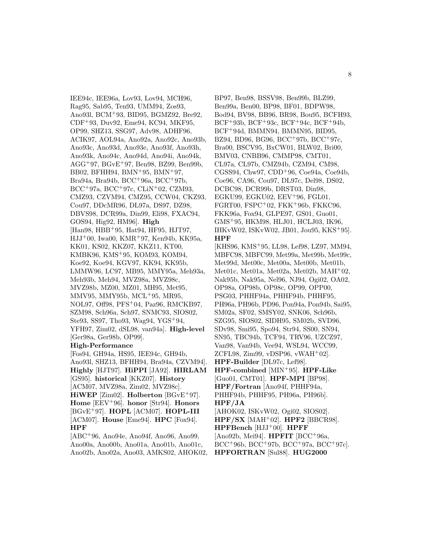IEE94c, IEE96a, Lov93, Lov94, MCH96, Rag95, Sab95, Ten93, UMM94, Zos93, Ano93l, BCM<sup>+</sup>93, BID95, BGMZ92, Bre92, CDF<sup>+</sup>93, Duv92, Eme94, KC94, MKF95, OP99, SHZ13, SSG97, Adv98, ADHF96, ACIK97, AOL94a, Ano92a, Ano92c, Ano93b, Ano93c, Ano93d, Ano93e, Ano93f, Ano93h, Ano93k, Ano94c, Ano94d, Ano94i, Ano94k, AGG<sup>+</sup>97, BGvE<sup>+</sup>97, Ben98, BZ99, Ben99b, BB02, BFHH94, BMN<sup>+</sup>95, BMN<sup>+</sup>97, Bra94a, Bra94b, BCC<sup>+</sup>96a, BCC<sup>+</sup>97b, BCC<sup>+</sup>97a, BCC<sup>+</sup>97c, CLiN<sup>+</sup>02, CZM93, CMZ93, CZVM94, CMZ95, CCW04, CKZ93, Cou97, DDcMR96, DL97a, DS97, DZ98, DBVS98, DCR99a, Din99, Eli98, FXAC94, GOS94, Hig92, HM96]. **High** [Han98, HBB<sup>+</sup>95, Hat94, HF95, HJT97, HJJ<sup>+</sup>00, Iwa00, KMR<sup>+</sup>97, Ken94b, KK95a, KK01, KS02, KKZ07, KKZ11, KT00, KMBK96, KMS<sup>+</sup>95, KOM93, KOM94, Koe92, Koe94, KGV97, KK94, KK95b, LMMW96, LC97, MB95, MMY95a, Meh93a, Meh93b, Meh94, MVZ98a, MVZ98c, MVZ98b, MZ00, MZ01, MH95, Met95, MMV95, MMY95b, MCL<sup>+</sup>95, MR95, NOL97, Off98, PFS<sup>+</sup>04, Paz96, RMCKB97, SZM98, Sch96a, Sch97, SNMC93, SIOS02, Ste93, SS97, Tho93, Wag94, YGS<sup>+</sup>94, YFH97, Zim02, dSL98, van94a]. **High-level** [Ger98a, Ger98b, OP99]. **High-Performance** [Fos94, GH94a, HS95, IEE94c, GH94b, Ano93l, SHZ13, BFHH94, Bra94a, CZVM94]. **Highly** [HJT97]. **HiPPI** [JA92]. **HIRLAM** [GS95]. **historical** [KKZ07]. **History** [ACM07, MVZ98a, Zim02, MVZ98c]. **HiWEP** [Zim02]. **Holberton** [BGvE<sup>+</sup>97]. **Home** [EEV<sup>+</sup>96]. **honor** [Str94]. **Honors** [BGvE<sup>+</sup>97]. **HOPL** [ACM07]. **HOPL-III** [ACM07]. **House** [Eme94]. **HPC** [Fox94]. **HPF** [ABC<sup>+</sup>96, Ano94e, Ano94f, Ano96, Ano99,

Ano00a, Ano00b, Ano01a, Ano01b, Ano01c, Ano02b, Ano02a, Ano03, AMKS02, AHOK02,

BP97, Ben98, BSSV98, Ben99b, BLZ99, Ben99a, Ben00, BP98, BF01, BDPW98, Bod94, BV98, BB96, BR98, Bou95, BCFH93, BCF<sup>+</sup>93b, BCF<sup>+</sup>93c, BCF<sup>+</sup>94c, BCF<sup>+</sup>94b, BCF<sup>+</sup>94d, BMMN94, BMMN95, BID95, BZ94, BD96, BG96, BCC<sup>+</sup>97b, BCC<sup>+</sup>97c, Bra00, BSCV95, BxCW01, BLW02, Bri00, BMV03, CNBB96, CMMP98, CMT01, CL97a, CL97b, CMZ94b, CZM94, CM98, CGSS94, Chw97, CDD<sup>+</sup>96, Coe94a, Coe94b, Coe96, CA96, Cou97, DL97c, Del98, DS02, DCBC98, DCR99b, DRST03, Din98, EGKU99, EGKU02, EEV<sup>+</sup>96, FGL01, FGRT00,  $FSPC+02$ ,  $FKK+96b$ ,  $FKKC96$ , FKK96a, Fox94, GLPE97, GS01, Guo01, GMS<sup>+</sup>95, HKM98, HLJ01, HCLJ03, IK96, IHKvW02, ISKvW02, JB01, Jou95, KKS<sup>+</sup>95]. **HPF**

- [KHS96, KMS<sup>+</sup>95, LL98, Lef98, LZ97, MM94, MBFC98, MBFC99, Met99a, Met99b, Met99c, Met99d, Met00c, Met00a, Met00b, Met01b, Met01c, Met01a, Met02a, Met02b, MAH<sup>+</sup>02, Nak95b, Nak95a, Nel96, NJ94, Ogi02, OA02, OP98a, OP98b, OP98c, OP99, OPP00, PSG03, PHHF94a, PHHF94b, PHHF95, PH96a, PH96b, PD96, Pon94a, Pon94b, Sai95, SM02a, SF02, SMSY02, SNK06, Sch96b, SZG95, SIOS02, SIDH95, SM02b, SVD96, SDv98, Smi95, Spo94, Str94, SS00, SN94, SN95, TBC94b, TCF94, TRV96, UZCZ97, Van98, Van94b, Vee94, WSL94, WCC99, ZCFL98, Zim99, vDSP96, vWAH<sup>+</sup>02]. **HPF-Builder** [DL97c, Lef98]. **HPF-combined** [MIN<sup>+</sup>95]. **HPF-Like** [Guo01, CMT01]. **HPF-MPI** [BP98]. **HPF/Fortran** [Ano94f, PHHF94a, PHHF94b, PHHF95, PH96a, PH96b]. **HPF/JA** [AHOK02, ISKvW02, Ogi02, SIOS02]. **HPF/SX** [MAH<sup>+</sup>02]. **HPF2** [BBCR98]. **HPFBench** [HJJ<sup>+</sup>00]. **HPFF** [Ano92b, Mei94]. **HPFIT** [BCC<sup>+</sup>96a,  $BCC+96b, BCC+97b, BCC+97a, BCC+97c$ .
- **HPFORTRAN** [Sul88]. **HUG2000**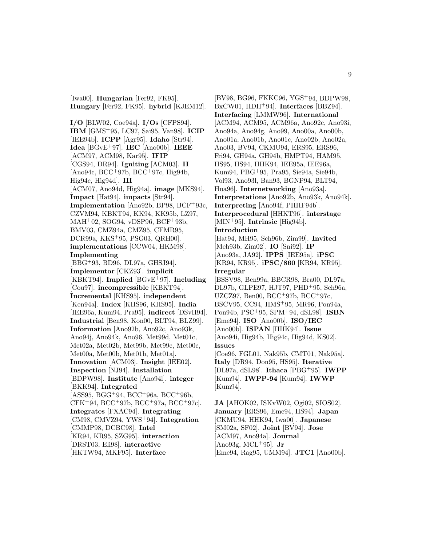[Iwa00]. **Hungarian** [Fer92, FK95]. **Hungary** [Fer92, FK95]. **hybrid** [KJEM12].

**I/O** [BLW02, Coe94a]. **I/Os** [CFPS94]. **IBM** [GMS<sup>+</sup>95, LC97, Sai95, Van98]. **ICIP** [IEE94b]. **ICPP** [Agr95]. **Idaho** [Str94]. **Idea** [BGvE<sup>+</sup>97]. **IEC** [Ano00b]. **IEEE** [ACM97, ACM98, Kar95]. **IFIP** [CGS94, DR94]. **Igniting** [ACM03]. **II**  $[Ano94c, BCC+97b, BCC+97c, Hig94b,$ Hig94c, Hig94d]. **III** [ACM07, Ano94d, Hig94a]. **image** [MKS94]. **Impact** [Hat94]. **impacts** [Str94]. **Implementation** [Ano92b, BP98, BCF<sup>+</sup>93c, CZVM94, KBKT94, KK94, KK95b, LZ97, MAH<sup>+</sup>02, SOG94, vDSP96, BCF<sup>+</sup>93b, BMV03, CMZ94a, CMZ95, CFMR95, DCR99a, KKS<sup>+</sup>95, PSG03, QRH00]. **implementations** [CCW04, HKM98]. **Implementing** [BBG<sup>+</sup>93, BD96, DL97a, GHSJ94]. **Implementor** [CKZ93]. **implicit** [KBKT94]. **Implied** [BGvE<sup>+</sup>97]. **Including** [Cou97]. **incompressible** [KBKT94]. **Incremental** [KHS95]. **independent** [Ken94a]. **Index** [KHS96, KHS95]. **India** [IEE96a, Kum94, Pra95]. **indirect** [DSvH94]. **Industrial** [Ben98, Kon00, BLT94, BLZ99]. **Information** [Ano92b, Ano92c, Ano93k, Ano94j, Ano94k, Ano96, Met99d, Met01c, Met02a, Met02b, Met99b, Met99c, Met00c, Met00a, Met00b, Met01b, Met01a]. **Innovation** [ACM03]. **Insight** [IEE02]. **Inspection** [NJ94]. **Installation** [BDPW98]. **Institute** [Ano94l]. **integer** [BKK94]. **Integrated**  $[ASS95, BGG+94, BCC+96a, BCC+96b,$  $CFK+94$ ,  $BCC+97b$ ,  $BCC+97a$ ,  $BCC+97c$ ]. **Integrates** [FXAC94]. **Integrating** [CM98, CMVZ94, YWS<sup>+</sup>94]. **Integration** [CMMP98, DCBC98]. **Intel** [KR94, KR95, SZG95]. **interaction** [DRST03, Eli98]. **interactive** [HKTW94, MKF95]. **Interface**

[BV98, BG96, FKKC96, YGS<sup>+</sup>94, BDPW98, BxCW01, HDH<sup>+</sup>94]. **Interfaces** [BBZ94]. **Interfacing** [LMMW96]. **International** [ACM94, ACM95, ACM96a, Ano92c, Ano93i, Ano94a, Ano94g, Ano99, Ano00a, Ano00b, Ano01a, Ano01b, Ano01c, Ano02b, Ano02a, Ano03, BV94, CKMU94, ERS95, ERS96, Fri94, GH94a, GH94b, HMPT94, HAM95, HS95, HS94, HHK94, IEE95a, IEE96a, Kum94, PBG<sup>+</sup>95, Pra95, Sie94a, Sie94b, Vol93, Ano93l, Ban93, BGNP94, BLT94, Hua96]. **Internetworking** [Ano93a]. **Interpretations** [Ano92b, Ano93k, Ano94k]. **Interpreting** [Ano94f, PHHF94b]. **Interprocedural** [HHKT96]. **interstage** [MIN<sup>+</sup>95]. **Intrinsic** [Hig94b]. **Introduction** [Hat94, MH95, Sch96b, Zim99]. **Invited** [Meh93b, Zim02]. **IO** [Sni92]. **IP** [Ano93a, JA92]. **IPPS** [IEE95a]. **iPSC** [KR94, KR95]. **iPSC/860** [KR94, KR95]. **Irregular** [BSSV98, Ben99a, BBCR98, Bra00, DL97a, DL97b, GLPE97, HJT97, PHD<sup>+</sup>95, Sch96a, UZCZ97, Ben00, BCC<sup>+</sup>97b, BCC<sup>+</sup>97c, BSCV95, CC94, HMS<sup>+</sup>95, MR96, Pon94a, Pon94b, PSC<sup>+</sup>95, SPM<sup>+</sup>94, dSL98]. **ISBN** [Eme94]. **ISO** [Ano00b]. **ISO/IEC** [Ano00b]. **ISPAN** [HHK94]. **Issue** [Ano94i, Hig94b, Hig94c, Hig94d, KS02]. **Issues** [Coe96, FGL01, Nak95b, CMT01, Nak95a]. **Italy** [DR94, Don95, HS95]. **Iterative** [DL97a, dSL98]. **Ithaca** [PBG<sup>+</sup>95]. **IWPP** [Kum94]. **IWPP-94** [Kum94]. **IWWP** [Kum94].

**JA** [AHOK02, ISKvW02, Ogi02, SIOS02]. **January** [ERS96, Eme94, HS94]. **Japan** [CKMU94, HHK94, Iwa00]. **Japanese** [SM02a, SF02]. **Joint** [BV94]. **Jose** [ACM97, Ano94a]. **Journal** [Ano93g, MCL<sup>+</sup>95]. **Jr** [Eme94, Rag95, UMM94]. **JTC1** [Ano00b].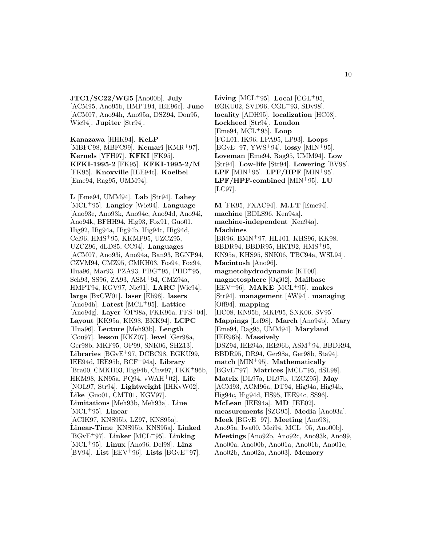**JTC1/SC22/WG5** [Ano00b]. **July** [ACM95, Ano95b, HMPT94, IEE96c]. **June** [ACM07, Ano94h, Ano95a, DSZ94, Don95, Wie94]. **Jupiter** [Str94].

**Kanazawa** [HHK94]. **KeLP** [MBFC98, MBFC99]. **Kemari** [KMR<sup>+</sup>97]. **Kernels** [YFH97]. **KFKI** [FK95]. **KFKI-1995-2** [FK95]. **KFKI-1995-2/M** [FK95]. **Knoxville** [IEE94c]. **Koelbel** [Eme94, Rag95, UMM94].

**L** [Eme94, UMM94]. **Lab** [Str94]. **Lahey** [MCL<sup>+</sup>95]. **Langley** [Wie94]. **Language** [Ano93e, Ano93k, Ano94c, Ano94d, Ano94i, Ano94k, BFHH94, Hig93, Fox91, Guo01, Hig92, Hig94a, Hig94b, Hig94c, Hig94d, Cel96, HMS<sup>+</sup>95, KKMP95, UZCZ95, UZCZ96, dLD85, CC94]. **Languages** [ACM07, Ano93i, Ano94a, Ban93, BGNP94, CZVM94, CMZ95, CMKH03, Fos94, Fox94, Hua96, Mar93, PZA93, PBG<sup>+</sup>95, PHD<sup>+</sup>95, Sch93, SS96, ZA93, ASM<sup>+</sup>94, CMZ94a, HMPT94, KGV97, Nic91]. **LARC** [Wie94]. **large** [BxCW01]. **laser** [Eli98]. **lasers** [Ano94h]. **Latest** [MCL<sup>+</sup>95]. **Lattice** [Ano94g]. **Layer** [OP98a, FKK96a, PFS<sup>+</sup>04]. **Layout** [KK95a, KK98, BKK94]. **LCPC** [Hua96]. **Lecture** [Meh93b]. **Length** [Cou97]. **lesson** [KKZ07]. **level** [Ger98a, Ger98b, MKF95, OP99, SNK06, SHZ13]. **Libraries** [BGvE<sup>+</sup>97, DCBC98, EGKU99, IEE94d, IEE95b, BCF<sup>+</sup>94a]. **Library** [Bra00, CMKH03, Hig94b, Chw97, FKK<sup>+</sup>96b, HKM98, KN95a, PQ94, vWAH<sup>+</sup>02]. **Life** [NOL97, Str94]. **Lightweight** [IHKvW02]. **Like** [Guo01, CMT01, KGV97]. **Limitations** [Meh93b, Meh93a]. **Line** [MCL<sup>+</sup>95]. **Linear** [ACIK97, KNS95b, LZ97, KNS95a]. **Linear-Time** [KNS95b, KNS95a]. **Linked** [BGvE<sup>+</sup>97]. **Linker** [MCL<sup>+</sup>95]. **Linking** [MCL<sup>+</sup>95]. **Linux** [Ano96, Del98]. **Linz**

[BV94]. **List** [EEV<sup>+</sup>96]. **Lists** [BGvE<sup>+</sup>97].

**Living** [MCL<sup>+</sup>95]. **Local** [CGL<sup>+</sup>95, EGKU02, SVD96, CGL<sup>+</sup>93, SDv98]. **locality** [ADH95]. **localization** [HC08]. **Lockheed** [Str94]. **London** [Eme94, MCL<sup>+</sup>95]. **Loop** [FGL01, IK96, LPA95, LP93]. **Loops** [BGvE<sup>+</sup>97, YWS<sup>+</sup>94]. **lossy** [MIN<sup>+</sup>95]. **Loveman** [Eme94, Rag95, UMM94]. **Low** [Str94]. **Low-life** [Str94]. **Lowering** [BV98]. **LPF** [MIN<sup>+</sup>95]. **LPF/HPF** [MIN<sup>+</sup>95]. **LPF/HPF-combined** [MIN<sup>+</sup>95]. **LU** [LC97].

**M** [FK95, FXAC94]. **M.I.T** [Eme94]. **machine** [BDLS96, Ken94a]. **machine-independent** [Ken94a]. **Machines** [BR96, BMN<sup>+</sup>97, HLJ01, KHS96, KK98, BBDR94, BBDR95, HKT92, HMS<sup>+</sup>95, KN95a, KHS95, SNK06, TBC94a, WSL94]. **Macintosh** [Ano96]. **magnetohydrodynamic** [KT00]. **magnetosphere** [Ogi02]. **Mailbase** [EEV<sup>+</sup>96]. **MAKE** [MCL<sup>+</sup>95]. **makes** [Str94]. **management** [AW94]. **managing** [Off94]. **mapping** [HC08, KN95b, MKF95, SNK06, SV95]. **Mappings** [Lef98]. **March** [Ano94b]. **Mary** [Eme94, Rag95, UMM94]. **Maryland** [IEE96b]. **Massively** [DSZ94, IEE94a, IEE96b, ASM<sup>+</sup>94, BBDR94, BBDR95, DR94, Ger98a, Ger98b, Sta94]. **match** [MIN<sup>+</sup>95]. **Mathematically** [BGvE<sup>+</sup>97]. **Matrices** [MCL<sup>+</sup>95, dSL98]. **Matrix** [DL97a, DL97b, UZCZ95]. **May** [ACM93, ACM96a, DT94, Hig94a, Hig94b, Hig94c, Hig94d, HS95, IEE94c, SS96]. **McLean** [IEE94a]. **MD** [IEE02]. **measurements** [SZG95]. **Media** [Ano93a]. **Meek** [BGvE<sup>+</sup>97]. **Meeting** [Ano93j, Ano95a, Iwa00, Mei94, MCL<sup>+</sup>95, Ano00b]. **Meetings** [Ano92b, Ano92c, Ano93k, Ano99, Ano00a, Ano00b, Ano01a, Ano01b, Ano01c, Ano02b, Ano02a, Ano03]. **Memory**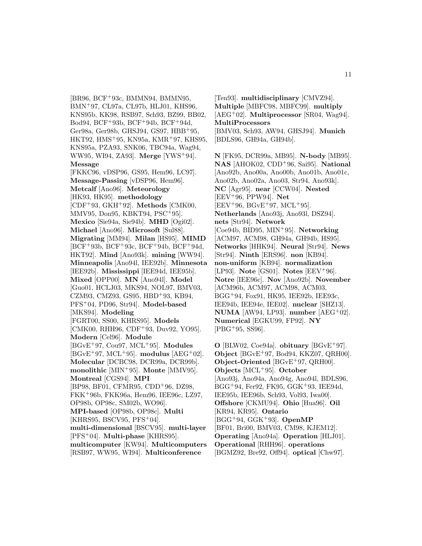[BR96, BCF<sup>+</sup>93c, BMMN94, BMMN95, BMN<sup>+</sup>97, CL97a, CL97b, HLJ01, KHS96, KNS95b, KK98, RSB97, Sch93, BZ99, BB02, Bod94, BCF<sup>+</sup>93b, BCF<sup>+</sup>94b, BCF<sup>+</sup>94d, Ger98a, Ger98b, GHSJ94, GS97, HBB<sup>+</sup>95, HKT92, HMS<sup>+</sup>95, KN95a, KMR<sup>+</sup>97, KHS95, KNS95a, PZA93, SNK06, TBC94a, Wag94, WW95, WI94, ZA93]. **Merge** [YWS<sup>+</sup>94]. **Message** [FKKC96, vDSP96, GS95, Hem96, LC97]. **Message-Passing** [vDSP96, Hem96]. **Metcalf** [Ano96]. **Meteorology** [HK93, HK95]. **methodology** [CDF<sup>+</sup>93, GKH<sup>+</sup>92]. **Methods** [CMK00, MMV95, Don95, KBKT94, PSC<sup>+</sup>95]. **Mexico** [Sie94a, Sie94b]. **MHD** [Ogi02]. **Michael** [Ano96]. **Microsoft** [Sul88]. **Migrating** [MM94]. **Milan** [HS95]. **MIMD** [BCF<sup>+</sup>93b, BCF<sup>+</sup>93c, BCF<sup>+</sup>94b, BCF<sup>+</sup>94d, HKT92]. **Mind** [Ano93k]. **mining** [WW94]. **Minneapolis** [Ano94l, IEE92b]. **Minnesota** [IEE92b]. **Mississippi** [IEE94d, IEE95b]. **Mixed** [OPP00]. **MN** [Ano94l]. **Model** [Guo01, HCLJ03, MKS94, NOL97, BMV03, CZM93, CMZ93, GS95, HBD<sup>+</sup>93, KB94, PFS<sup>+</sup>04, PD96, Str94]. **Model-based** [MKS94]. **Modeling** [FGRT00, SS00, KHRS95]. **Models** [CMK00, RHH96, CDF<sup>+</sup>93, Duv92, YO95]. **Modern** [Cel96]. **Module** [BGvE<sup>+</sup>97, Cou97, MCL<sup>+</sup>95]. **Modules** [BGvE<sup>+</sup>97, MCL<sup>+</sup>95]. **modulus** [AEG<sup>+</sup>02]. **Molecular** [DCBC98, DCR99a, DCR99b]. **monolithic** [MIN<sup>+</sup>95]. **Monte** [MMV95]. **Montreal** [CGS94]. **MPI** [BP98, BF01, CFMR95, CDD<sup>+</sup>96, DZ98, FKK<sup>+</sup>96b, FKK96a, Hem96, IEE96c, LZ97, OP98b, OP98c, SM02b, WO96]. **MPI-based** [OP98b, OP98c]. **Multi** [KHRS95, BSCV95, PFS<sup>+</sup>04]. **multi-dimensional** [BSCV95]. **multi-layer** [PFS<sup>+</sup>04]. **Multi-phase** [KHRS95]. **multicomputer** [KW94]. **Multicomputers** [RSB97, WW95, WI94]. **Multiconference**

[Ten93]. **multidisciplinary** [CMVZ94]. **Multiple** [MBFC98, MBFC99]. **multiply** [AEG<sup>+</sup>02]. **Multiprocessor** [SR04, Wag94]. **MultiProcessors**

[BMV03, Sch93, AW94, GHSJ94]. **Munich** [BDLS96, GH94a, GH94b].

**N** [FK95, DCR99a, MB95]. **N-body** [MB95]. **NAS** [AHOK02, CDD<sup>+</sup>96, Sai95]. **National** [Ano92b, Ano00a, Ano00b, Ano01b, Ano01c, Ano02b, Ano02a, Ano03, Str94, Ano93k]. **NC** [Agr95]. **near** [CCW04]. **Nested** [EEV<sup>+</sup>96, PPW94]. **Net**  $[EEV+96, BGvE+97, MCL+95].$ **Netherlands** [Ano93j, Ano93l, DSZ94]. **nets** [Str94]. **Network** [Coe94b, BID95, MIN<sup>+</sup>95]. **Networking** [ACM97, ACM98, GH94a, GH94b, HS95]. **Networks** [HHK94]. **Neural** [Str94]. **News** [Str94]. **Ninth** [ERS96]. **non** [KB94]. **non-uniform** [KB94]. **normalization** [LP93]. **Note** [GS01]. **Notes** [EEV<sup>+</sup>96]. **Notre** [IEE96c]. **Nov** [Ano92b]. **November** [ACM96b, ACM97, ACM98, ACM03, BGG<sup>+</sup>94, Fox91, HK95, IEE92b, IEE93c, IEE94b, IEE94e, IEE02]. **nuclear** [SHZ13]. **NUMA** [AW94, LP93]. **number** [AEG<sup>+</sup>02]. **Numerical** [EGKU99, FP92]. **NY** [PBG<sup>+</sup>95, SS96].

**O** [BLW02, Coe94a]. **obituary** [BGvE<sup>+</sup>97]. **Object** [BGvE<sup>+</sup>97, Bod94, KKZ07, QRH00]. **Object-Oriented** [BGvE<sup>+</sup>97, QRH00]. **Objects** [MCL<sup>+</sup>95]. **October** [Ano93j, Ano94a, Ano94g, Ano94l, BDLS96, BGG<sup>+</sup>94, Fer92, FK95, GGK<sup>+</sup>93, IEE94d, IEE95b, IEE96b, Sch93, Vol93, Iwa00]. **Offshore** [CKMU94]. **Ohio** [Hua96]. **Oil** [KR94, KR95]. **Ontario** [BGG<sup>+</sup>94, GGK<sup>+</sup>93]. **OpenMP** [BF01, Bri00, BMV03, CM98, KJEM12]. **Operating** [Ano94a]. **Operation** [HLJ01]. **Operational** [RHH96]. **operations** [BGMZ92, Bre92, Off94]. **optical** [Chw97].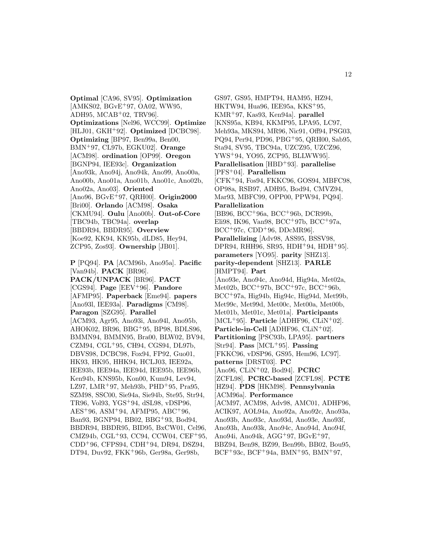**Optimal** [CA96, SV95]. **Optimization** [AMKS02, BGvE<sup>+</sup>97, OA02, WW95, ADH95, MCAB<sup>+</sup>02, TRV96. **Optimizations** [Nel96, WCC99]. **Optimize** [HLJ01, GKH<sup>+</sup>92]. **Optimized** [DCBC98]. **Optimizing** [BP97, Ben99a, Ben00, BMN<sup>+</sup>97, CL97b, EGKU02]. **Orange** [ACM98]. **ordination** [OP99]. **Oregon** [BGNP94, IEE93c]. **Organization** [Ano93k, Ano94j, Ano94k, Ano99, Ano00a, Ano00b, Ano01a, Ano01b, Ano01c, Ano02b, Ano02a, Ano03]. **Oriented** [Ano96, BGvE<sup>+</sup>97, QRH00]. **Origin2000** [Bri00]. **Orlando** [ACM98]. **Osaka** [CKMU94]. **Oulu** [Ano00b]. **Out-of-Core** [TBC94b, TBC94a]. **overlap** [BBDR94, BBDR95]. **Overview** [Koe92, KK94, KK95b, dLD85, Hey94, ZCP95, Zos93]. **Ownership** [JB01].

**P** [PQ94]. **PA** [ACM96b, Ano95a]. **Pacific** [Van94b]. **PACK** [BR96]. **PACK/UNPACK** [BR96]. **PACT** [CGS94]. **Page** [EEV<sup>+</sup>96]. **Pandore** [AFMP95]. **Paperback** [Eme94]. **papers** [Ano93l, IEE93a]. **Paradigms** [CM98]. **Paragon** [SZG95]. **Parallel** [ACM93, Agr95, Ano93i, Ano94l, Ano95b, AHOK02, BR96, BBG<sup>+</sup>95, BP98, BDLS96, BMMN94, BMMN95, Bra00, BLW02, BV94, CZM94, CGL<sup>+</sup>95, CH94, CGS94, DL97b, DBVS98, DCBC98, Fox94, FP92, Guo01, HK93, HK95, HHK94, HCLJ03, IEE92a, IEE93b, IEE94a, IEE94d, IEE95b, IEE96b, Ken94b, KNS95b, Kon00, Kum94, Lev94, LZ97, LMR<sup>+</sup>97, Meh93b, PHD<sup>+</sup>95, Pra95, SZM98, SSC00, Sie94a, Sie94b, Ste95, Str94, TR96, Vol93, YGS<sup>+</sup>94, dSL98, vDSP96, AES<sup>+</sup>96, ASM<sup>+</sup>94, AFMP95, ABC<sup>+</sup>96, Ban93, BGNP94, BB02, BBG<sup>+</sup>93, Bod94, BBDR94, BBDR95, BID95, BxCW01, Cel96, CMZ94b, CGL<sup>+</sup>93, CC94, CCW04, CEF<sup>+</sup>95, CDD<sup>+</sup>96, CFPS94, CDH<sup>+</sup>94, DR94, DSZ94, DT94, Duv92, FKK<sup>+</sup>96b, Ger98a, Ger98b,

GS97, GS95, HMPT94, HAM95, HZ94, HKTW94, Hua96, IEE95a, KKS<sup>+</sup>95, KMR<sup>+</sup>97, Kas93, Ken94a]. **parallel** [KNS95a, KB94, KKMP95, LPA95, LC97, Meh93a, MKS94, MR96, Nic91, Off94, PSG03, PQ94, Per94, PD96, PBG<sup>+</sup>95, QRH00, Sab95, Sta94, SV95, TBC94a, UZCZ95, UZCZ96, YWS<sup>+</sup>94, YO95, ZCP95, BLLWW95]. **Parallelisation** [HBD<sup>+</sup>93]. **parallelise** [PFS<sup>+</sup>04]. **Parallelism** [CFK<sup>+</sup>94, Fos94, FKKC96, GOS94, MBFC98, OP98a, RSB97, ADH95, Bod94, CMVZ94, Mar93, MBFC99, OPP00, PPW94, PQ94]. **Parallelization** [BB96, BCC<sup>+</sup>96a, BCC<sup>+</sup>96b, DCR99b, Eli98, IK96, Van98, BCC<sup>+</sup>97b, BCC<sup>+</sup>97a,  $BCC+97c$ ,  $CDD+96$ ,  $DDCMR96$ . **Parallelizing** [Adv98, ASS95, BSSV98, DPR94, RHH96, SR95, HDH<sup>+</sup>94, HDH<sup>+</sup>95]. **parameters** [YO95]. **parity** [SHZ13]. **parity-dependent** [SHZ13]. **PARLE** [HMPT94]. **Part** [Ano93e, Ano94c, Ano94d, Hig94a, Met02a, Met02b, BCC<sup>+</sup>97b, BCC<sup>+</sup>97c, BCC<sup>+</sup>96b, BCC<sup>+</sup>97a, Hig94b, Hig94c, Hig94d, Met99b, Met99c, Met99d, Met00c, Met00a, Met00b, Met01b, Met01c, Met01a]. **Participants** [MCL<sup>+</sup>95]. **Particle** [ADHF96, CLiN<sup>+</sup>02]. **Particle-in-Cell** [ADHF96, CLiN<sup>+</sup>02]. **Partitioning** [PSC93b, LPA95]. **partners** [Str94]. **Pass** [MCL<sup>+</sup>95]. **Passing** [FKKC96, vDSP96, GS95, Hem96, LC97]. **patterns** [DRST03]. **PC** [Ano96, CLiN<sup>+</sup>02, Bod94]. **PCRC** [ZCFL98]. **PCRC-based** [ZCFL98]. **PCTE** [HZ94]. **PDS** [HKM98]. **Pennsylvania** [ACM96a]. **Performance** [ACM97, ACM98, Adv98, AMC01, ADHF96, ACIK97, AOL94a, Ano92a, Ano92c, Ano93a, Ano93b, Ano93c, Ano93d, Ano93e, Ano93f, Ano93h, Ano93k, Ano94c, Ano94d, Ano94f, Ano94i, Ano94k, AGG<sup>+</sup>97, BGvE<sup>+</sup>97, BBZ94, Ben98, BZ99, Ben99b, BB02, Bou95, BCF<sup>+</sup>93c, BCF<sup>+</sup>94a, BMN<sup>+</sup>95, BMN<sup>+</sup>97,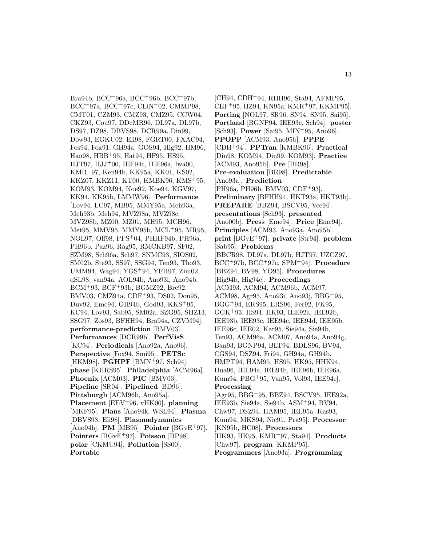Bra94b, BCC<sup>+</sup>96a, BCC<sup>+</sup>96b, BCC<sup>+</sup>97b, BCC<sup>+</sup>97a, BCC<sup>+</sup>97c, CLiN<sup>+</sup>02, CMMP98, CMT01, CZM93, CMZ93, CMZ95, CCW04, CKZ93, Cou97, DDcMR96, DL97a, DL97b, DS97, DZ98, DBVS98, DCR99a, Din99, Dow93, EGKU02, Eli98, FGRT00, FXAC94, Fos94, Fox91, GH94a, GOS94, Hig92, HM96, Han98, HBB<sup>+</sup>95, Hat94, HF95, HS95, HJT97, HJJ<sup>+</sup>00, IEE94c, IEE96a, Iwa00, KMR<sup>+</sup>97, Ken94b, KK95a, KK01, KS02, KKZ07, KKZ11, KT00, KMBK96, KMS<sup>+</sup>95, KOM93, KOM94, Koe92, Koe94, KGV97, KK94, KK95b, LMMW96]. **Performance** [Lov94, LC97, MB95, MMY95a, Meh93a, Meh93b, Meh94, MVZ98a, MVZ98c, MVZ98b, MZ00, MZ01, MH95, MCH96, Met95, MMV95, MMY95b, MCL<sup>+</sup>95, MR95, NOL97, Off98, PFS<sup>+</sup>04, PHHF94b, PH96a, PH96b, Paz96, Rag95, RMCKB97, SF02, SZM98, Sch96a, Sch97, SNMC93, SIOS02, SM02b, Ste93, SS97, SSG94, Ten93, Tho93, UMM94, Wag94, YGS<sup>+</sup>94, YFH97, Zim02, dSL98, van94a, AOL94b, Ano93l, Ano94b, BCM<sup>+</sup>93, BCF<sup>+</sup>93b, BGMZ92, Bre92, BMV03, CMZ94a, CDF<sup>+</sup>93, DS02, Don95, Duv92, Eme94, GH94b, God93, KKS<sup>+</sup>95, KC94, Lov93, Sab95, SM02a, SZG95, SHZ13, SSG97, Zos93, BFHH94, Bra94a, CZVM94]. **performance-prediction** [BMV03]. **Performances** [DCR99b]. **PerfVisS** [KC94]. **Periodicals** [Ano92a, Ano96]. **Perspective** [Fox94, Smi95]. **PETSc** [HKM98]. **PGHPF** [BMN<sup>+</sup>97, Sch94]. **phase** [KHRS95]. **Philadelphia** [ACM96a]. **Phoenix** [ACM03]. **PIC** [BMV03]. **Pipeline** [SR04]. **Pipelined** [BD96]. **Pittsburgh** [ACM96b, Ano95a]. **Placement** [EEV<sup>+</sup>96, vHK00]. **planning** [MKF95]. **Plans** [Ano94k, WSL94]. **Plasma** [DBVS98, Eli98]. **Plasmadynamics** [Ano94h]. **PM** [MB95]. **Pointer** [BGvE<sup>+</sup>97]. **Pointers** [BGvE<sup>+</sup>97]. **Poisson** [BP98]. **polar** [CKMU94]. **Pollution** [SS00]. **Portable**

[CH94, CDH<sup>+</sup>94, RHH96, Sta94, AFMP95, CEF<sup>+</sup>95, HZ94, KN95a, KMR<sup>+</sup>97, KKMP95]. **Porting** [NOL97, SR96, SN94, SN95, Sai95]. **Portland** [BGNP94, IEE93c, Sch94]. **poster** [Sch93]. **Power** [Sai95, MIN<sup>+</sup>95, Ano96]. **PPOPP** [ACM93, Ano95b]. **PPPE** [CDH<sup>+</sup>94]. **PPTran** [KMBK96]. **Practical** [Din98, KOM94, Din99, KOM93]. **Practice** [ACM93, Ano95b]. **Pre** [BR98]. **Pre-evaluation** [BR98]. **Predictable** [Ano93a]. **Prediction** [PH96a, PH96b, BMV03, CDF<sup>+</sup>93]. **Preliminary** [BFHH94, HKT93a, HKT93b]. **PREPARE** [BBZ94, BSCV95, Vee94]. **presentations** [Sch93]. **presented** [Ano00b]. **Press** [Eme94]. **Price** [Eme94]. **Principles** [ACM93, Ano93a, Ano95b]. **print** [BGvE<sup>+</sup>97]. **private** [Str94]. **problem** [Sab95]. **Problems** [BBCR98, DL97a, DL97b, HJT97, UZCZ97, BCC<sup>+</sup>97b, BCC<sup>+</sup>97c, SPM<sup>+</sup>94]. **Procedure** [BBZ94, BV98, YO95]. **Procedures** [Hig94b, Hig94c]. **Proceedings** [ACM93, ACM94, ACM96b, ACM97, ACM98, Agr95, Ano93i, Ano93j, BBG<sup>+</sup>95, BGG<sup>+</sup>94, ERS95, ERS96, Fer92, FK95, GGK<sup>+</sup>93, HS94, HK93, IEE92a, IEE92b, IEE93b, IEE93c, IEE94c, IEE94d, IEE95b, IEE96c, IEE02, Kar95, Sie94a, Sie94b, Ten93, ACM96a, ACM07, Ano94a, Ano94g, Ban93, BGNP94, BLT94, BDLS96, BV94, CGS94, DSZ94, Fri94, GH94a, GH94b, HMPT94, HAM95, HS95, HK95, HHK94, Hua96, IEE94a, IEE94b, IEE96b, IEE96a, Kum94, PBG<sup>+</sup>95, Van95, Vol93, IEE94e]. **Processing** [Agr95, BBG<sup>+</sup>95, BBZ94, BSCV95, IEE92a, IEE93b, Sie94a, Sie94b, ASM<sup>+</sup>94, BV94, Chw97, DSZ94, HAM95, IEE95a, Kas93, Kum94, MKS94, Nic91, Pra95]. **Processor** [KN95b, HC08]. **Processors** [HK93, HK95, KMR<sup>+</sup>97, Sta94]. **Products** [Chw97]. **program** [KKMP95]. **Programmers** [Ano93a]. **Programming**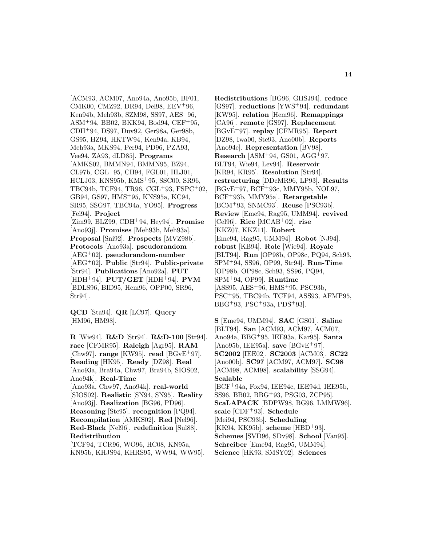[ACM93, ACM07, Ano94a, Ano95b, BF01, CMK00, CMZ92, DR94, Del98, EEV<sup>+</sup>96, Ken94b, Meh93b, SZM98, SS97, AES<sup>+</sup>96, ASM<sup>+</sup>94, BB02, BKK94, Bod94, CEF<sup>+</sup>95, CDH<sup>+</sup>94, DS97, Duv92, Ger98a, Ger98b, GS95, HZ94, HKTW94, Ken94a, KB94, Meh93a, MKS94, Per94, PD96, PZA93, Vee94, ZA93, dLD85]. **Programs** [AMKS02, BMMN94, BMMN95, BZ94, CL97b, CGL<sup>+</sup>95, CH94, FGL01, HLJ01, HCLJ03, KNS95b, KMS<sup>+</sup>95, SSC00, SR96, TBC94b, TCF94, TR96, CGL<sup>+</sup>93, FSPC<sup>+</sup>02, GB94, GS97, HMS<sup>+</sup>95, KNS95a, KC94, SR95, SSG97, TBC94a, YO95]. **Progress** [Fei94]. **Project** [Zim99, BLZ99, CDH<sup>+</sup>94, Hey94]. **Promise** [Ano93j]. **Promises** [Meh93b, Meh93a]. **Proposal** [Sni92]. **Prospects** [MVZ98b]. **Protocols** [Ano93a]. **pseudorandom** [AEG<sup>+</sup>02]. **pseudorandom-number** [AEG<sup>+</sup>02]. **Public** [Str94]. **Public-private** [Str94]. **Publications** [Ano92a]. **PUT** [HDH<sup>+</sup>94]. **PUT/GET** [HDH<sup>+</sup>94]. **PVM** [BDLS96, BID95, Hem96, OPP00, SR96, Str94].

**QCD** [Sta94]. **QR** [LC97]. **Query** [HM96, HM98].

**R** [Wie94]. **R&D** [Str94]. **R&D-100** [Str94]. **race** [CFMR95]. **Raleigh** [Agr95]. **RAM** [Chw97]. **range** [KW95]. **read** [BGvE<sup>+</sup>97]. **Reading** [HK95]. **Ready** [DZ98]. **Real** [Ano93a, Bra94a, Chw97, Bra94b, SIOS02, Ano94k]. **Real-Time** [Ano93a, Chw97, Ano94k]. **real-world** [SIOS02]. **Realistic** [SN94, SN95]. **Reality** [Ano93j]. **Realization** [BG96, PD96]. **Reasoning** [Ste95]. **recognition** [PQ94]. **Recompilation** [AMKS02]. **Red** [Nel96]. **Red-Black** [Nel96]. **redefinition** [Sul88]. **Redistribution** [TCF94, TCR96, WO96, HC08, KN95a, KN95b, KHJS94, KHRS95, WW94, WW95].

**Redistributions** [BG96, GHSJ94]. **reduce** [GS97]. **reductions** [YWS<sup>+</sup>94]. **redundant** [KW95]. **relation** [Hem96]. **Remappings** [CA96]. **remote** [GS97]. **Replacement** [BGvE<sup>+</sup>97]. **replay** [CFMR95]. **Report** [DZ98, Iwa00, Ste93, Ano00b]. **Reports** [Ano94e]. **Representation** [BV98]. **Research** [ASM<sup>+</sup>94, GS01, AGG<sup>+</sup>97, BLT94, Wie94, Lev94]. **Reservoir** [KR94, KR95]. **Resolution** [Str94]. **restructuring** [DDcMR96, LP93]. **Results** [BGvE<sup>+</sup>97, BCF<sup>+</sup>93c, MMY95b, NOL97, BCF<sup>+</sup>93b, MMY95a]. **Retargetable** [BCM<sup>+</sup>93, SNMC93]. **Reuse** [PSC93b]. **Review** [Eme94, Rag95, UMM94]. **revived** [Cel96]. **Rice** [MCAB<sup>+</sup>02]. **rise** [KKZ07, KKZ11]. **Robert** [Eme94, Rag95, UMM94]. **Robot** [NJ94]. **robust** [KB94]. **Role** [Wie94]. **Royale** [BLT94]. **Run** [OP98b, OP98c, PQ94, Sch93, SPM<sup>+</sup>94, SS96, OP99, Str94]. **Run-Time** [OP98b, OP98c, Sch93, SS96, PQ94, SPM<sup>+</sup>94, OP99]. **Runtime** [ASS95, AES<sup>+</sup>96, HMS<sup>+</sup>95, PSC93b, PSC<sup>+</sup>95, TBC94b, TCF94, ASS93, AFMP95,  $BBG+93$ ,  $PSC+93a$ ,  $PDS+93$ .

**S** [Eme94, UMM94]. **SAC** [GS01]. **Saline** [BLT94]. **San** [ACM93, ACM97, ACM07, Ano94a, BBG<sup>+</sup>95, IEE93a, Kar95]. **Santa** [Ano95b, IEE95a]. **save** [BGvE<sup>+</sup>97]. **SC2002** [IEE02]. **SC2003** [ACM03]. **SC22** [Ano00b]. **SC97** [ACM97, ACM97]. **SC98** [ACM98, ACM98]. **scalability** [SSG94]. **Scalable** [BCF<sup>+</sup>94a, Fox94, IEE94c, IEE94d, IEE95b, SS96, BB02, BBG<sup>+</sup>93, PSG03, ZCP95]. **ScaLAPACK** [BDPW98, BG96, LMMW96]. **scale** [CDF<sup>+</sup>93]. **Schedule** [Mei94, PSC93b]. **Scheduling** [KK94, KK95b]. **scheme** [HBD<sup>+</sup>93]. **Schemes** [SVD96, SDv98]. **School** [Van95]. **Schreiber** [Eme94, Rag95, UMM94]. **Science** [HK93, SMSY02]. **Sciences**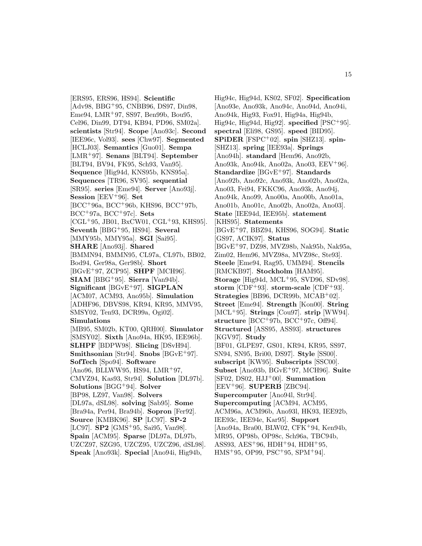[ERS95, ERS96, HS94]. **Scientific** [Adv98, BBG<sup>+</sup>95, CNBB96, DS97, Din98, Eme94, LMR<sup>+</sup>97, SS97, Ben99b, Bou95, Cel96, Din99, DT94, KB94, PD96, SM02a]. **scientists** [Str94]. **Scope** [Ano93c]. **Second** [IEE96c, Vol93]. **sees** [Chw97]. **Segmented** [HCLJ03]. **Semantics** [Guo01]. **Sempa** [LMR<sup>+</sup>97]. **Senans** [BLT94]. **September** [BLT94, BV94, FK95, Sch93, Van95]. **Sequence** [Hig94d, KNS95b, KNS95a]. **Sequences** [TR96, SV95]. **sequential** [SR95]. **series** [Eme94]. **Server** [Ano93j]. **Session** [EEV<sup>+</sup>96]. **Set** [BCC<sup>+</sup>96a, BCC<sup>+</sup>96b, KHS96, BCC<sup>+</sup>97b, BCC<sup>+</sup>97a, BCC<sup>+</sup>97c]. **Sets** [CGL<sup>+</sup>95, JB01, BxCW01, CGL<sup>+</sup>93, KHS95]. **Seventh** [BBG<sup>+</sup>95, HS94]. **Several** [MMY95b, MMY95a]. **SGI** [Sai95]. **SHARE** [Ano93j]. **Shared** [BMMN94, BMMN95, CL97a, CL97b, BB02, Bod94, Ger98a, Ger98b]. **Short** [BGvE<sup>+</sup>97, ZCP95]. **SHPF** [MCH96]. **SIAM** [BBG<sup>+</sup>95]. **Sierra** [Van94b]. **Significant** [BGvE<sup>+</sup>97]. **SIGPLAN** [ACM07, ACM93, Ano95b]. **Simulation** [ADHF96, DBVS98, KR94, KR95, MMV95, SMSY02, Ten93, DCR99a, Ogi02]. **Simulations** [MB95, SM02b, KT00, QRH00]. **Simulator** [SMSY02]. **Sixth** [Ano94a, HK95, IEE96b]. **SLHPF** [BDPW98]. **Slicing** [DSvH94]. **Smithsonian** [Str94]. **Snobs** [BGvE<sup>+</sup>97]. **SofTech** [Spo94]. **Software** [Ano96, BLLWW95, HS94, LMR<sup>+</sup>97, CMVZ94, Kas93, Str94]. **Solution** [DL97b]. **Solutions** [BGG<sup>+</sup>94]. **Solver** [BP98, LZ97, Van98]. **Solvers** [DL97a, dSL98]. **solving** [Sab95]. **Some** [Bra94a, Per94, Bra94b]. **Sopron** [Fer92]. **Source** [KMBK96]. **SP** [LC97]. **SP-2** [LC97]. **SP2** [GMS<sup>+</sup>95, Sai95, Van98]. **Spain** [ACM95]. **Sparse** [DL97a, DL97b, UZCZ97, SZG95, UZCZ95, UZCZ96, dSL98]. **Speak** [Ano93k]. **Special** [Ano94i, Hig94b,

Hig94c, Hig94d, KS02, SF02]. **Specification** [Ano93e, Ano93k, Ano94c, Ano94d, Ano94i, Ano94k, Hig93, Fox91, Hig94a, Hig94b, Hig94c, Hig94d, Hig92]. **specified** [PSC<sup>+</sup>95]. **spectral** [Eli98, GS95]. **speed** [BID95]. **SPiDER** [FSPC<sup>+</sup>02]. **spin** [SHZ13]. **spin-** [SHZ13]. **spring** [IEE93a]. **Springs** [Ano94h]. **standard** [Hem96, Ano92b, Ano93k, Ano94k, Ano02a, Ano03, EEV<sup>+</sup>96]. **Standardize** [BGvE<sup>+</sup>97]. **Standards** [Ano92b, Ano92c, Ano93k, Ano02b, Ano02a, Ano03, Fei94, FKKC96, Ano93k, Ano94j, Ano94k, Ano99, Ano00a, Ano00b, Ano01a, Ano01b, Ano01c, Ano02b, Ano02a, Ano03]. **State** [IEE94d, IEE95b]. **statement** [KHS95]. **Statements** [BGvE<sup>+</sup>97, BBZ94, KHS96, SOG94]. **Static** [GS97, ACIK97]. **Status** [BGvE<sup>+</sup>97, DZ98, MVZ98b, Nak95b, Nak95a, Zim02, Hem96, MVZ98a, MVZ98c, Ste93]. **Steele** [Eme94, Rag95, UMM94]. **Stencils** [RMCKB97]. **Stockholm** [HAM95]. **Storage** [Hig94d, MCL<sup>+</sup>95, SVD96, SDv98]. **storm** [CDF<sup>+</sup>93]. **storm-scale** [CDF<sup>+</sup>93]. **Strategies** [BB96, DCR99b, MCAB<sup>+</sup>02]. **Street** [Eme94]. **Strength** [Kon00]. **String** [MCL<sup>+</sup>95]. **Strings** [Cou97]. **strip** [WW94]. **structure** [BCC<sup>+</sup>97b, BCC<sup>+</sup>97c, Off94]. **Structured** [ASS95, ASS93]. **structures** [KGV97]. **Study** [BF01, GLPE97, GS01, KR94, KR95, SS97, SN94, SN95, Bri00, DS97]. **Style** [SS00]. **subscript** [KW95]. **Subscripts** [SSC00]. **Subset** [Ano93b, BGvE<sup>+</sup>97, MCH96]. **Suite** [SF02, DS02, HJJ<sup>+</sup>00]. **Summation** [EEV<sup>+</sup>96]. **SUPERB** [ZBC94]. **Supercomputer** [Ano94l, Str94]. **Supercomputing** [ACM94, ACM95, ACM96a, ACM96b, Ano93l, HK93, IEE92b, IEE93c, IEE94e, Kar95]. **Support** [Ano94a, Bra00, BLW02, CFK<sup>+</sup>94, Ken94b, MR95, OP98b, OP98c, Sch96a, TBC94b, ASS93, AES<sup> $+$ </sup>96, HDH<sup> $+$ </sup>94, HDH<sup> $+$ </sup>95, HMS<sup>+</sup>95, OP99, PSC<sup>+</sup>95, SPM<sup>+</sup>94].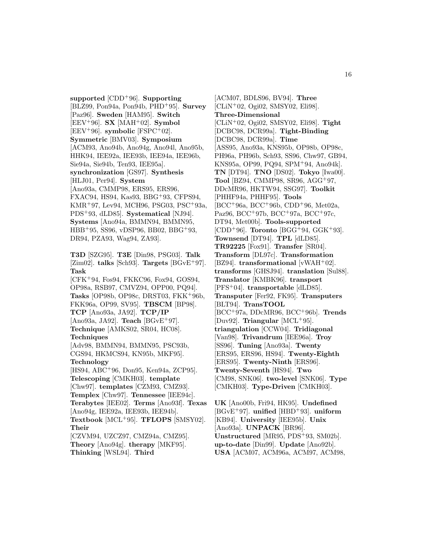**supported** [CDD<sup>+</sup>96]. **Supporting** [BLZ99, Pon94a, Pon94b, PHD<sup>+</sup>95]. **Survey** [Paz96]. **Sweden** [HAM95]. **Switch** [EEV<sup>+</sup>96]. **SX** [MAH<sup>+</sup>02]. **Symbol**  $[EEV+96]$ . **symbolic**  $[FSPC+02]$ . **Symmetric** [BMV03]. **Symposium** [ACM93, Ano94b, Ano94g, Ano94l, Ano95b, HHK94, IEE92a, IEE93b, IEE94a, IEE96b, Sie94a, Sie94b, Ten93, IEE95a]. **synchronization** [GS97]. **Synthesis** [HLJ01, Per94]. **System** [Ano93a, CMMP98, ERS95, ERS96, FXAC94, HS94, Kas93, BBG<sup>+</sup>93, CFPS94, KMR<sup>+</sup>97, Lev94, MCH96, PSG03, PSC<sup>+</sup>93a, PDS<sup>+</sup>93, dLD85]. **Systematical** [NJ94]. **Systems** [Ano94a, BMMN94, BMMN95, HBB<sup>+</sup>95, SS96, vDSP96, BB02, BBG<sup>+</sup>93, DR94, PZA93, Wag94, ZA93].

**T3D** [SZG95]. **T3E** [Din98, PSG03]. **Talk** [Zim02]. **talks** [Sch93]. **Targets** [BGvE<sup>+</sup>97]. **Task**

[CFK<sup>+</sup>94, Fos94, FKKC96, Fox94, GOS94, OP98a, RSB97, CMVZ94, OPP00, PQ94]. **Tasks** [OP98b, OP98c, DRST03, FKK<sup>+</sup>96b, FKK96a, OP99, SV95]. **TBSCM** [BP98]. **TCP** [Ano93a, JA92]. **TCP/IP** [Ano93a, JA92]. **Teach** [BGvE<sup>+</sup>97]. **Technique** [AMKS02, SR04, HC08]. **Techniques** [Adv98, BMMN94, BMMN95, PSC93b, CGS94, HKMCS94, KN95b, MKF95]. **Technology**

[HS94, ABC<sup>+</sup>96, Don95, Ken94a, ZCP95]. **Telescoping** [CMKH03]. **template** [Chw97]. **templates** [CZM93, CMZ93]. **Templex** [Chw97]. **Tennessee** [IEE94c]. **Terabytes** [IEE02]. **Terms** [Ano93f]. **Texas**

[Ano94g, IEE92a, IEE93b, IEE94b]. **Textbook** [MCL<sup>+</sup>95]. **TFLOPS** [SMSY02].

**Their**

[CZVM94, UZCZ97, CMZ94a, CMZ95]. **Theory** [Ano94g]. **therapy** [MKF95]. **Thinking** [WSL94]. **Third**

[ACM07, BDLS96, BV94]. **Three** [CLiN<sup>+</sup>02, Ogi02, SMSY02, Eli98]. **Three-Dimensional** [CLiN<sup>+</sup>02, Ogi02, SMSY02, Eli98]. **Tight** [DCBC98, DCR99a]. **Tight-Binding** [DCBC98, DCR99a]. **Time** [ASS95, Ano93a, KNS95b, OP98b, OP98c, PH96a, PH96b, Sch93, SS96, Chw97, GB94, KNS95a, OP99, PQ94, SPM<sup>+</sup>94, Ano94k]. **TN** [DT94]. **TNO** [DS02]. **Tokyo** [Iwa00]. **Tool** [BZ94, CMMP98, SR96, AGG<sup>+</sup>97, DDcMR96, HKTW94, SSG97]. **Toolkit** [PHHF94a, PHHF95]. **Tools**  $[BCC+96a, BCC+96b, CDD+96, Met02a,$ Paz96, BCC<sup>+</sup>97b, BCC<sup>+</sup>97a, BCC<sup>+</sup>97c, DT94, Met00b]. **Tools-supported** [CDD<sup>+</sup>96]. **Toronto** [BGG<sup>+</sup>94, GGK<sup>+</sup>93]. **Townsend** [DT94]. **TPL** [dLD85]. **TR92225** [Fox91]. **Transfer** [SR04]. **Transform** [DL97c]. **Transformation** [BZ94]. **transformational** [vWAH<sup>+</sup>02]. **transforms** [GHSJ94]. **translation** [Sul88]. **Translator** [KMBK96]. **transport** [PFS<sup>+</sup>04]. **transportable** [dLD85]. **Transputer** [Fer92, FK95]. **Transputers** [BLT94]. **TransTOOL** [BCC<sup>+</sup>97a, DDcMR96, BCC<sup>+</sup>96b]. **Trends** [Duv92]. **Triangular** [MCL<sup>+</sup>95]. **triangulation** [CCW04]. **Tridiagonal** [Van98]. **Trivandrum** [IEE96a]. **Troy** [SS96]. **Tuning** [Ano93a]. **Twenty** [ERS95, ERS96, HS94]. **Twenty-Eighth** [ERS95]. **Twenty-Ninth** [ERS96]. **Twenty-Seventh** [HS94]. **Two** [CM98, SNK06]. **two-level** [SNK06]. **Type** [CMKH03]. **Type-Driven** [CMKH03].

**UK** [Ano00b, Fri94, HK95]. **Undefined** [BGvE<sup>+</sup>97]. **unified** [HBD<sup>+</sup>93]. **uniform** [KB94]. **University** [IEE95b]. **Unix** [Ano93a]. **UNPACK** [BR96]. **Unstructured** [MR95, PDS<sup>+</sup>93, SM02b]. **up-to-date** [Din99]. **Update** [Ano92b]. **USA** [ACM07, ACM96a, ACM97, ACM98,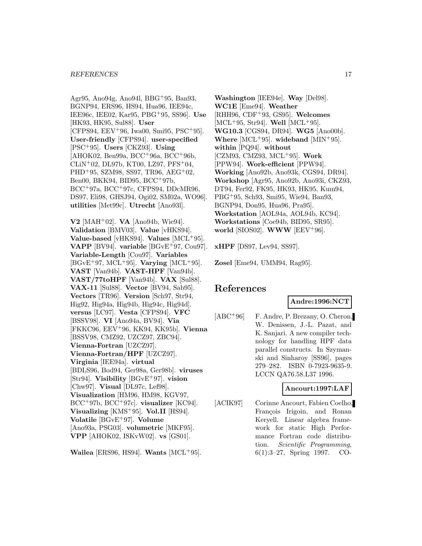#### *REFERENCES* 17

Agr95, Ano94g, Ano94l, BBG<sup>+</sup>95, Ban93, BGNP94, ERS96, HS94, Hua96, IEE94c, IEE96c, IEE02, Kar95, PBG<sup>+</sup>95, SS96]. **Use** [HK93, HK95, Sul88]. **User** [CFPS94, EEV<sup>+</sup>96, Iwa00, Smi95, PSC<sup>+</sup>95]. **User-friendly** [CFPS94]. **user-specified** [PSC<sup>+</sup>95]. **Users** [CKZ93]. **Using** [AHOK02, Ben99a, BCC<sup>+</sup>96a, BCC<sup>+</sup>96b,  $CLiN+02$ , DL97b, KT00, LZ97, PFS<sup>+</sup>04, PHD<sup>+</sup>95, SZM98, SS97, TR96, AEG<sup>+</sup>02, Ben00, BKK94, BID95, BCC<sup>+</sup>97b, BCC<sup>+</sup>97a, BCC<sup>+</sup>97c, CFPS94, DDcMR96, DS97, Eli98, GHSJ94, Ogi02, SM02a, WO96]. **utilities** [Met99c]. **Utrecht** [Ano93l].

**V2** [MAH<sup>+</sup>02]. **VA** [Ano94b, Wie94]. **Validation** [BMV03]. **Value** [vHKS94]. **Value-based** [vHKS94]. **Values** [MCL<sup>+</sup>95]. **VAPP** [BV94]. **variable** [BGvE<sup>+</sup>97, Cou97]. **Variable-Length** [Cou97]. **Variables** [BGvE<sup>+</sup>97, MCL<sup>+</sup>95]. **Varying** [MCL<sup>+</sup>95]. **VAST** [Van94b]. **VAST-HPF** [Van94b]. **VAST/77toHPF** [Van94b]. **VAX** [Sul88]. **VAX-11** [Sul88]. **Vector** [BV94, Sab95]. **Vectors** [TR96]. **Version** [Sch97, Str94, Hig92, Hig94a, Hig94b, Hig94c, Hig94d]. **versus** [LC97]. **Vesta** [CFPS94]. **VFC** [BSSV98]. **VI** [Ano94a, BV94]. **Via** [FKKC96, EEV<sup>+</sup>96, KK94, KK95b]. **Vienna** [BSSV98, CMZ92, UZCZ97, ZBC94]. **Vienna-Fortran** [UZCZ97]. **Vienna-Fortran/HPF** [UZCZ97]. **Virginia** [IEE94a]. **virtual** [BDLS96, Bod94, Ger98a, Ger98b]. **viruses** [Str94]. **Visibility** [BGvE<sup>+</sup>97]. **vision** [Chw97]. **Visual** [DL97c, Lef98]. **Visualization** [HM96, HM98, KGV97, BCC<sup>+</sup>97b, BCC<sup>+</sup>97c]. **visualizer** [KC94]. **Visualizing** [KMS<sup>+</sup>95]. **Vol.II** [HS94]. **Volatile** [BGvE<sup>+</sup>97]. **Volume** [Ano93a, PSG03]. **volumetric** [MKF95]. **VPP** [AHOK02, ISKvW02]. **vs** [GS01].

**Wailea** [ERS96, HS94]. **Wants** [MCL<sup>+</sup>95].

**Washington** [IEE94e]. **Way** [Del98]. **WC1E** [Eme94]. **Weather** [RHH96, CDF<sup>+</sup>93, GS95]. **Welcomes** [MCL<sup>+</sup>95, Str94]. **Well** [MCL<sup>+</sup>95]. **WG10.3** [CGS94, DR94]. **WG5** [Ano00b]. **Where** [MCL<sup>+</sup>95]. **wideband** [MIN<sup>+</sup>95]. **within** [PQ94]. **without** [CZM93, CMZ93, MCL<sup>+</sup>95]. **Work** [PPW94]. **Work-efficient** [PPW94]. **Working** [Ano92b, Ano93k, CGS94, DR94]. **Workshop** [Agr95, Ano92b, Ano93i, CKZ93, DT94, Fer92, FK95, HK93, HK95, Kum94, PBG<sup>+</sup>95, Sch93, Smi95, Wie94, Ban93, BGNP94, Don95, Hua96, Pra95]. **Workstation** [AOL94a, AOL94b, KC94]. **Workstations** [Coe94b, BID95, SR95]. **world** [SIOS02]. **WWW** [EEV<sup>+</sup>96].

**xHPF** [DS97, Lev94, SS97].

**Zosel** [Eme94, UMM94, Rag95].

# **References**

**Andre:1996:NCT**

[ABC<sup>+</sup>96] F. Andre, P. Brezany, O. Cheron, W. Denissen, J.-L. Pazat, and K. Sanjari. A new compiler technology for handling HPF data parallel constructs. In Szymanski and Sinharoy [SS96], pages 279–282. ISBN 0-7923-9635-9. LCCN QA76.58.L37 1996.

#### **Ancourt:1997:LAF**

[ACIK97] Corinne Ancourt, Fabien Coelho, François Irigoin, and Ronan Keryell. Linear algebra framework for static High Performance Fortran code distribution. Scientific Programming, 6(1):3–27, Spring 1997. CO-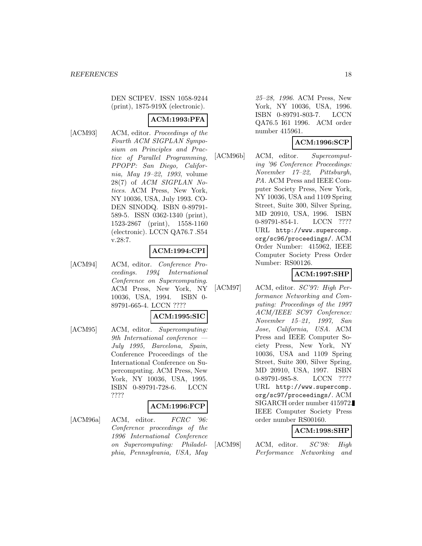DEN SCIPEV. ISSN 1058-9244 (print), 1875-919X (electronic).

# **ACM:1993:PFA**

[ACM93] ACM, editor. Proceedings of the Fourth ACM SIGPLAN Symposium on Principles and Practice of Parallel Programming, PPOPP: San Diego, California, May 19–22, 1993, volume 28(7) of ACM SIGPLAN Notices. ACM Press, New York, NY 10036, USA, July 1993. CO-DEN SINODQ. ISBN 0-89791- 589-5. ISSN 0362-1340 (print), 1523-2867 (print), 1558-1160 (electronic). LCCN QA76.7 .S54 v.28:7.

# **ACM:1994:CPI**

[ACM94] ACM, editor. Conference Proceedings. 1994 International Conference on Supercomputing. ACM Press, New York, NY 10036, USA, 1994. ISBN 0- 89791-665-4. LCCN ????

# **ACM:1995:SIC**

[ACM95] ACM, editor. Supercomputing: 9th International conference — July 1995, Barcelona, Spain, Conference Proceedings of the International Conference on Supercomputing. ACM Press, New York, NY 10036, USA, 1995. ISBN 0-89791-728-6. LCCN ????

#### **ACM:1996:FCP**

[ACM96a] ACM, editor. FCRC '96: Conference proceedings of the 1996 International Conference on Supercomputing: Philadelphia, Pennsylvania, USA, May

25–28, 1996. ACM Press, New York, NY 10036, USA, 1996. ISBN 0-89791-803-7. LCCN QA76.5 I61 1996. ACM order number 415961.

# **ACM:1996:SCP**

[ACM96b] ACM, editor. Supercomputing '96 Conference Proceedings: November 17–22, Pittsburgh, PA. ACM Press and IEEE Computer Society Press, New York, NY 10036, USA and 1109 Spring Street, Suite 300, Silver Spring, MD 20910, USA, 1996. ISBN 0-89791-854-1. LCCN ???? URL http://www.supercomp. org/sc96/proceedings/. ACM Order Number: 415962, IEEE Computer Society Press Order Number: RS00126.

# **ACM:1997:SHP**

[ACM97] ACM, editor. SC'97: High Performance Networking and Computing: Proceedings of the 1997 ACM/IEEE SC97 Conference: November 15–21, 1997, San Jose, California, USA. ACM Press and IEEE Computer Society Press, New York, NY 10036, USA and 1109 Spring Street, Suite 300, Silver Spring, MD 20910, USA, 1997. ISBN 0-89791-985-8. LCCN ???? URL http://www.supercomp. org/sc97/proceedings/. ACM SIGARCH order number 415972. IEEE Computer Society Press order number RS00160.

# **ACM:1998:SHP**

[ACM98] ACM, editor. SC'98: High Performance Networking and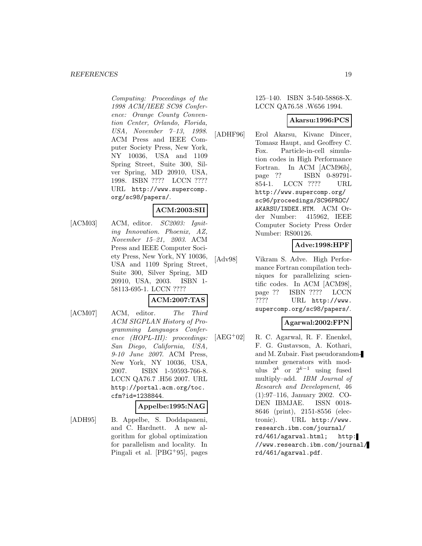#### *REFERENCES* 19

Computing: Proceedings of the 1998 ACM/IEEE SC98 Conference: Orange County Convention Center, Orlando, Florida, USA, November 7–13, 1998. ACM Press and IEEE Computer Society Press, New York, NY 10036, USA and 1109 Spring Street, Suite 300, Silver Spring, MD 20910, USA, 1998. ISBN ???? LCCN ???? URL http://www.supercomp. org/sc98/papers/.

#### **ACM:2003:SII**

[ACM03] ACM, editor. SC2003: Igniting Innovation. Phoenix, AZ, November 15–21, 2003. ACM Press and IEEE Computer Society Press, New York, NY 10036, USA and 1109 Spring Street, Suite 300, Silver Spring, MD 20910, USA, 2003. ISBN 1- 58113-695-1. LCCN ????

#### **ACM:2007:TAS**

[ACM07] ACM, editor. The Third ACM SIGPLAN History of Programming Languages Conference (HOPL-III): proceedings: San Diego, California, USA, 9-10 June 2007. ACM Press, New York, NY 10036, USA, 2007. ISBN 1-59593-766-8. LCCN QA76.7 .H56 2007. URL http://portal.acm.org/toc. cfm?id=1238844.

#### **Appelbe:1995:NAG**

[ADH95] B. Appelbe, S. Doddapaneni, and C. Hardnett. A new algorithm for global optimization for parallelism and locality. In Pingali et al. [PBG<sup>+</sup>95], pages

#### 125–140. ISBN 3-540-58868-X. LCCN QA76.58 .W656 1994.

#### **Akarsu:1996:PCS**

[ADHF96] Erol Akarsu, Kivanc Dincer, Tomasz Haupt, and Geoffrey C. Fox. Particle-in-cell simulation codes in High Performance Fortran. In ACM [ACM96b], page ?? ISBN 0-89791- 854-1. LCCN ???? URL http://www.supercomp.org/ sc96/proceedings/SC96PROC/ AKARSU/INDEX.HTM. ACM Order Number: 415962, IEEE Computer Society Press Order Number: RS00126.

# **Adve:1998:HPF**

[Adv98] Vikram S. Adve. High Performance Fortran compilation techniques for parallelizing scientific codes. In ACM [ACM98], page ?? ISBN ???? LCCN ???? URL http://www. supercomp.org/sc98/papers/.

# **Agarwal:2002:FPN**

[AEG<sup>+</sup>02] R. C. Agarwal, R. F. Enenkel, F. G. Gustavson, A. Kothari, and M. Zubair. Fast pseudorandomnumber generators with modulus  $2^k$  or  $2^{k-1}$  using fused multiply–add. IBM Journal of Research and Development, 46 (1):97–116, January 2002. CO-DEN IBMJAE. ISSN 0018- 8646 (print), 2151-8556 (electronic). URL http://www. research.ibm.com/journal/ rd/461/agarwal.html; http: //www.research.ibm.com/journal/ rd/461/agarwal.pdf.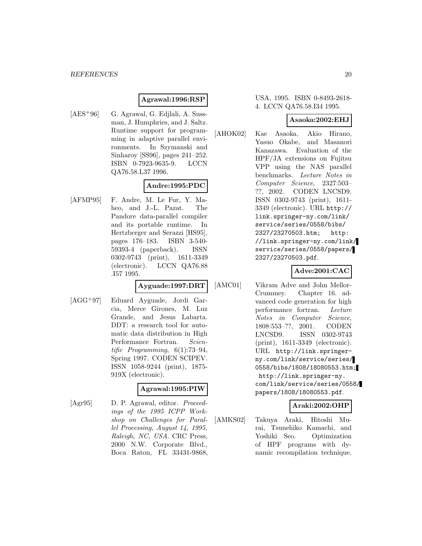# **Agrawal:1996:RSP**

[AES<sup>+</sup>96] G. Agrawal, G. Edjlali, A. Sussman, J. Humphries, and J. Saltz. Runtime support for programming in adaptive parallel environments. In Szymanski and Sinharoy [SS96], pages 241–252. ISBN 0-7923-9635-9. LCCN QA76.58.L37 1996.

# **Andre:1995:PDC**

[AFMP95] F. Andre, M. Le Fur, Y. Maheo, and J.-L. Pazat. The Pandore data-parallel compiler and its portable runtime. In Hertzberger and Serazzi [HS95], pages 176–183. ISBN 3-540- 59393-4 (paperback). ISSN 0302-9743 (print), 1611-3349 (electronic). LCCN QA76.88 .I57 1995.

# **Ayguade:1997:DRT**

[AGG<sup>+</sup>97] Eduard Ayguade, Jordi Garcia, Merce Girones, M. Luz Grande, and Jesus Labarta. DDT: a research tool for automatic data distribution in High Performance Fortran. Scientific Programming, 6(1):73–94, Spring 1997. CODEN SCIPEV. ISSN 1058-9244 (print), 1875- 919X (electronic).

#### **Agrawal:1995:PIW**

[Agr95] D. P. Agrawal, editor. Proceedings of the 1995 ICPP Workshop on Challenges for Parallel Processing, August 14, 1995, Raleigh, NC, USA. CRC Press, 2000 N.W. Corporate Blvd., Boca Raton, FL 33431-9868,

#### USA, 1995. ISBN 0-8493-2618- 4. LCCN QA76.58.I34 1995.

# **Asaoka:2002:EHJ**

[AHOK02] Kae Asaoka, Akio Hirano, Yasuo Okabe, and Masanori Kanazawa. Evaluation of the HPF/JA extensions on Fujitsu VPP using the NAS parallel benchmarks. Lecture Notes in Computer Science, 2327:503– ??, 2002. CODEN LNCSD9. ISSN 0302-9743 (print), 1611- 3349 (electronic). URL http:// link.springer-ny.com/link/ service/series/0558/bibs/ 2327/23270503.htm; http: //link.springer-ny.com/link/ service/series/0558/papers/ 2327/23270503.pdf.

# **Adve:2001:CAC**

[AMC01] Vikram Adve and John Mellor-Crummey. Chapter 16. advanced code generation for high performance fortran. Lecture Notes in Computer Science, 1808:553–??, 2001. CODEN LNCSD9. ISSN 0302-9743 (print), 1611-3349 (electronic). URL http://link.springerny.com/link/service/series/ 0558/bibs/1808/18080553.htm; http://link.springer-ny. com/link/service/series/0558/ papers/1808/18080553.pdf.

# **Araki:2002:OHP**

[AMKS02] Takuya Araki, Hitoshi Murai, Tsunehiko Kamachi, and Yoshiki Seo. Optimization of HPF programs with dynamic recompilation technique.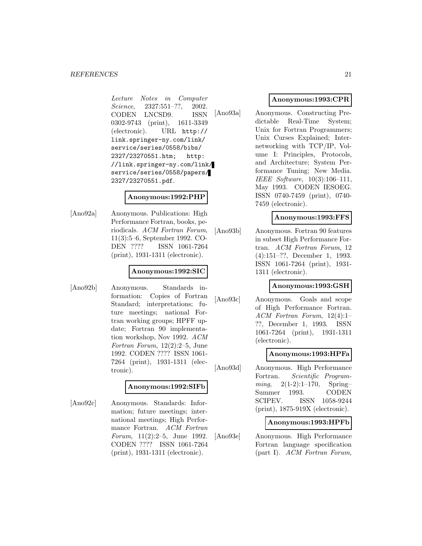Lecture Notes in Computer Science, 2327:551-??, 2002. CODEN LNCSD9. ISSN 0302-9743 (print), 1611-3349 (electronic). URL http:// link.springer-ny.com/link/ service/series/0558/bibs/ 2327/23270551.htm; http: //link.springer-ny.com/link/ service/series/0558/papers/ 2327/23270551.pdf.

#### **Anonymous:1992:PHP**

[Ano92a] Anonymous. Publications: High Performance Fortran, books, periodicals. ACM Fortran Forum, 11(3):5–6, September 1992. CO-DEN ???? ISSN 1061-7264 (print), 1931-1311 (electronic).

# **Anonymous:1992:SIC**

[Ano92b] Anonymous. Standards information: Copies of Fortran Standard; interpretations; future meetings; national Fortran working groups; HPFF update; Fortran 90 implementation workshop, Nov 1992. ACM Fortran Forum, 12(2):2–5, June 1992. CODEN ???? ISSN 1061- 7264 (print), 1931-1311 (electronic).

# **Anonymous:1992:SIFb**

[Ano92c] Anonymous. Standards: Information; future meetings; international meetings; High Performance Fortran. ACM Fortran Forum, 11(2):2–5, June 1992. CODEN ???? ISSN 1061-7264 (print), 1931-1311 (electronic).

# **Anonymous:1993:CPR**

[Ano93a] Anonymous. Constructing Predictable Real-Time System; Unix for Fortran Programmers; Unix Curses Explained; Internetworking with TCP/IP, Volume I: Principles, Protocols, and Architecture; System Performance Tuning; New Media. IEEE Software, 10(3):106–111, May 1993. CODEN IESOEG. ISSN 0740-7459 (print), 0740- 7459 (electronic).

#### **Anonymous:1993:FFS**

[Ano93b] Anonymous. Fortran 90 features in subset High Performance Fortran. ACM Fortran Forum, 12 (4):151–??, December 1, 1993. ISSN 1061-7264 (print), 1931- 1311 (electronic).

# **Anonymous:1993:GSH**

[Ano93c] Anonymous. Goals and scope of High Performance Fortran. ACM Fortran Forum, 12(4):1– ??, December 1, 1993. ISSN 1061-7264 (print), 1931-1311 (electronic).

# **Anonymous:1993:HPFa**

[Ano93d] Anonymous. High Performance Fortran. Scientific Program $ming, \quad 2(1-2):1-170, \quad Spring-$ Summer 1993. CODEN SCIPEV. ISSN 1058-9244 (print), 1875-919X (electronic).

# **Anonymous:1993:HPFb**

[Ano93e] Anonymous. High Performance Fortran language specification (part I). ACM Fortran Forum,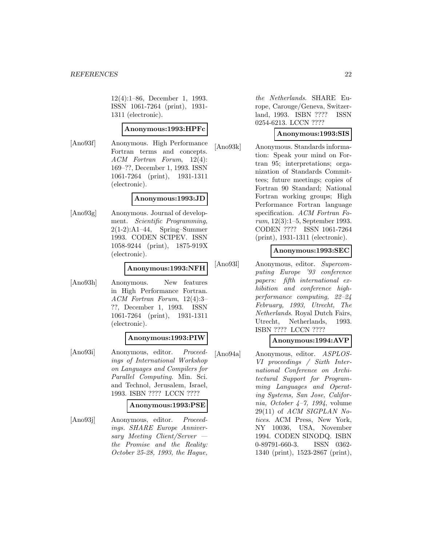12(4):1–86, December 1, 1993. ISSN 1061-7264 (print), 1931- 1311 (electronic).

#### **Anonymous:1993:HPFc**

[Ano93f] Anonymous. High Performance Fortran terms and concepts. ACM Fortran Forum, 12(4): 169–??, December 1, 1993. ISSN 1061-7264 (print), 1931-1311 (electronic).

#### **Anonymous:1993:JD**

[Ano93g] Anonymous. Journal of development. Scientific Programming, 2(1-2):A1–44, Spring–Summer 1993. CODEN SCIPEV. ISSN 1058-9244 (print), 1875-919X (electronic).

# **Anonymous:1993:NFH**

[Ano93h] Anonymous. New features in High Performance Fortran. ACM Fortran Forum, 12(4):3– ??, December 1, 1993. ISSN 1061-7264 (print), 1931-1311 (electronic).

# **Anonymous:1993:PIW**

[Ano93i] Anonymous, editor. Proceedings of International Workshop on Languages and Compilers for Parallel Computing. Min. Sci. and Technol, Jerusalem, Israel, 1993. ISBN ???? LCCN ????

#### **Anonymous:1993:PSE**

[Ano93j] Anonymous, editor. Proceedings. SHARE Europe Anniversary Meeting Client/Server the Promise and the Reality: October 25-28, 1993, the Hague,

the Netherlands. SHARE Europe, Carouge/Geneva, Switzerland, 1993. ISBN ???? ISSN 0254-6213. LCCN ????

# **Anonymous:1993:SIS**

[Ano93k] Anonymous. Standards information: Speak your mind on Fortran 95; interpretations; organization of Standards Committees; future meetings; copies of Fortran 90 Standard; National Fortran working groups; High Performance Fortran language specification. ACM Fortran Forum, 12(3):1–5, September 1993. CODEN ???? ISSN 1061-7264 (print), 1931-1311 (electronic).

# **Anonymous:1993:SEC**

[Ano93l] Anonymous, editor. Supercomputing Europe '93 conference papers: fifth international exhibition and conference highperformance computing, 22–24 February, 1993, Utrecht, The Netherlands. Royal Dutch Fairs, Utrecht, Netherlands, 1993. ISBN ???? LCCN ????

# **Anonymous:1994:AVP**

[Ano94a] Anonymous, editor. ASPLOS-VI proceedings / Sixth International Conference on Architectural Support for Programming Languages and Operating Systems, San Jose, California, October 4–7, 1994, volume  $29(11)$  of ACM SIGPLAN Notices. ACM Press, New York, NY 10036, USA, November 1994. CODEN SINODQ. ISBN 0-89791-660-3. ISSN 0362- 1340 (print), 1523-2867 (print),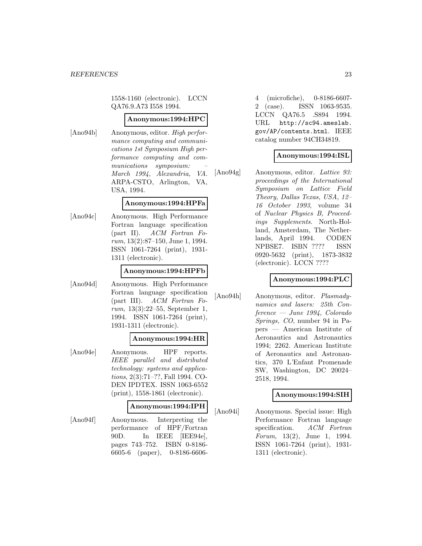1558-1160 (electronic). LCCN QA76.9.A73 I558 1994.

#### **Anonymous:1994:HPC**

[Ano94b] Anonymous, editor. High performance computing and communications 1st Symposium High performance computing and communications symposium: March 1994, Alexandria, VA. ARPA-CSTO, Arlington, VA, USA, 1994.

#### **Anonymous:1994:HPFa**

[Ano94c] Anonymous. High Performance Fortran language specification (part II). ACM Fortran Fo $rum, 13(2):87-150, June 1, 1994.$ ISSN 1061-7264 (print), 1931- 1311 (electronic).

#### **Anonymous:1994:HPFb**

[Ano94d] Anonymous. High Performance Fortran language specification (part III). ACM Fortran Forum, 13(3):22–55, September 1, 1994. ISSN 1061-7264 (print), 1931-1311 (electronic).

#### **Anonymous:1994:HR**

[Ano94e] Anonymous. HPF reports. IEEE parallel and distributed technology: systems and applications, 2(3):71–??, Fall 1994. CO-DEN IPDTEX. ISSN 1063-6552 (print), 1558-1861 (electronic).

#### **Anonymous:1994:IPH**

[Ano94f] Anonymous. Interpreting the performance of HPF/Fortran 90D. In IEEE [IEE94e], pages 743–752. ISBN 0-8186- 6605-6 (paper), 0-8186-66064 (microfiche), 0-8186-6607- 2 (case). ISSN 1063-9535. LCCN QA76.5 .S894 1994. URL http://sc94.ameslab. gov/AP/contents.html. IEEE catalog number 94CH34819.

# **Anonymous:1994:ISL**

[Ano94g] Anonymous, editor. Lattice 93: proceedings of the International Symposium on Lattice Field Theory, Dallas Texas, USA, 12– 16 October 1993, volume 34 of Nuclear Physics B, Proceedings Supplements. North-Holland, Amsterdam, The Netherlands, April 1994. CODEN NPBSE7. ISBN ???? ISSN 0920-5632 (print), 1873-3832 (electronic). LCCN ????

# **Anonymous:1994:PLC**

[Ano94h] Anonymous, editor. Plasmadynamics and lasers: 25th Conference — June 1994, Colorado Springs, CO, number 94 in Papers — American Institute of Aeronautics and Astronautics 1994; 2262. American Institute of Aeronautics and Astronautics, 370 L'Enfant Promenade SW, Washington, DC 20024– 2518, 1994.

#### **Anonymous:1994:SIH**

[Ano94i] Anonymous. Special issue: High Performance Fortran language specification. ACM Fortran Forum, 13(2), June 1, 1994. ISSN 1061-7264 (print), 1931- 1311 (electronic).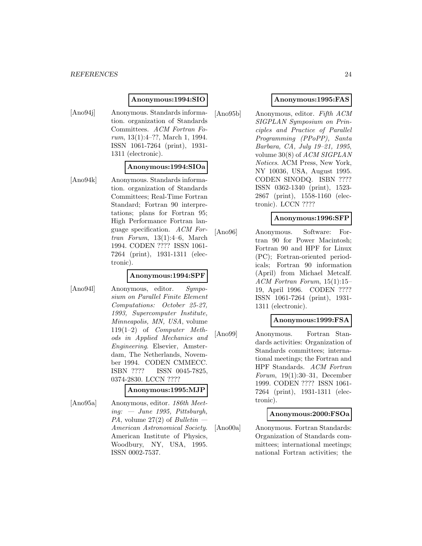#### **Anonymous:1994:SIO**

[Ano94j] Anonymous. Standards information. organization of Standards Committees. ACM Fortran Forum, 13(1):4–??, March 1, 1994. ISSN 1061-7264 (print), 1931- 1311 (electronic).

#### **Anonymous:1994:SIOa**

[Ano94k] Anonymous. Standards information. organization of Standards Committees; Real-Time Fortran Standard; Fortran 90 interpretations; plans for Fortran 95; High Performance Fortran language specification. ACM Fortran Forum,  $13(1):4-6$ , March 1994. CODEN ???? ISSN 1061- 7264 (print), 1931-1311 (electronic).

# **Anonymous:1994:SPF**

[Ano94l] Anonymous, editor. Symposium on Parallel Finite Element Computations: October 25-27, 1993, Supercomputer Institute, Minneapolis, MN, USA, volume 119(1–2) of Computer Methods in Applied Mechanics and Engineering. Elsevier, Amsterdam, The Netherlands, November 1994. CODEN CMMECC. ISBN ???? ISSN 0045-7825, 0374-2830. LCCN ????

#### **Anonymous:1995:MJP**

[Ano95a] Anonymous, editor. 186th Meet $ing: - June 1995, Pittsburgh,$ PA, volume  $27(2)$  of Bulletin – American Astronomical Society. American Institute of Physics, Woodbury, NY, USA, 1995. ISSN 0002-7537.

#### **Anonymous:1995:FAS**

[Ano95b] Anonymous, editor. Fifth ACM SIGPLAN Symposium on Principles and Practice of Parallel Programming (PPoPP), Santa Barbara, CA, July 19–21, 1995, volume 30(8) of ACM SIGPLAN Notices. ACM Press, New York, NY 10036, USA, August 1995. CODEN SINODQ. ISBN ???? ISSN 0362-1340 (print), 1523- 2867 (print), 1558-1160 (electronic). LCCN ????

# **Anonymous:1996:SFP**

[Ano96] Anonymous. Software: Fortran 90 for Power Macintosh; Fortran 90 and HPF for Linux (PC); Fortran-oriented periodicals; Fortran 90 information (April) from Michael Metcalf. ACM Fortran Forum, 15(1):15– 19, April 1996. CODEN ???? ISSN 1061-7264 (print), 1931- 1311 (electronic).

# **Anonymous:1999:FSA**

[Ano99] Anonymous. Fortran Standards activities: Organization of Standards committees; international meetings; the Fortran and HPF Standards. ACM Fortran Forum, 19(1):30–31, December 1999. CODEN ???? ISSN 1061- 7264 (print), 1931-1311 (electronic).

#### **Anonymous:2000:FSOa**

[Ano00a] Anonymous. Fortran Standards: Organization of Standards committees; international meetings; national Fortran activities; the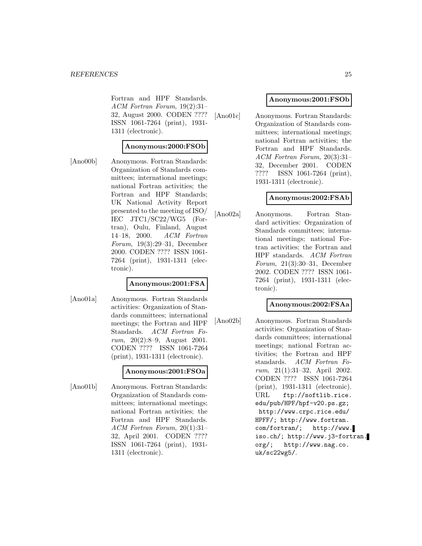Fortran and HPF Standards. ACM Fortran Forum, 19(2):31– 32, August 2000. CODEN ???? ISSN 1061-7264 (print), 1931- 1311 (electronic).

#### **Anonymous:2000:FSOb**

[Ano00b] Anonymous. Fortran Standards: Organization of Standards committees; international meetings; national Fortran activities; the Fortran and HPF Standards; UK National Activity Report presented to the meeting of ISO/ IEC JTC1/SC22/WG5 (Fortran), Oulu, Finland, August 14–18, 2000. ACM Fortran Forum, 19(3):29–31, December 2000. CODEN ???? ISSN 1061- 7264 (print), 1931-1311 (electronic).

#### **Anonymous:2001:FSA**

[Ano01a] Anonymous. Fortran Standards activities: Organization of Standards committees; international meetings; the Fortran and HPF Standards. ACM Fortran Forum, 20(2):8–9, August 2001. CODEN ???? ISSN 1061-7264 (print), 1931-1311 (electronic).

# **Anonymous:2001:FSOa**

[Ano01b] Anonymous. Fortran Standards: Organization of Standards committees; international meetings; national Fortran activities; the Fortran and HPF Standards. ACM Fortran Forum, 20(1):31– 32, April 2001. CODEN ???? ISSN 1061-7264 (print), 1931- 1311 (electronic).

#### **Anonymous:2001:FSOb**

[Ano01c] Anonymous. Fortran Standards: Organization of Standards committees; international meetings; national Fortran activities; the Fortran and HPF Standards. ACM Fortran Forum, 20(3):31– 32, December 2001. CODEN ???? ISSN 1061-7264 (print), 1931-1311 (electronic).

# **Anonymous:2002:FSAb**

[Ano02a] Anonymous. Fortran Standard activities: Organization of Standards committees; international meetings; national Fortran activities; the Fortran and HPF standards. ACM Fortran Forum, 21(3):30–31, December 2002. CODEN ???? ISSN 1061- 7264 (print), 1931-1311 (electronic).

# **Anonymous:2002:FSAa**

[Ano02b] Anonymous. Fortran Standards activities: Organization of Standards committees; international meetings; national Fortran activities; the Fortran and HPF standards. ACM Fortran Forum, 21(1):31–32, April 2002. CODEN ???? ISSN 1061-7264 (print), 1931-1311 (electronic). URL ftp://softlib.rice. edu/pub/HPF/hpf-v20.ps.gz; http://www.crpc.rice.edu/ HPFF/; http://www.fortran. com/fortran/; http://www. iso.ch/; http://www.j3-fortran. org/; http://www.nag.co. uk/sc22wg5/.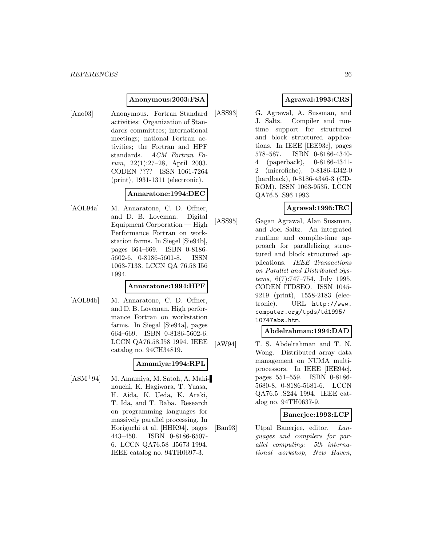#### **Anonymous:2003:FSA**

[Ano03] Anonymous. Fortran Standard activities: Organization of Standards committees; international meetings; national Fortran activities; the Fortran and HPF standards. ACM Fortran Forum, 22(1):27–28, April 2003. CODEN ???? ISSN 1061-7264 (print), 1931-1311 (electronic).

# **Annaratone:1994:DEC**

[AOL94a] M. Annaratone, C. D. Offner, and D. B. Loveman. Digital Equipment Corporation — High Performance Fortran on workstation farms. In Siegel [Sie94b], pages 664–669. ISBN 0-8186- 5602-6, 0-8186-5601-8. ISSN 1063-7133. LCCN QA 76.58 I56 1994.

#### **Annaratone:1994:HPF**

[AOL94b] M. Annaratone, C. D. Offner, and D. B. Loveman. High performance Fortran on workstation farms. In Siegal [Sie94a], pages 664–669. ISBN 0-8186-5602-6. LCCN QA76.58.I58 1994. IEEE catalog no. 94CH34819.

# **Amamiya:1994:RPL**

[ASM<sup>+</sup>94] M. Amamiya, M. Satoh, A. Makinouchi, K. Hagiwara, T. Yuasa, H. Aida, K. Ueda, K. Araki, T. Ida, and T. Baba. Research on programming languages for massively parallel processing. In Horiguchi et al. [HHK94], pages 443–450. ISBN 0-8186-6507- 6. LCCN QA76.58 .I5673 1994. IEEE catalog no. 94TH0697-3.

# **Agrawal:1993:CRS**

[ASS93] G. Agrawal, A. Sussman, and J. Saltz. Compiler and runtime support for structured and block structured applications. In IEEE [IEE93c], pages 578–587. ISBN 0-8186-4340- 4 (paperback), 0-8186-4341- 2 (microfiche), 0-8186-4342-0 (hardback), 0-8186-4346-3 (CD-ROM). ISSN 1063-9535. LCCN QA76.5 .S96 1993.

# **Agrawal:1995:IRC**

[ASS95] Gagan Agrawal, Alan Sussman, and Joel Saltz. An integrated runtime and compile-time approach for parallelizing structured and block structured applications. IEEE Transactions on Parallel and Distributed Systems, 6(7):747–754, July 1995. CODEN ITDSEO. ISSN 1045- 9219 (print), 1558-2183 (electronic). URL http://www. computer.org/tpds/td1995/ l0747abs.htm.

#### **Abdelrahman:1994:DAD**

[AW94] T. S. Abdelrahman and T. N. Wong. Distributed array data management on NUMA multiprocessors. In IEEE [IEE94c], pages 551–559. ISBN 0-8186- 5680-8, 0-8186-5681-6. LCCN QA76.5 .S244 1994. IEEE catalog no. 94TH0637-9.

#### **Banerjee:1993:LCP**

[Ban93] Utpal Banerjee, editor. Languages and compilers for parallel computing: 5th international workshop, New Haven,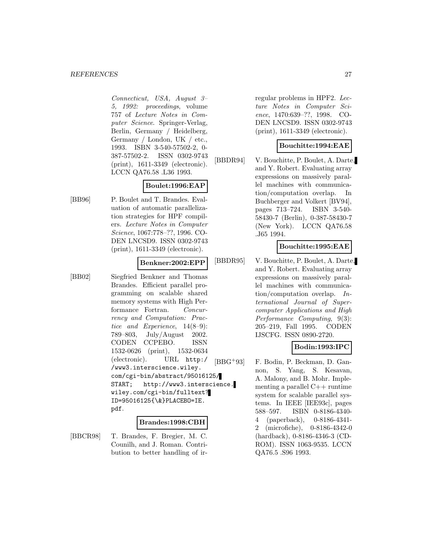#### *REFERENCES* 27

Connecticut, USA, August 3– 5, 1992: proceedings, volume 757 of Lecture Notes in Computer Science. Springer-Verlag, Berlin, Germany / Heidelberg, Germany / London, UK / etc., 1993. ISBN 3-540-57502-2, 0- 387-57502-2. ISSN 0302-9743 (print), 1611-3349 (electronic). LCCN QA76.58 .L36 1993.

# **Boulet:1996:EAP**

[BB96] P. Boulet and T. Brandes. Evaluation of automatic parallelization strategies for HPF compilers. Lecture Notes in Computer Science, 1067:778–??, 1996. CO-DEN LNCSD9. ISSN 0302-9743 (print), 1611-3349 (electronic).

#### **Benkner:2002:EPP**

[BB02] Siegfried Benkner and Thomas Brandes. Efficient parallel programming on scalable shared memory systems with High Performance Fortran. Concurrency and Computation: Practice and Experience, 14(8–9): 789–803, July/August 2002. CODEN CCPEBO. ISSN 1532-0626 (print), 1532-0634 (electronic). URL http:/ /www3.interscience.wiley. com/cgi-bin/abstract/95016125/ START; http://www3.interscience. wiley.com/cgi-bin/fulltext? ID=95016125{\&}PLACEBO=IE. pdf.

#### **Brandes:1998:CBH**

[BBCR98] T. Brandes, F. Bregier, M. C. Counilh, and J. Roman. Contribution to better handling of irregular problems in HPF2. Lecture Notes in Computer Science, 1470:639–??, 1998. CO-DEN LNCSD9. ISSN 0302-9743 (print), 1611-3349 (electronic).

#### **Bouchitte:1994:EAE**

[BBDR94] V. Bouchitte, P. Boulet, A. Darte, and Y. Robert. Evaluating array expressions on massively parallel machines with communication/computation overlap. In Buchberger and Volkert [BV94], pages 713–724. ISBN 3-540- 58430-7 (Berlin), 0-387-58430-7 (New York). LCCN QA76.58 .J65 1994.

#### **Bouchitte:1995:EAE**

[BBDR95] V. Bouchitte, P. Boulet, A. Darte, and Y. Robert. Evaluating array expressions on massively parallel machines with communication/computation overlap. International Journal of Supercomputer Applications and High Performance Computing, 9(3): 205–219, Fall 1995. CODEN IJSCFG. ISSN 0890-2720.

# **Bodin:1993:IPC**

[BBG<sup>+</sup>93] F. Bodin, P. Beckman, D. Gannon, S. Yang, S. Kesavan, A. Malony, and B. Mohr. Implementing a parallel C++ runtime system for scalable parallel systems. In IEEE [IEE93c], pages 588–597. ISBN 0-8186-4340- 4 (paperback), 0-8186-4341- 2 (microfiche), 0-8186-4342-0 (hardback), 0-8186-4346-3 (CD-ROM). ISSN 1063-9535. LCCN QA76.5 .S96 1993.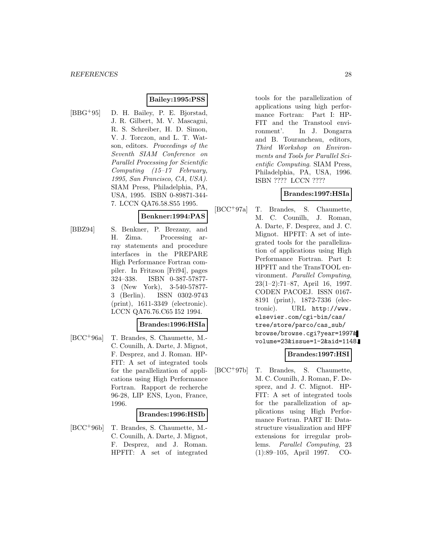#### **Bailey:1995:PSS**

[BBG<sup>+</sup>95] D. H. Bailey, P. E. Bjorstad, J. R. Gilbert, M. V. Mascagni, R. S. Schreiber, H. D. Simon, V. J. Torczon, and L. T. Watson, editors. Proceedings of the Seventh SIAM Conference on Parallel Processing for Scientific Computing (15–17 February, 1995, San Francisco, CA, USA). SIAM Press, Philadelphia, PA, USA, 1995. ISBN 0-89871-344- 7. LCCN QA76.58.S55 1995.

#### **Benkner:1994:PAS**

[BBZ94] S. Benkner, P. Brezany, and H. Zima. Processing array statements and procedure interfaces in the PREPARE High Performance Fortran compiler. In Fritzson [Fri94], pages 324–338. ISBN 0-387-57877- 3 (New York), 3-540-57877- 3 (Berlin). ISSN 0302-9743 (print), 1611-3349 (electronic). LCCN QA76.76.C65 I52 1994.

#### **Brandes:1996:HSIa**

[BCC<sup>+</sup>96a] T. Brandes, S. Chaumette, M.- C. Counilh, A. Darte, J. Mignot, F. Desprez, and J. Roman. HP-FIT: A set of integrated tools for the parallelization of applications using High Performance Fortran. Rapport de recherche 96-28, LIP ENS, Lyon, France, 1996.

#### **Brandes:1996:HSIb**

[BCC<sup>+</sup>96b] T. Brandes, S. Chaumette, M.- C. Counilh, A. Darte, J. Mignot, F. Desprez, and J. Roman. HPFIT: A set of integrated tools for the parallelization of applications using high performance Fortran: Part I: HP-FIT and the Transtool environment'. In J. Dongarra and B. Tourancheau, editors, Third Workshop on Environments and Tools for Parallel Scientific Computing. SIAM Press, Philadelphia, PA, USA, 1996. ISBN ???? LCCN ????

# **Brandes:1997:HSIa**

[BCC<sup>+</sup>97a] T. Brandes, S. Chaumette, M. C. Counilh, J. Roman, A. Darte, F. Desprez, and J. C. Mignot. HPFIT: A set of integrated tools for the parallelization of applications using High Performance Fortran. Part I: HPFIT and the TransTOOL environment. Parallel Computing, 23(1–2):71–87, April 16, 1997. CODEN PACOEJ. ISSN 0167- 8191 (print), 1872-7336 (electronic). URL http://www. elsevier.com/cgi-bin/cas/ tree/store/parco/cas\_sub/ browse/browse.cgi?year=1997& volume=23&issue=1-2&aid=1148.

# **Brandes:1997:HSI**

[BCC<sup>+</sup>97b] T. Brandes, S. Chaumette, M. C. Counilh, J. Roman, F. Desprez, and J. C. Mignot. HP-FIT: A set of integrated tools for the parallelization of applications using High Performance Fortran. PART II: Datastructure visualization and HPF extensions for irregular problems. Parallel Computing, 23 (1):89–105, April 1997. CO-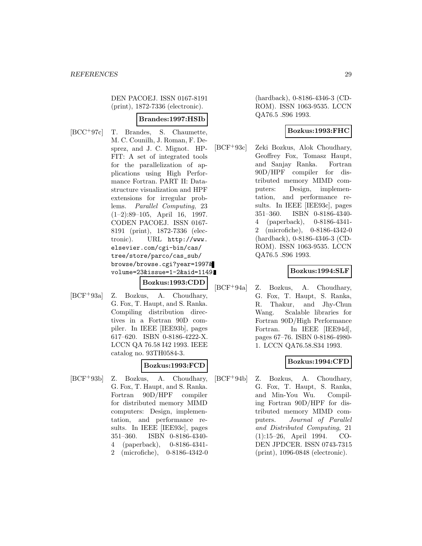DEN PACOEJ. ISSN 0167-8191 (print), 1872-7336 (electronic).

#### **Brandes:1997:HSIb**

[BCC<sup>+</sup>97c] T. Brandes, S. Chaumette, M. C. Counilh, J. Roman, F. Desprez, and J. C. Mignot. HP-FIT: A set of integrated tools for the parallelization of applications using High Performance Fortran. PART II: Datastructure visualization and HPF extensions for irregular problems. Parallel Computing, 23 (1–2):89–105, April 16, 1997. CODEN PACOEJ. ISSN 0167- 8191 (print), 1872-7336 (electronic). URL http://www. elsevier.com/cgi-bin/cas/ tree/store/parco/cas\_sub/ browse/browse.cgi?year=1997& volume=23&issue=1-2&aid=1149.

**Bozkus:1993:CDD**

[BCF<sup>+</sup>93a] Z. Bozkus, A. Choudhary, G. Fox, T. Haupt, and S. Ranka. Compiling distribution directives in a Fortran 90D compiler. In IEEE [IEE93b], pages 617–620. ISBN 0-8186-4222-X. LCCN QA 76.58 I42 1993. IEEE catalog no. 93TH0584-3.

# **Bozkus:1993:FCD**

[BCF<sup>+</sup>93b] Z. Bozkus, A. Choudhary, G. Fox, T. Haupt, and S. Ranka. Fortran 90D/HPF compiler for distributed memory MIMD computers: Design, implementation, and performance results. In IEEE [IEE93c], pages 351–360. ISBN 0-8186-4340- 4 (paperback), 0-8186-4341- 2 (microfiche), 0-8186-4342-0

(hardback), 0-8186-4346-3 (CD-ROM). ISSN 1063-9535. LCCN QA76.5 .S96 1993.

# **Bozkus:1993:FHC**

[BCF<sup>+</sup>93c] Zeki Bozkus, Alok Choudhary, Geoffrey Fox, Tomasz Haupt, and Sanjay Ranka. Fortran 90D/HPF compiler for distributed memory MIMD computers: Design, implementation, and performance results. In IEEE [IEE93c], pages 351–360. ISBN 0-8186-4340- 4 (paperback), 0-8186-4341- 2 (microfiche), 0-8186-4342-0 (hardback), 0-8186-4346-3 (CD-ROM). ISSN 1063-9535. LCCN QA76.5 .S96 1993.

#### **Bozkus:1994:SLF**

[BCF<sup>+</sup>94a] Z. Bozkus, A. Choudhary, G. Fox, T. Haupt, S. Ranka, R. Thakur, and Jhy-Chun Wang. Scalable libraries for Fortran 90D/High Performance Fortran. In IEEE [IEE94d], pages 67–76. ISBN 0-8186-4980- 1. LCCN QA76.58.S34 1993.

# **Bozkus:1994:CFD**

[BCF<sup>+</sup>94b] Z. Bozkus, A. Choudhary, G. Fox, T. Haupt, S. Ranka, and Min-You Wu. Compiling Fortran 90D/HPF for distributed memory MIMD computers. Journal of Parallel and Distributed Computing, 21 (1):15–26, April 1994. CO-DEN JPDCER. ISSN 0743-7315 (print), 1096-0848 (electronic).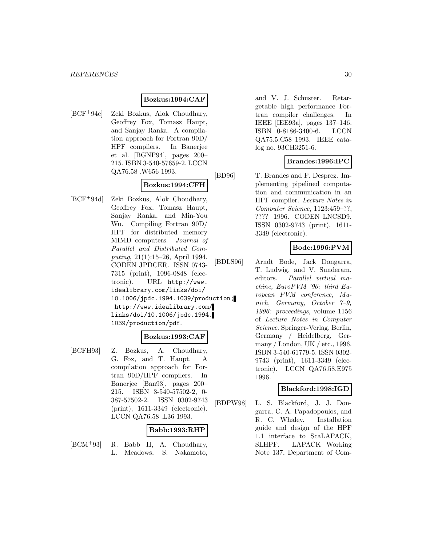# **Bozkus:1994:CAF**

[BCF<sup>+</sup>94c] Zeki Bozkus, Alok Choudhary, Geoffrey Fox, Tomasz Haupt, and Sanjay Ranka. A compilation approach for Fortran 90D/ HPF compilers. In Banerjee et al. [BGNP94], pages 200– 215. ISBN 3-540-57659-2. LCCN QA76.58 .W656 1993.

# **Bozkus:1994:CFH**

[BCF<sup>+</sup>94d] Zeki Bozkus, Alok Choudhary, Geoffrey Fox, Tomasz Haupt, Sanjay Ranka, and Min-You Wu. Compiling Fortran 90D/ HPF for distributed memory MIMD computers. Journal of Parallel and Distributed Computing, 21(1):15–26, April 1994. CODEN JPDCER. ISSN 0743- 7315 (print), 1096-0848 (electronic). URL http://www. idealibrary.com/links/doi/ 10.1006/jpdc.1994.1039/production; http://www.idealibrary.com/ links/doi/10.1006/jpdc.1994. 1039/production/pdf.

#### **Bozkus:1993:CAF**

[BCFH93] Z. Bozkus, A. Choudhary, G. Fox, and T. Haupt. A compilation approach for Fortran 90D/HPF compilers. In Banerjee [Ban93], pages 200– 215. ISBN 3-540-57502-2, 0- 387-57502-2. ISSN 0302-9743 (print), 1611-3349 (electronic). LCCN QA76.58 .L36 1993.

# **Babb:1993:RHP**

[BCM<sup>+</sup>93] R. Babb II, A. Choudhary, L. Meadows, S. Nakamoto, and V. J. Schuster. Retargetable high performance Fortran compiler challenges. In IEEE [IEE93a], pages 137–146. ISBN 0-8186-3400-6. LCCN QA75.5.C58 1993. IEEE catalog no. 93CH3251-6.

# **Brandes:1996:IPC**

[BD96] T. Brandes and F. Desprez. Implementing pipelined computation and communication in an HPF compiler. Lecture Notes in Computer Science, 1123:459–??, ???? 1996. CODEN LNCSD9. ISSN 0302-9743 (print), 1611- 3349 (electronic).

# **Bode:1996:PVM**

[BDLS96] Arndt Bode, Jack Dongarra, T. Ludwig, and V. Sunderam, editors. Parallel virtual machine, EuroPVM '96: third European PVM conference, Munich, Germany, October 7–9, 1996: proceedings, volume 1156 of Lecture Notes in Computer Science. Springer-Verlag, Berlin, Germany / Heidelberg, Germany / London, UK / etc., 1996. ISBN 3-540-61779-5. ISSN 0302- 9743 (print), 1611-3349 (electronic). LCCN QA76.58.E975 1996.

# **Blackford:1998:IGD**

[BDPW98] L. S. Blackford, J. J. Dongarra, C. A. Papadopoulos, and R. C. Whaley. Installation guide and design of the HPF 1.1 interface to ScaLAPACK, SLHPF. LAPACK Working Note 137, Department of Com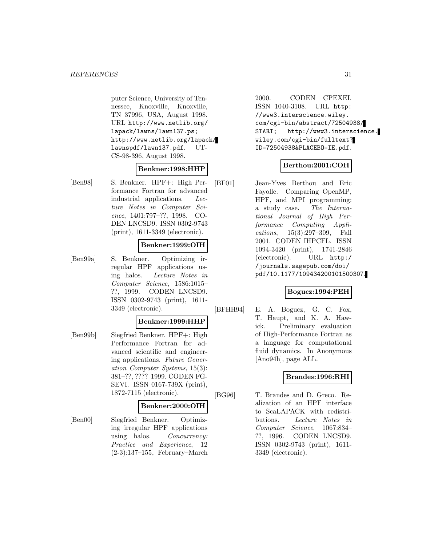puter Science, University of Tennessee, Knoxville, Knoxville, TN 37996, USA, August 1998. URL http://www.netlib.org/ lapack/lawns/lawn137.ps; http://www.netlib.org/lapack/ lawnspdf/lawn137.pdf. UT-CS-98-396, August 1998.

#### **Benkner:1998:HHP**

[Ben98] S. Benkner. HPF+: High Performance Fortran for advanced industrial applications. Lecture Notes in Computer Science, 1401:797–??, 1998. CO-DEN LNCSD9. ISSN 0302-9743 (print), 1611-3349 (electronic).

#### **Benkner:1999:OIH**

[Ben99a] S. Benkner. Optimizing irregular HPF applications using halos. Lecture Notes in Computer Science, 1586:1015– ??, 1999. CODEN LNCSD9. ISSN 0302-9743 (print), 1611- 3349 (electronic).

# **Benkner:1999:HHP**

[Ben99b] Siegfried Benkner. HPF+: High Performance Fortran for advanced scientific and engineering applications. Future Generation Computer Systems, 15(3): 381–??, ???? 1999. CODEN FG-SEVI. ISSN 0167-739X (print), 1872-7115 (electronic).

# **Benkner:2000:OIH**

[Ben00] Siegfried Benkner. Optimizing irregular HPF applications using halos. Concurrency: Practice and Experience, 12 (2-3):137–155, February–March 2000. CODEN CPEXEI. ISSN 1040-3108. URL http: //www3.interscience.wiley. com/cgi-bin/abstract/72504938/ START; http://www3.interscience. wiley.com/cgi-bin/fulltext? ID=72504938&PLACEBO=IE.pdf.

# **Berthou:2001:COH**

[BF01] Jean-Yves Berthou and Eric Fayolle. Comparing OpenMP, HPF, and MPI programming: a study case. The International Journal of High Performance Computing Applications, 15(3):297–309, Fall 2001. CODEN IHPCFL. ISSN 1094-3420 (print), 1741-2846 (electronic). URL http:/ /journals.sagepub.com/doi/ pdf/10.1177/109434200101500307.

# **Bogucz:1994:PEH**

[BFHH94] E. A. Bogucz, G. C. Fox, T. Haupt, and K. A. Hawick. Preliminary evaluation of High-Performance Fortran as a language for computational fluid dynamics. In Anonymous [Ano94h], page ALL.

# **Brandes:1996:RHI**

[BG96] T. Brandes and D. Greco. Realization of an HPF interface to ScaLAPACK with redistributions. Lecture Notes in Computer Science, 1067:834– ??, 1996. CODEN LNCSD9. ISSN 0302-9743 (print), 1611- 3349 (electronic).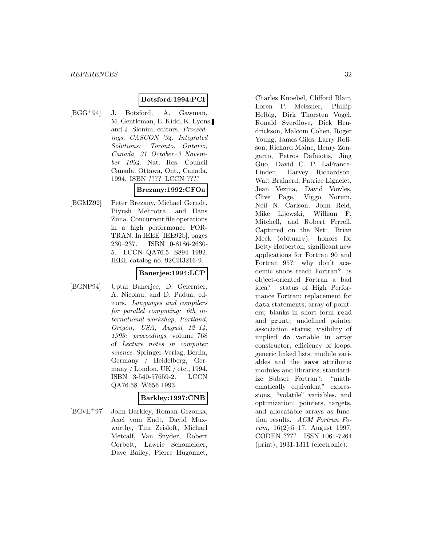#### **Botsford:1994:PCI**

[BGG<sup>+</sup>94] J. Botsford, A. Gawman, M. Gentleman, E. Kidd, K. Lyons, and J. Slonim, editors. Proceedings. CASCON '94. Integrated Solutions: Toronto, Ontario, Canada, 31 October–3 November 1994. Nat. Res. Council Canada, Ottawa, Ont., Canada, 1994. ISBN ???? LCCN ????

# **Brezany:1992:CFOa**

[BGMZ92] Peter Brezany, Michael Gerndt, Piyush Mehrotra, and Hans Zima. Concurrent file operations in a high performance FOR-TRAN. In IEEE [IEE92b], pages 230–237. ISBN 0-8186-2630- 5. LCCN QA76.5 .S894 1992. IEEE catalog no. 92CH3216-9.

# **Banerjee:1994:LCP**

[BGNP94] Uptal Banerjee, D. Gelernter, A. Nicolau, and D. Padua, editors. Languages and compilers for parallel computing: 6th international workshop, Portland, Oregon, USA, August 12–14, 1993: proceedings, volume 768 of Lecture notes in computer science. Springer-Verlag, Berlin, Germany / Heidelberg, Germany / London, UK / etc., 1994. ISBN 3-540-57659-2. LCCN QA76.58 .W656 1993.

# **Barkley:1997:CNB**

[BGvE<sup>+</sup>97] John Barkley, Roman Grzonka, Axel vom Endt, David Muxworthy, Tim Zeisloft, Michael Metcalf, Van Snyder, Robert Corbett, Lawrie Schonfelder, Dave Bailey, Pierre Hugonnet, Charles Knoebel, Clifford Blair, Loren P. Meissner, Phillip Helbig, Dirk Thorsten Vogel, Ronald Sverdlove, Dick Hendrickson, Malcom Cohen, Roger Young, James Giles, Larry Rolison, Richard Maine, Henry Zongarro, Petros Dafniotis, Jing Guo, David C. P. LaFrance-Linden, Harvey Richardson, Walt Brainerd, Patrice Lignelet, Jean Vezina, David Vowles, Clive Page, Viggo Norum, Neil N. Carlson, John Reid, Mike Lijewski, William F. Mitchell, and Robert Ferrell. Captured on the Net: Brian Meek (obituary); honors for Betty Holberton; significant new applications for Fortran 90 and Fortran 95?; why don't academic snobs teach Fortran? is object-oriented Fortran a bad idea? status of High Performance Fortran; replacement for data statements; array of pointers; blanks in short form read and print; undefined pointer association status; visibility of implied do variable in array constructor; efficiency of loops; generic linked lists; module variables and the save attribute; modules and libraries; standardize Subset Fortran?; "mathematically equivalent" expressions, "volatile" variables, and optimization; pointers, targets, and allocatable arrays as function results. ACM Fortran Forum, 16(2):5–17, August 1997. CODEN ???? ISSN 1061-7264 (print), 1931-1311 (electronic).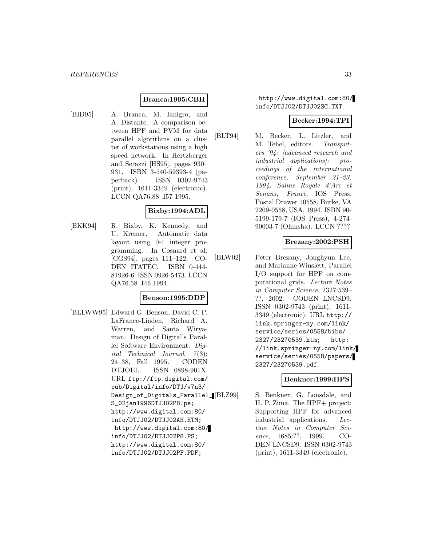# **Branca:1995:CBH**

[BID95] A. Branca, M. Ianigro, and A. Distante. A comparison between HPF and PVM for data parallel algorithms on a cluster of workstations using a high speed network. In Hertzberger and Serazzi [HS95], pages 930– 931. ISBN 3-540-59393-4 (paperback). ISSN 0302-9743 (print), 1611-3349 (electronic). LCCN QA76.88 .I57 1995.

# **Bixby:1994:ADL**

[BKK94] R. Bixby, K. Kennedy, and U. Kremer. Automatic data layout using 0-1 integer programming. In Cosnard et al. [CGS94], pages 111–122. CO-DEN ITATEC. ISBN 0-444- 81926-6. ISSN 0926-5473. LCCN QA76.58 .I46 1994.

#### **Benson:1995:DDP**

[BLLWW95] Edward G. Benson, David C. P. LaFrance-Linden, Richard A. Warren, and Santa Wiryaman. Design of Digital's Parallel Software Environment. Digital Technical Journal, 7(3): 24–38, Fall 1995. CODEN DTJOEL. ISSN 0898-901X. URL ftp://ftp.digital.com/ pub/Digital/info/DTJ/v7n3/ Design\_of\_Digitals\_Parallel\_[BLZ99] S\_02jan1996DTJJ02P8.ps; http://www.digital.com:80/ info/DTJJ02/DTJJ02AH.HTM; http://www.digital.com:80/ info/DTJJ02/DTJJ02P8.PS; http://www.digital.com:80/ info/DTJJ02/DTJJ02PF.PDF;

http://www.digital.com:80/ info/DTJJ02/DTJJ02SC.TXT.

#### **Becker:1994:TPI**

[BLT94] M. Becker, L. Litzler, and M. Tehel, editors. Transputers '94: [advanced research and industrial applications]: proceedings of the international conference, September 21–23, 1994, Saline Royale d'Arc et Senans, France. IOS Press, Postal Drawer 10558, Burke, VA 2209-0558, USA, 1994. ISBN 90- 5199-179-7 (IOS Press), 4-274- 90003-7 (Ohmsha). LCCN ????

#### **Brezany:2002:PSH**

[BLW02] Peter Brezany, Jonghyun Lee, and Marianne Winslett. Parallel I/O support for HPF on computational grids. Lecture Notes in Computer Science, 2327:539– ??, 2002. CODEN LNCSD9. ISSN 0302-9743 (print), 1611- 3349 (electronic). URL http:// link.springer-ny.com/link/ service/series/0558/bibs/ 2327/23270539.htm; http: //link.springer-ny.com/link/ service/series/0558/papers/ 2327/23270539.pdf.

# **Benkner:1999:HPS**

S. Benkner, G. Lonsdale, and H. P. Zima. The HPF+ project: Supporting HPF for advanced industrial applications. Lecture Notes in Computer Science, 1685:??, 1999. CO-DEN LNCSD9. ISSN 0302-9743 (print), 1611-3349 (electronic).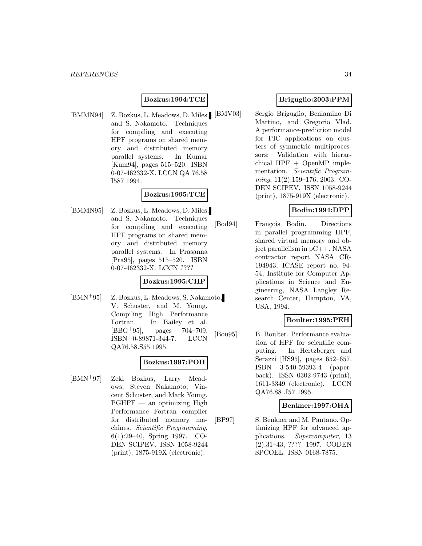# **Bozkus:1994:TCE**

[BMMN94] Z. Bozkus, L. Meadows, D. Miles, [BMV03] and S. Nakamoto. Techniques for compiling and executing HPF programs on shared memory and distributed memory parallel systems. In Kumar [Kum94], pages 515–520. ISBN 0-07-462332-X. LCCN QA 76.58 I587 1994.

# **Bozkus:1995:TCE**

[BMMN95] Z. Bozkus, L. Meadows, D. Miles, and S. Nakamoto. Techniques for compiling and executing HPF programs on shared memory and distributed memory parallel systems. In Prasanna [Pra95], pages 515–520. ISBN 0-07-462332-X. LCCN ????

#### **Bozkus:1995:CHP**

[BMN<sup>+</sup>95] Z. Bozkus, L. Meadows, S. Nakamoto, V. Schuster, and M. Young. Compiling High Performance Fortran. In Bailey et al. [BBG<sup>+</sup>95], pages 704–709. ISBN 0-89871-344-7. LCCN QA76.58.S55 1995.

# **Bozkus:1997:POH**

[BMN<sup>+</sup>97] Zeki Bozkus, Larry Meadows, Steven Nakamoto, Vincent Schuster, and Mark Young.  $PGHPF$  — an optimizing High Performance Fortran compiler for distributed memory machines. Scientific Programming, 6(1):29–40, Spring 1997. CO-DEN SCIPEV. ISSN 1058-9244 (print), 1875-919X (electronic).

# **Briguglio:2003:PPM**

Sergio Briguglio, Beniamino Di Martino, and Gregorio Vlad. A performance-prediction model for PIC applications on clusters of symmetric multiprocessors: Validation with hierarchical HPF + OpenMP implementation. Scientific Programming, 11(2):159–176, 2003. CO-DEN SCIPEV. ISSN 1058-9244 (print), 1875-919X (electronic).

#### **Bodin:1994:DPP**

[Bod94] François Bodin. Directions in parallel programming HPF, shared virtual memory and object parallelism in pC++. NASA contractor report NASA CR-194943; ICASE report no. 94- 54, Institute for Computer Applications in Science and Engineering, NASA Langley Research Center, Hampton, VA, USA, 1994.

# **Boulter:1995:PEH**

[Bou95] B. Boulter. Performance evaluation of HPF for scientific computing. In Hertzberger and Serazzi [HS95], pages 652–657. ISBN 3-540-59393-4 (paperback). ISSN 0302-9743 (print), 1611-3349 (electronic). LCCN QA76.88 .I57 1995.

# **Benkner:1997:OHA**

[BP97] S. Benkner and M. Pantano. Optimizing HPF for advanced applications. Supercomputer, 13 (2):31–43, ???? 1997. CODEN SPCOEL. ISSN 0168-7875.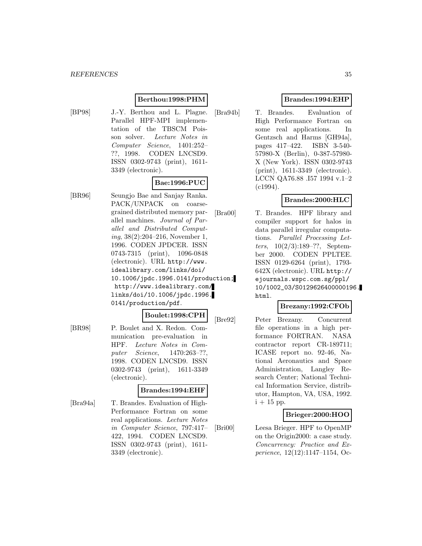#### **Berthou:1998:PHM**

[BP98] J.-Y. Berthou and L. Plagne. Parallel HPF-MPI implementation of the TBSCM Poisson solver. Lecture Notes in Computer Science, 1401:252– ??, 1998. CODEN LNCSD9. ISSN 0302-9743 (print), 1611- 3349 (electronic).

# **Bae:1996:PUC**

[BR96] Seungjo Bae and Sanjay Ranka. PACK/UNPACK on coarsegrained distributed memory parallel machines. Journal of Parallel and Distributed Computing, 38(2):204–216, November 1, 1996. CODEN JPDCER. ISSN 0743-7315 (print), 1096-0848 (electronic). URL http://www. idealibrary.com/links/doi/ 10.1006/jpdc.1996.0141/production; http://www.idealibrary.com/ links/doi/10.1006/jpdc.1996. 0141/production/pdf.

# **Boulet:1998:CPH**

[BR98] P. Boulet and X. Redon. Communication pre-evaluation in HPF. Lecture Notes in Computer Science, 1470:263–??, 1998. CODEN LNCSD9. ISSN 0302-9743 (print), 1611-3349 (electronic).

#### **Brandes:1994:EHF**

[Bra94a] T. Brandes. Evaluation of High-Performance Fortran on some real applications. Lecture Notes in Computer Science, 797:417– 422, 1994. CODEN LNCSD9. ISSN 0302-9743 (print), 1611- 3349 (electronic).

# **Brandes:1994:EHP**

[Bra94b] T. Brandes. Evaluation of High Performance Fortran on some real applications. In Gentzsch and Harms [GH94a], pages 417–422. ISBN 3-540- 57980-X (Berlin), 0-387-57980- X (New York). ISSN 0302-9743 (print), 1611-3349 (electronic). LCCN QA76.88 .I57 1994 v.1–2  $(c1994).$ 

# **Brandes:2000:HLC**

[Bra00] T. Brandes. HPF library and compiler support for halos in data parallel irregular computations. Parallel Processing Letters, 10(2/3):189–??, September 2000. CODEN PPLTEE. ISSN 0129-6264 (print), 1793- 642X (electronic). URL http:// ejournals.wspc.com.sg/ppl/ 10/1002\_03/S0129626400000196. html.

# **Brezany:1992:CFOb**

[Bre92] Peter Brezany. Concurrent file operations in a high performance FORTRAN. NASA contractor report CR-189711; ICASE report no. 92-46, National Aeronautics and Space Administration, Langley Research Center; National Technical Information Service, distributor, Hampton, VA, USA, 1992.  $i + 15$  pp.

#### **Brieger:2000:HOO**

[Bri00] Leesa Brieger. HPF to OpenMP on the Origin2000: a case study. Concurrency: Practice and Experience, 12(12):1147–1154, Oc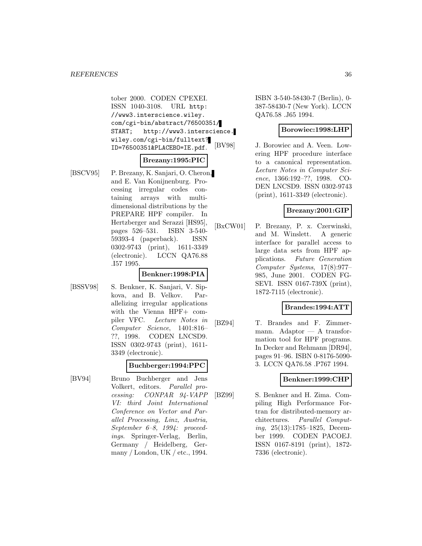tober 2000. CODEN CPEXEI. ISSN 1040-3108. URL http: //www3.interscience.wiley. com/cgi-bin/abstract/76500351/ START; http://www3.interscience. wiley.com/cgi-bin/fulltext? ID=76500351&PLACEBO=IE.pdf.

#### **Brezany:1995:PIC**

[BSCV95] P. Brezany, K. Sanjari, O. Cheron, and E. Van Konijnenburg. Processing irregular codes containing arrays with multidimensional distributions by the PREPARE HPF compiler. In Hertzberger and Serazzi [HS95], pages 526–531. ISBN 3-540- 59393-4 (paperback). ISSN 0302-9743 (print), 1611-3349 (electronic). LCCN QA76.88 .I57 1995.

#### **Benkner:1998:PIA**

[BSSV98] S. Benkner, K. Sanjari, V. Sipkova, and B. Velkov. Parallelizing irregular applications with the Vienna HPF+ compiler VFC. Lecture Notes in Computer Science, 1401:816– ??, 1998. CODEN LNCSD9. ISSN 0302-9743 (print), 1611- 3349 (electronic).

#### **Buchberger:1994:PPC**

[BV94] Bruno Buchberger and Jens Volkert, editors. Parallel processing: CONPAR 94-VAPP VI: third Joint International Conference on Vector and Parallel Processing, Linz, Austria, September 6–8, 1994: proceedings. Springer-Verlag, Berlin, Germany / Heidelberg, Germany / London, UK / etc., 1994.

ISBN 3-540-58430-7 (Berlin), 0- 387-58430-7 (New York). LCCN QA76.58 .J65 1994.

#### **Borowiec:1998:LHP**

[BV98] J. Borowiec and A. Veen. Lowering HPF procedure interface to a canonical representation. Lecture Notes in Computer Science, 1366:192–??, 1998. CO-DEN LNCSD9. ISSN 0302-9743 (print), 1611-3349 (electronic).

#### **Brezany:2001:GIP**

[BxCW01] P. Brezany, P. x. Czerwinski, and M. Winslett. A generic interface for parallel access to large data sets from HPF applications. Future Generation Computer Systems, 17(8):977– 985, June 2001. CODEN FG-SEVI. ISSN 0167-739X (print), 1872-7115 (electronic).

# **Brandes:1994:ATT**

[BZ94] T. Brandes and F. Zimmermann. Adaptor — A transformation tool for HPF programs. In Decker and Rehmann [DR94], pages 91–96. ISBN 0-8176-5090- 3. LCCN QA76.58 .P767 1994.

# **Benkner:1999:CHP**

[BZ99] S. Benkner and H. Zima. Compiling High Performance Fortran for distributed-memory architectures. Parallel Computing, 25(13):1785–1825, December 1999. CODEN PACOEJ. ISSN 0167-8191 (print), 1872- 7336 (electronic).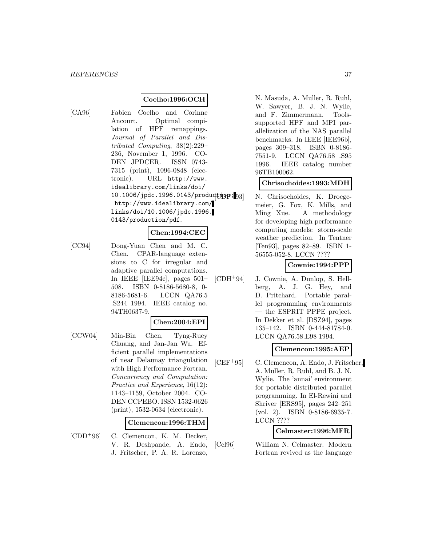# **Coelho:1996:OCH**

[CA96] Fabien Coelho and Corinne Ancourt. Optimal compilation of HPF remappings. Journal of Parallel and Distributed Computing, 38(2):229– 236, November 1, 1996. CO-DEN JPDCER. ISSN 0743- 7315 (print), 1096-0848 (electronic). URL http://www. idealibrary.com/links/doi/ 10.1006/jpdc.1996.0143/produqtion; http://www.idealibrary.com/ links/doi/10.1006/jpdc.1996. 0143/production/pdf.

#### **Chen:1994:CEC**

[CC94] Dong-Yuan Chen and M. C. Chen. CPAR-language extensions to C for irregular and adaptive parallel computations. In IEEE [IEE94c], pages 501– 508. ISBN 0-8186-5680-8, 0- 8186-5681-6. LCCN QA76.5 .S244 1994. IEEE catalog no. 94TH0637-9.

#### **Chen:2004:EPI**

[CCW04] Min-Bin Chen, Tyng-Ruey Chuang, and Jan-Jan Wu. Efficient parallel implementations of near Delaunay triangulation with High Performance Fortran. Concurrency and Computation: Practice and Experience, 16(12): 1143–1159, October 2004. CO-DEN CCPEBO. ISSN 1532-0626 (print), 1532-0634 (electronic).

#### **Clemencon:1996:THM**

[CDD<sup>+</sup>96] C. Clemencon, K. M. Decker, V. R. Deshpande, A. Endo, J. Fritscher, P. A. R. Lorenzo,

N. Masuda, A. Muller, R. Ruhl, W. Sawyer, B. J. N. Wylie, and F. Zimmermann. Toolssupported HPF and MPI parallelization of the NAS parallel benchmarks. In IEEE [IEE96b], pages 309–318. ISBN 0-8186- 7551-9. LCCN QA76.58 .S95 1996. IEEE catalog number 96TB100062.

# **Chrisochoides:1993:MDH**

N. Chrisochoides, K. Droegemeier, G. Fox, K. Mills, and Ming Xue. A methodology for developing high performance computing models: storm-scale weather prediction. In Tentner [Ten93], pages 82–89. ISBN 1- 56555-052-8. LCCN ????

## **Cownie:1994:PPP**

[CDH<sup>+</sup>94] J. Cownie, A. Dunlop, S. Hellberg, A. J. G. Hey, and D. Pritchard. Portable parallel programming environments the ESPRIT PPPE project. In Dekker et al. [DSZ94], pages 135–142. ISBN 0-444-81784-0. LCCN QA76.58.E98 1994.

#### **Clemencon:1995:AEP**

[CEF<sup>+</sup>95] C. Clemencon, A. Endo, J. Fritscher, A. Muller, R. Ruhl, and B. J. N. Wylie. The 'annai' environment for portable distributed parallel programming. In El-Rewini and Shriver [ERS95], pages 242–251 (vol. 2). ISBN 0-8186-6935-7. LCCN ????

#### **Celmaster:1996:MFR**

[Cel96] William N. Celmaster. Modern Fortran revived as the language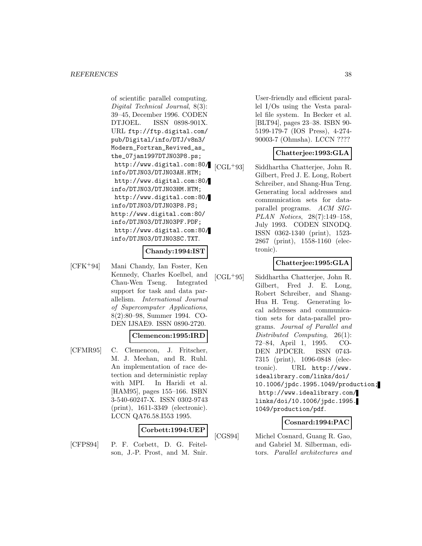of scientific parallel computing. Digital Technical Journal, 8(3): 39–45, December 1996. CODEN DTJOEL. ISSN 0898-901X. URL ftp://ftp.digital.com/ pub/Digital/info/DTJ/v8n3/ Modern\_Fortran\_Revived\_as\_ the\_07jan1997DTJN03P8.ps; http://www.digital.com:80/ info/DTJN03/DTJN03AH.HTM; http://www.digital.com:80/ info/DTJN03/DTJN03HM.HTM; http://www.digital.com:80/ info/DTJN03/DTJN03P8.PS; http://www.digital.com:80/ info/DTJN03/DTJN03PF.PDF; http://www.digital.com:80/ info/DTJN03/DTJN03SC.TXT.

# **Chandy:1994:IST**

[CFK<sup>+</sup>94] Mani Chandy, Ian Foster, Ken Kennedy, Charles Koelbel, and Chau-Wen Tseng. Integrated support for task and data parallelism. International Journal of Supercomputer Applications, 8(2):80–98, Summer 1994. CO-DEN IJSAE9. ISSN 0890-2720.

## **Clemencon:1995:IRD**

[CFMR95] C. Clemencon, J. Fritscher, M. J. Meehan, and R. Ruhl. An implementation of race detection and deterministic replay with MPI. In Haridi et al. [HAM95], pages 155–166. ISBN 3-540-60247-X. ISSN 0302-9743 (print), 1611-3349 (electronic). LCCN QA76.58.I553 1995.

#### **Corbett:1994:UEP**

[CFPS94] P. F. Corbett, D. G. Feitelson, J.-P. Prost, and M. Snir. User-friendly and efficient parallel I/Os using the Vesta parallel file system. In Becker et al. [BLT94], pages 23–38. ISBN 90- 5199-179-7 (IOS Press), 4-274- 90003-7 (Ohmsha). LCCN ????

#### **Chatterjee:1993:GLA**

[CGL<sup>+</sup>93] Siddhartha Chatterjee, John R. Gilbert, Fred J. E. Long, Robert Schreiber, and Shang-Hua Teng. Generating local addresses and communication sets for dataparallel programs. ACM SIG-PLAN Notices, 28(7):149–158, July 1993. CODEN SINODQ. ISSN 0362-1340 (print), 1523- 2867 (print), 1558-1160 (electronic).

#### **Chatterjee:1995:GLA**

[CGL<sup>+</sup>95] Siddhartha Chatterjee, John R. Gilbert, Fred J. E. Long, Robert Schreiber, and Shang-Hua H. Teng. Generating local addresses and communication sets for data-parallel programs. Journal of Parallel and Distributed Computing, 26(1): 72–84, April 1, 1995. CO-DEN JPDCER. ISSN 0743- 7315 (print), 1096-0848 (electronic). URL http://www. idealibrary.com/links/doi/ 10.1006/jpdc.1995.1049/production; http://www.idealibrary.com/ links/doi/10.1006/jpdc.1995. 1049/production/pdf.

#### **Cosnard:1994:PAC**

[CGS94] Michel Cosnard, Guang R. Gao, and Gabriel M. Silberman, editors. Parallel architectures and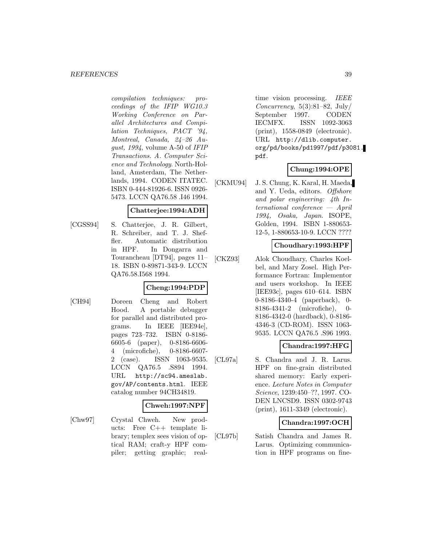#### *REFERENCES* 39

compilation techniques: proceedings of the IFIP WG10.3 Working Conference on Parallel Architectures and Compilation Techniques, PACT '94, Montreal, Canada, 24–26 August, 1994, volume A-50 of IFIP Transactions. A. Computer Science and Technology. North-Holland, Amsterdam, The Netherlands, 1994. CODEN ITATEC. ISBN 0-444-81926-6. ISSN 0926- 5473. LCCN QA76.58 .I46 1994.

#### **Chatterjee:1994:ADH**

[CGSS94] S. Chatterjee, J. R. Gilbert, R. Schreiber, and T. J. Sheffler. Automatic distribution in HPF. In Dongarra and Tourancheau [DT94], pages 11– 18. ISBN 0-89871-343-9. LCCN QA76.58.I568 1994.

# **Cheng:1994:PDP**

[CH94] Doreen Cheng and Robert Hood. A portable debugger for parallel and distributed programs. In IEEE [IEE94e], pages 723–732. ISBN 0-8186- 6605-6 (paper), 0-8186-6606- 4 (microfiche), 0-8186-6607- 2 (case). ISSN 1063-9535. LCCN QA76.5 .S894 1994. URL http://sc94.ameslab. gov/AP/contents.html. IEEE catalog number 94CH34819.

## **Chweh:1997:NPF**

[Chw97] Crystal Chweh. New products: Free C++ template library; templex sees vision of optical RAM; craft-y HPF compiler; getting graphic; realtime vision processing. IEEE Concurrency,  $5(3):81-82$ , July/ September 1997. CODEN IECMFX. ISSN 1092-3063 (print), 1558-0849 (electronic). URL http://dlib.computer. org/pd/books/pd1997/pdf/p3081. pdf.

#### **Chung:1994:OPE**

[CKMU94] J. S. Chung, K. Karal, H. Maeda, and Y. Ueda, editors. Offshore and polar engineering: 4th International conference — April 1994, Osaka, Japan. ISOPE, Golden, 1994. ISBN 1-880653- 12-5, 1-880653-10-9. LCCN ????

#### **Choudhary:1993:HPF**

[CKZ93] Alok Choudhary, Charles Koelbel, and Mary Zosel. High Performance Fortran: Implementor and users workshop. In IEEE [IEE93c], pages 610–614. ISBN 0-8186-4340-4 (paperback), 0- 8186-4341-2 (microfiche), 0- 8186-4342-0 (hardback), 0-8186- 4346-3 (CD-ROM). ISSN 1063- 9535. LCCN QA76.5 .S96 1993.

#### **Chandra:1997:HFG**

[CL97a] S. Chandra and J. R. Larus. HPF on fine-grain distributed shared memory: Early experience. Lecture Notes in Computer Science, 1239:450–??, 1997. CO-DEN LNCSD9. ISSN 0302-9743 (print), 1611-3349 (electronic).

#### **Chandra:1997:OCH**

[CL97b] Satish Chandra and James R. Larus. Optimizing communication in HPF programs on fine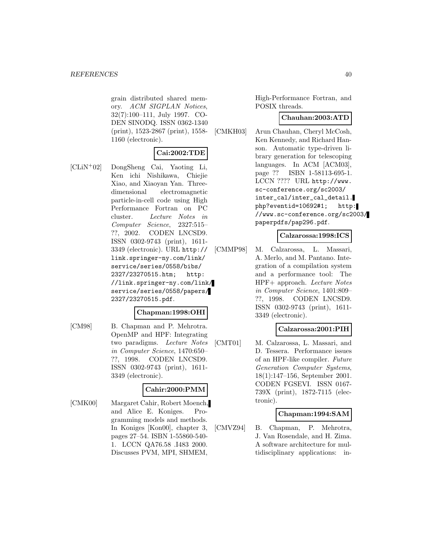grain distributed shared memory. ACM SIGPLAN Notices, 32(7):100–111, July 1997. CO-DEN SINODQ. ISSN 0362-1340 (print), 1523-2867 (print), 1558- 1160 (electronic).

# **Cai:2002:TDE**

[CLiN<sup>+</sup>02] DongSheng Cai, Yaoting Li, Ken ichi Nishikawa, Chiejie Xiao, and Xiaoyan Yan. Threedimensional electromagnetic particle-in-cell code using High Performance Fortran on PC cluster. Lecture Notes in Computer Science, 2327:515– ??, 2002. CODEN LNCSD9. ISSN 0302-9743 (print), 1611- 3349 (electronic). URL http:// link.springer-ny.com/link/ service/series/0558/bibs/ 2327/23270515.htm; http: //link.springer-ny.com/link/ service/series/0558/papers/ 2327/23270515.pdf.

#### **Chapman:1998:OHI**

[CM98] B. Chapman and P. Mehrotra. OpenMP and HPF: Integrating two paradigms. Lecture Notes in Computer Science, 1470:650– ??, 1998. CODEN LNCSD9. ISSN 0302-9743 (print), 1611- 3349 (electronic).

#### **Cahir:2000:PMM**

[CMK00] Margaret Cahir, Robert Moench, and Alice E. Koniges. Programming models and methods. In Koniges [Kon00], chapter 3, pages 27–54. ISBN 1-55860-540- 1. LCCN QA76.58 .I483 2000. Discusses PVM, MPI, SHMEM,

High-Performance Fortran, and POSIX threads.

#### **Chauhan:2003:ATD**

[CMKH03] Arun Chauhan, Cheryl McCosh, Ken Kennedy, and Richard Hanson. Automatic type-driven library generation for telescoping languages. In ACM [ACM03], page ?? ISBN 1-58113-695-1. LCCN ???? URL http://www. sc-conference.org/sc2003/ inter\_cal/inter\_cal\_detail. php?eventid=10692#1; http: //www.sc-conference.org/sc2003/ paperpdfs/pap296.pdf.

## **Calzarossa:1998:ICS**

[CMMP98] M. Calzarossa, L. Massari, A. Merlo, and M. Pantano. Integration of a compilation system and a performance tool: The HPF+ approach. Lecture Notes in Computer Science, 1401:809– ??, 1998. CODEN LNCSD9. ISSN 0302-9743 (print), 1611- 3349 (electronic).

## **Calzarossa:2001:PIH**

[CMT01] M. Calzarossa, L. Massari, and D. Tessera. Performance issues of an HPF-like compiler. Future Generation Computer Systems, 18(1):147–156, September 2001. CODEN FGSEVI. ISSN 0167- 739X (print), 1872-7115 (electronic).

#### **Chapman:1994:SAM**

[CMVZ94] B. Chapman, P. Mehrotra, J. Van Rosendale, and H. Zima. A software architecture for multidisciplinary applications: in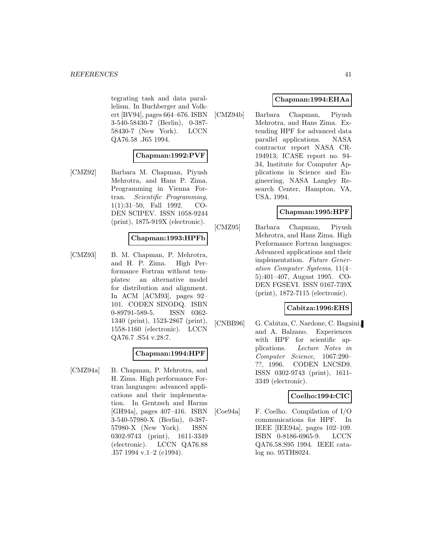tegrating task and data parallelism. In Buchberger and Volkert [BV94], pages 664–676. ISBN 3-540-58430-7 (Berlin), 0-387- 58430-7 (New York). LCCN QA76.58 .J65 1994.

## **Chapman:1992:PVF**

[CMZ92] Barbara M. Chapman, Piyush Mehrotra, and Hans P. Zima. Programming in Vienna Fortran. Scientific Programming, 1(1):31–50, Fall 1992. CO-DEN SCIPEV. ISSN 1058-9244 (print), 1875-919X (electronic).

## **Chapman:1993:HPFb**

[CMZ93] B. M. Chapman, P. Mehrotra, and H. P. Zima. High Performance Fortran without templates: an alternative model for distribution and alignment. In ACM [ACM93], pages 92– 101. CODEN SINODQ. ISBN 0-89791-589-5. ISSN 0362- 1340 (print), 1523-2867 (print), 1558-1160 (electronic). LCCN QA76.7 .S54 v.28:7.

## **Chapman:1994:HPF**

[CMZ94a] B. Chapman, P. Mehrotra, and H. Zima. High performance Fortran languages: advanced applications and their implementation. In Gentzsch and Harms [GH94a], pages 407–416. ISBN 3-540-57980-X (Berlin), 0-387- 57980-X (New York). ISSN 0302-9743 (print), 1611-3349 (electronic). LCCN QA76.88 .I57 1994 v.1–2 (c1994).

## **Chapman:1994:EHAa**

[CMZ94b] Barbara Chapman, Piyush Mehrotra, and Hans Zima. Extending HPF for advanced data parallel applications. NASA contractor report NASA CR-194913; ICASE report no. 94- 34, Institute for Computer Applications in Science and Engineering, NASA Langley Research Center, Hampton, VA, USA, 1994.

## **Chapman:1995:HPF**

[CMZ95] Barbara Chapman, Piyush Mehrotra, and Hans Zima. High Performance Fortran languages: Advanced applications and their implementation. Future Generation Computer Systems, 11(4– 5):401–407, August 1995. CO-DEN FGSEVI. ISSN 0167-739X (print), 1872-7115 (electronic).

# **Cabitza:1996:EHS**

[CNBB96] G. Cabitza, C. Nardone, C. Bagaini, and A. Balzano. Experiences with HPF for scientific applications. Lecture Notes in Computer Science, 1067:290– ??, 1996. CODEN LNCSD9. ISSN 0302-9743 (print), 1611- 3349 (electronic).

## **Coelho:1994:CIC**

[Coe94a] F. Coelho. Compilation of I/O communications for HPF. In IEEE [IEE94a], pages 102–109. ISBN 0-8186-6965-9. LCCN QA76.58.S95 1994. IEEE catalog no. 95TH8024.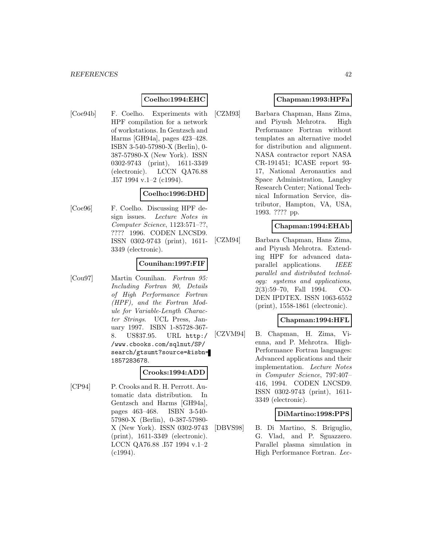## **Coelho:1994:EHC**

[Coe94b] F. Coelho. Experiments with HPF compilation for a network of workstations. In Gentzsch and Harms [GH94a], pages 423–428. ISBN 3-540-57980-X (Berlin), 0- 387-57980-X (New York). ISSN 0302-9743 (print), 1611-3349 (electronic). LCCN QA76.88 .I57 1994 v.1–2 (c1994).

## **Coelho:1996:DHD**

[Coe96] F. Coelho. Discussing HPF design issues. Lecture Notes in Computer Science, 1123:571–??, ???? 1996. CODEN LNCSD9. ISSN 0302-9743 (print), 1611- 3349 (electronic).

#### **Counihan:1997:FIF**

[Cou97] Martin Counihan. Fortran 95: Including Fortran 90, Details of High Performance Fortran (HPF), and the Fortran Module for Variable-Length Character Strings. UCL Press, January 1997. ISBN 1-85728-367- 8. US\$37.95. URL http:/ /www.cbooks.com/sqlnut/SP/ search/gtsumt?source=&isbn= 1857283678.

#### **Crooks:1994:ADD**

[CP94] P. Crooks and R. H. Perrott. Automatic data distribution. In Gentzsch and Harms [GH94a], pages 463–468. ISBN 3-540- 57980-X (Berlin), 0-387-57980- X (New York). ISSN 0302-9743 (print), 1611-3349 (electronic). LCCN QA76.88 .I57 1994 v.1–2  $(c1994)$ .

## **Chapman:1993:HPFa**

[CZM93] Barbara Chapman, Hans Zima, and Piyush Mehrotra. High Performance Fortran without templates an alternative model for distribution and alignment. NASA contractor report NASA CR-191451; ICASE report 93- 17, National Aeronautics and Space Administration, Langley Research Center; National Technical Information Service, distributor, Hampton, VA, USA, 1993. ???? pp.

#### **Chapman:1994:EHAb**

[CZM94] Barbara Chapman, Hans Zima, and Piyush Mehrotra. Extending HPF for advanced dataparallel applications. IEEE parallel and distributed technology: systems and applications, 2(3):59–70, Fall 1994. CO-DEN IPDTEX. ISSN 1063-6552 (print), 1558-1861 (electronic).

## **Chapman:1994:HFL**

[CZVM94] B. Chapman, H. Zima, Vienna, and P. Mehrotra. High-Performance Fortran languages: Advanced applications and their implementation. Lecture Notes in Computer Science, 797:407– 416, 1994. CODEN LNCSD9. ISSN 0302-9743 (print), 1611- 3349 (electronic).

## **DiMartino:1998:PPS**

[DBVS98] B. Di Martino, S. Briguglio, G. Vlad, and P. Sguazzero. Parallel plasma simulation in High Performance Fortran. Lec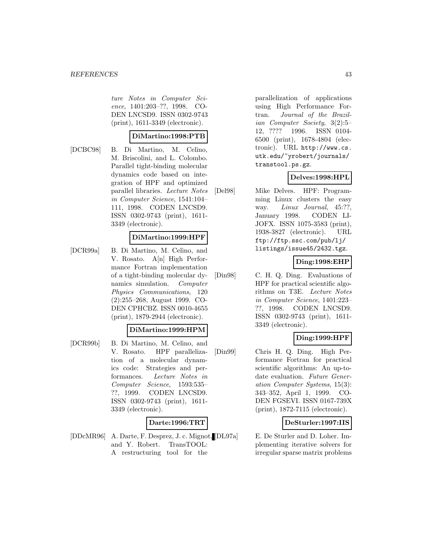ture Notes in Computer Science, 1401:203–??, 1998. CO-DEN LNCSD9. ISSN 0302-9743 (print), 1611-3349 (electronic).

## **DiMartino:1998:PTB**

[DCBC98] B. Di Martino, M. Celino, M. Briscolini, and L. Colombo. Parallel tight-binding molecular dynamics code based on integration of HPF and optimized parallel libraries. Lecture Notes in Computer Science, 1541:104– 111, 1998. CODEN LNCSD9. ISSN 0302-9743 (print), 1611- 3349 (electronic).

## **DiMartino:1999:HPF**

[DCR99a] B. Di Martino, M. Celino, and V. Rosato. A[n] High Performance Fortran implementation of a tight-binding molecular dynamics simulation. Computer Physics Communications, 120 (2):255–268, August 1999. CO-DEN CPHCBZ. ISSN 0010-4655 (print), 1879-2944 (electronic).

# **DiMartino:1999:HPM**

[DCR99b] B. Di Martino, M. Celino, and V. Rosato. HPF parallelization of a molecular dynamics code: Strategies and performances. Lecture Notes in Computer Science, 1593:535– ??, 1999. CODEN LNCSD9. ISSN 0302-9743 (print), 1611- 3349 (electronic).

## **Darte:1996:TRT**

[DDcMR96] A. Darte, F. Desprez, J. c. Mignot, and Y. Robert. TransTOOL: A restructuring tool for the

parallelization of applications using High Performance Fortran. Journal of the Brazilian Computer Society, 3(2):5– 12, ???? 1996. ISSN 0104- 6500 (print), 1678-4804 (electronic). URL http://www.cs. utk.edu/~yrobert/journals/ transtool.ps.gz.

## **Delves:1998:HPL**

[Del98] Mike Delves. HPF: Programming Linux clusters the easy way. *Linux Journal*, 45:??, January 1998. CODEN LI-JOFX. ISSN 1075-3583 (print), 1938-3827 (electronic). URL ftp://ftp.ssc.com/pub/lj/ listings/issue45/2432.tgz.

## **Ding:1998:EHP**

[Din98] C. H. Q. Ding. Evaluations of HPF for practical scientific algorithms on T3E. Lecture Notes in Computer Science, 1401:223– ??, 1998. CODEN LNCSD9. ISSN 0302-9743 (print), 1611- 3349 (electronic).

## **Ding:1999:HPF**

[Din99] Chris H. Q. Ding. High Performance Fortran for practical scientific algorithms: An up-todate evaluation. Future Generation Computer Systems, 15(3): 343–352, April 1, 1999. CO-DEN FGSEVI. ISSN 0167-739X (print), 1872-7115 (electronic).

## **DeSturler:1997:IIS**

E. De Sturler and D. Loher. Implementing iterative solvers for irregular sparse matrix problems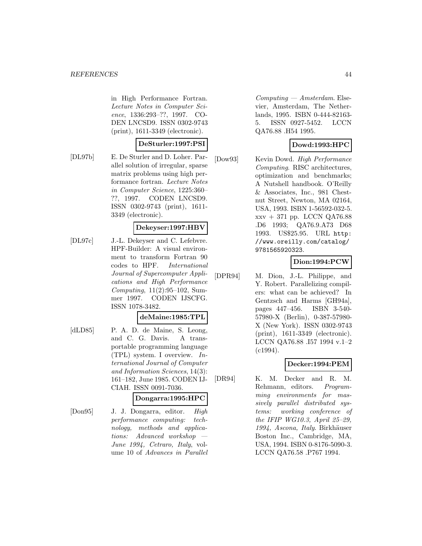in High Performance Fortran. Lecture Notes in Computer Science, 1336:293–??, 1997. CO-DEN LNCSD9. ISSN 0302-9743 (print), 1611-3349 (electronic).

## **DeSturler:1997:PSI**

[DL97b] E. De Sturler and D. Loher. Parallel solution of irregular, sparse matrix problems using high performance fortran. Lecture Notes in Computer Science, 1225:360– ??, 1997. CODEN LNCSD9. ISSN 0302-9743 (print), 1611- 3349 (electronic).

# **Dekeyser:1997:HBV**

[DL97c] J.-L. Dekeyser and C. Lefebvre. HPF-Builder: A visual environment to transform Fortran 90 codes to HPF. International Journal of Supercomputer Applications and High Performance Computing, 11(2):95–102, Summer 1997. CODEN IJSCFG. ISSN 1078-3482.

#### **deMaine:1985:TPL**

[dLD85] P. A. D. de Maine, S. Leong, and C. G. Davis. A transportable programming language (TPL) system. I overview. International Journal of Computer and Information Sciences, 14(3): 161–182, June 1985. CODEN IJ-CIAH. ISSN 0091-7036.

#### **Dongarra:1995:HPC**

[Don95] J. J. Dongarra, editor. High performance computing: technology, methods and applications: Advanced workshop — June 1994, Cetraro, Italy, volume 10 of Advances in Parallel

 $Computing - Amsterdam.$  Elsevier, Amsterdam, The Netherlands, 1995. ISBN 0-444-82163- 5. ISSN 0927-5452. LCCN QA76.88 .H54 1995.

# **Dowd:1993:HPC**

[Dow93] Kevin Dowd. High Performance Computing. RISC architectures, optimization and benchmarks; A Nutshell handbook. O'Reilly & Associates, Inc., 981 Chestnut Street, Newton, MA 02164, USA, 1993. ISBN 1-56592-032-5. xxv + 371 pp. LCCN QA76.88 .D6 1993; QA76.9.A73 D68 1993. US\$25.95. URL http: //www.oreilly.com/catalog/ 9781565920323.

## **Dion:1994:PCW**

[DPR94] M. Dion, J.-L. Philippe, and Y. Robert. Parallelizing compilers: what can be achieved? In Gentzsch and Harms [GH94a], pages 447–456. ISBN 3-540- 57980-X (Berlin), 0-387-57980- X (New York). ISSN 0302-9743 (print), 1611-3349 (electronic). LCCN QA76.88 .I57 1994 v.1–2  $(c1994)$ .

## **Decker:1994:PEM**

[DR94] K. M. Decker and R. M. Rehmann, editors. Programming environments for massively parallel distributed systems: working conference of the IFIP WG10.3, April 25–29, 1994, Ascona, Italy. Birkhäuser Boston Inc., Cambridge, MA, USA, 1994. ISBN 0-8176-5090-3. LCCN QA76.58 .P767 1994.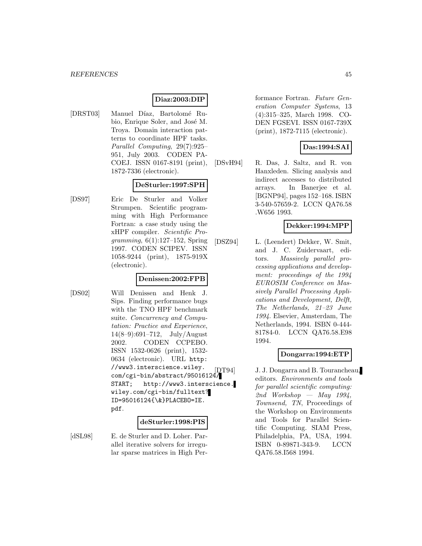#### **Diaz:2003:DIP**

[DRST03] Manuel Díaz, Bartolomé Rubio, Enrique Soler, and José M. Troya. Domain interaction patterns to coordinate HPF tasks. Parallel Computing, 29(7):925– 951, July 2003. CODEN PA-COEJ. ISSN 0167-8191 (print), 1872-7336 (electronic).

## **DeSturler:1997:SPH**

[DS97] Eric De Sturler and Volker Strumpen. Scientific programming with High Performance Fortran: a case study using the xHPF compiler. Scientific Programming, 6(1):127–152, Spring 1997. CODEN SCIPEV. ISSN 1058-9244 (print), 1875-919X (electronic).

## **Denissen:2002:FPB**

[DS02] Will Denissen and Henk J. Sips. Finding performance bugs with the TNO HPF benchmark suite. Concurrency and Computation: Practice and Experience, 14(8–9):691–712, July/August 2002. CODEN CCPEBO. ISSN 1532-0626 (print), 1532- 0634 (electronic). URL http: //www3.interscience.wiley. com/cgi-bin/abstract/95016124/ START; http://www3.interscience. wiley.com/cgi-bin/fulltext? ID=95016124{\&}PLACEBO=IE. pdf.

#### **deSturler:1998:PIS**

[dSL98] E. de Sturler and D. Loher. Parallel iterative solvers for irregular sparse matrices in High Performance Fortran. Future Generation Computer Systems, 13 (4):315–325, March 1998. CO-DEN FGSEVI. ISSN 0167-739X (print), 1872-7115 (electronic).

## **Das:1994:SAI**

[DSvH94] R. Das, J. Saltz, and R. von Hanxleden. Slicing analysis and indirect accesses to distributed arrays. In Banerjee et al. [BGNP94], pages 152–168. ISBN 3-540-57659-2. LCCN QA76.58 .W656 1993.

## **Dekker:1994:MPP**

[DSZ94] L. (Leendert) Dekker, W. Smit, and J. C. Zuidervaart, editors. Massively parallel processing applications and development: proceedings of the 1994 EUROSIM Conference on Massively Parallel Processing Applications and Development, Delft, The Netherlands, 21–23 June 1994. Elsevier, Amsterdam, The Netherlands, 1994. ISBN 0-444- 81784-0. LCCN QA76.58.E98 1994.

## **Dongarra:1994:ETP**

[DT94] J. J. Dongarra and B. Tourancheau, editors. Environments and tools for parallel scientific computing: 2nd Workshop — May 1994, Townsend, TN, Proceedings of the Workshop on Environments and Tools for Parallel Scientific Computing. SIAM Press, Philadelphia, PA, USA, 1994. ISBN 0-89871-343-9. LCCN QA76.58.I568 1994.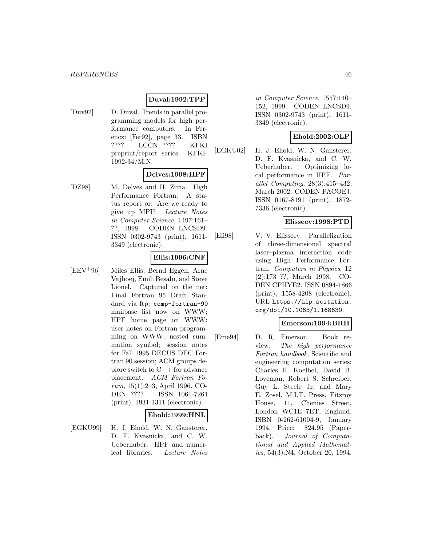## **Duval:1992:TPP**

[Duv92] D. Duval. Trends in parallel programming models for high performance computers. In Ferenczi [Fer92], page 33. ISBN ???? LCCN ???? KFKI preprint/report series: KFKI-1992-34/M,N.

## **Delves:1998:HPF**

[DZ98] M. Delves and H. Zima. High Performance Fortran: A status report or: Are we ready to give up MPI? Lecture Notes in Computer Science, 1497:161– ??, 1998. CODEN LNCSD9. ISSN 0302-9743 (print), 1611- 3349 (electronic).

#### **Ellis:1996:CNF**

[EEV<sup>+</sup>96] Miles Ellis, Bernd Eggen, Arne Vajhoej, Emili Besalu, and Steve Lionel. Captured on the net: Final Fortran 95 Draft Standard via ftp; comp-fortran-90 mailbase list now on WWW; HPF home page on WWW; user notes on Fortran programming on WWW; nested summation symbol; session notes for Fall 1995 DECUS DEC Fortran 90 session; ACM groups deplore switch to C++ for advance placement. ACM Fortran Forum, 15(1):2–3, April 1996. CO-DEN ???? ISSN 1061-7264 (print), 1931-1311 (electronic).

#### **Ehold:1999:HNL**

[EGKU99] H. J. Ehold, W. N. Gansterer, D. F. Kvasnicka, and C. W. Ueberhuber. HPF and numerical libraries. Lecture Notes

in Computer Science, 1557:140– 152, 1999. CODEN LNCSD9. ISSN 0302-9743 (print), 1611- 3349 (electronic).

# **Ehold:2002:OLP**

[EGKU02] H. J. Ehold, W. N. Gansterer, D. F. Kvasnicka, and C. W. Ueberhuber. Optimizing local performance in HPF. Parallel Computing, 28(3):415–432, March 2002. CODEN PACOEJ. ISSN 0167-8191 (print), 1872- 7336 (electronic).

#### **Elisseev:1998:PTD**

[Eli98] V. V. Elisseev. Parallelization of three-dimensional spectral laser–plasma interaction code using High Performance Fortran. Computers in Physics, 12 (2):173–??, March 1998. CO-DEN CPHYE2. ISSN 0894-1866 (print), 1558-4208 (electronic). URL https://aip.scitation. org/doi/10.1063/1.168630.

#### **Emerson:1994:BRH**

[Eme94] D. R. Emerson. Book review: The high performance Fortran handbook, Scientific and engineering computation series: Charles H. Koelbel, David B. Loveman, Robert S. Schreiber, Guy L. Steele Jr. and Mary E. Zosel, M.I.T. Press, Fitzroy House, 11, Chenies Street, London WC1E 7ET, England, ISBN 0-262-61094-9, January 1994, Price: \$24.95 (Paperback). Journal of Computational and Applied Mathematics, 54(3):N4, October 20, 1994.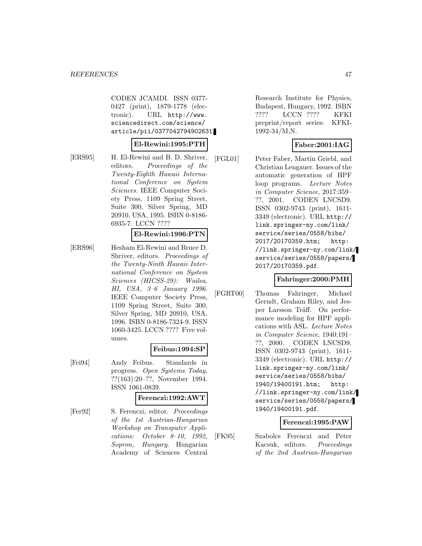CODEN JCAMDI. ISSN 0377- 0427 (print), 1879-1778 (electronic). URL http://www. sciencedirect.com/science/ article/pii/0377042794902631.

#### **El-Rewini:1995:PTH**

[ERS95] H. El-Rewini and B. D. Shriver, editors. Proceedings of the Twenty-Eighth Hawaii International Conference on System Sciences. IEEE Computer Society Press, 1109 Spring Street, Suite 300, Silver Spring, MD 20910, USA, 1995. ISBN 0-8186- 6935-7. LCCN ????

#### **El-Rewini:1996:PTN**

[ERS96] Hesham El-Rewini and Bruce D. Shriver, editors. Proceedings of the Twenty-Ninth Hawaii International Conference on System Sciences (HICSS-29): Wailea, HI, USA, 3–6 January 1996. IEEE Computer Society Press, 1109 Spring Street, Suite 300, Silver Spring, MD 20910, USA, 1996. ISBN 0-8186-7324-9. ISSN 1060-3425. LCCN ???? Five volumes.

#### **Feibus:1994:SP**

[Fei94] Andy Feibus. Standards in progress. Open Systems Today, ??(163):20–??, November 1994. ISSN 1061-0839.

#### **Ferenczi:1992:AWT**

[Fer92] S. Ferenczi, editor. Proceedings of the 1st Austrian-Hungarian Workshop on Transputer Applications: October 8–10, 1992, Sopron, Hungary. Hungarian Academy of Sciences Central

Research Institute for Physics, Budapest, Hungary, 1992. ISBN ???? LCCN ???? KFKI preprint/report series: KFKI-1992-34/M,N.

# **Faber:2001:IAG**

[FGL01] Peter Faber, Martin Griebl, and Christian Lengauer. Issues of the automatic generation of HPF loop programs. Lecture Notes in Computer Science, 2017:359– ??, 2001. CODEN LNCSD9. ISSN 0302-9743 (print), 1611- 3349 (electronic). URL http:// link.springer-ny.com/link/ service/series/0558/bibs/ 2017/20170359.htm; http: //link.springer-ny.com/link/ service/series/0558/papers/ 2017/20170359.pdf.

## **Fahringer:2000:PMH**

[FGRT00] Thomas Fahringer, Michael Gerndt, Graham Riley, and Jesper Larsson Träff. On performance modeling for HPF applications with ASL. Lecture Notes in Computer Science, 1940:191– ??, 2000. CODEN LNCSD9. ISSN 0302-9743 (print), 1611- 3349 (electronic). URL http:// link.springer-ny.com/link/ service/series/0558/bibs/ 1940/19400191.htm; http: //link.springer-ny.com/link/ service/series/0558/papers/ 1940/19400191.pdf.

#### **Ferenczi:1995:PAW**

[FK95] Szabolcs Ferenczi and Peter Kacsuk, editors. Proceedings of the 2nd Austrian-Hungarian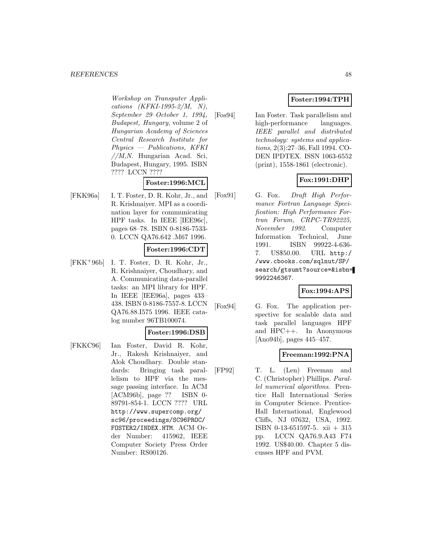Workshop on Transputer Applications (KFKI-1995-2/M, N), September 29–October 1, 1994, Budapest, Hungary, volume 2 of Hungarian Academy of Sciences Central Research Institute for Physics — Publications, KFKI  $//M,N.$  Hungarian Acad. Sci, Budapest, Hungary, 1995. ISBN ???? LCCN ????

## **Foster:1996:MCL**

[FKK96a] I. T. Foster, D. R. Kohr, Jr., and R. Krishnaiyer. MPI as a coordination layer for communicating HPF tasks. In IEEE [IEE96c], pages 68–78. ISBN 0-8186-7533- 0. LCCN QA76.642 .M67 1996.

## **Foster:1996:CDT**

[FKK<sup>+</sup>96b] I. T. Foster, D. R. Kohr, Jr., R. Krishnaiyer, Choudhary, and A. Communicating data-parallel tasks: an MPI library for HPF. In IEEE [IEE96a], pages 433– 438. ISBN 0-8186-7557-8. LCCN QA76.88.I575 1996. IEEE catalog number 96TB100074.

#### **Foster:1996:DSB**

[FKKC96] Ian Foster, David R. Kohr, Jr., Rakesh Krishnaiyer, and Alok Choudhary. Double standards: Bringing task parallelism to HPF via the message passing interface. In ACM [ACM96b], page ?? ISBN 0- 89791-854-1. LCCN ???? URL http://www.supercomp.org/ sc96/proceedings/SC96PROC/ FOSTER2/INDEX.HTM. ACM Order Number: 415962, IEEE Computer Society Press Order Number: RS00126.

# **Foster:1994:TPH**

[Fos94] Ian Foster. Task parallelism and high-performance languages. IEEE parallel and distributed technology: systems and applications, 2(3):27–36, Fall 1994. CO-DEN IPDTEX. ISSN 1063-6552 (print), 1558-1861 (electronic).

## **Fox:1991:DHP**

[Fox91] G. Fox. Draft High Performance Fortran Language Specification: High Performance Fortran Forum, CRPC-TR92225, November 1992. Computer Information Technical, June 1991. ISBN 99922-4-636- 7. US\$50.00. URL http:/ /www.cbooks.com/sqlnut/SP/ search/gtsumt?source=&isbn= 9992246367.

## **Fox:1994:APS**

[Fox94] G. Fox. The application perspective for scalable data and task parallel languages HPF and HPC++. In Anonymous [Ano94b], pages 445–457.

## **Freeman:1992:PNA**

[FP92] T. L. (Len) Freeman and C. (Christopher) Phillips. Parallel numerical algorithms. Prentice Hall International Series in Computer Science. Prentice-Hall International, Englewood Cliffs, NJ 07632, USA, 1992. ISBN 0-13-651597-5. xii + 315 pp. LCCN QA76.9.A43 F74 1992. US\$40.00. Chapter 5 discusses HPF and PVM.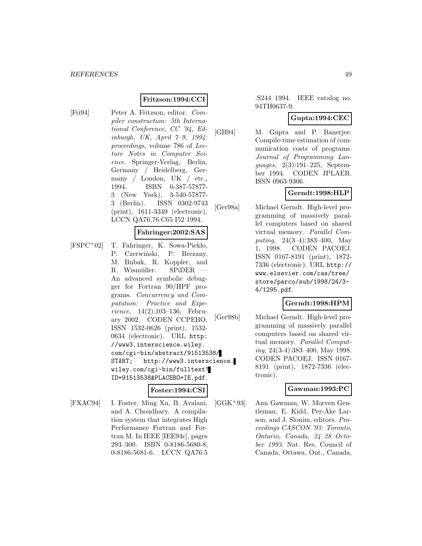## **Fritzson:1994:CCI**

[Fri94] Peter A. Fritzson, editor. Compiler construction: 5th International Conference, CC '94, Edinburgh, UK, April 7–9, 1994: proceedings, volume 786 of Lecture Notes in Computer Science. Springer-Verlag, Berlin, Germany / Heidelberg, Germany / London, UK / etc., 1994. ISBN 0-387-57877- 3 (New York), 3-540-57877- 3 (Berlin). ISSN 0302-9743 (print), 1611-3349 (electronic). LCCN QA76.76.C65 I52 1994.

#### **Fahringer:2002:SAS**

 $[FSPC^+02]$  T. Fahringer, K. Sowa-Pieklo, P. Czerwiński, P. Brezany, M. Bubak, R. Koppler, and R. Wismüller. SPiDER An advanced symbolic debugger for Fortran 90/HPF programs. Concurrency and Computation: Practice and Experience, 14(2):103–136, February 2002. CODEN CCPEBO. ISSN 1532-0626 (print), 1532- 0634 (electronic). URL http: //www3.interscience.wiley. com/cgi-bin/abstract/91513538/ START; http://www3.interscience. wiley.com/cgi-bin/fulltext? ID=91513538&PLACEBO=IE.pdf.

#### **Foster:1994:CSI**

[FXAC94] I. Foster, Ming Xu, B. Avalani, and A. Choudhary. A compilation system that integrates High Performance Fortran and Fortran M. In IEEE [IEE94c], pages 293–300. ISBN 0-8186-5680-8, 0-8186-5681-6. LCCN QA76.5

.S244 1994. IEEE catalog no. 94TH0637-9.

#### **Gupta:1994:CEC**

[GB94] M. Gupta and P. Banerjee. Compile-time estimation of communication costs of programs. Journal of Programming Languages, 2(3):191–225, September 1994. CODEN JPLAER. ISSN 0963-9306.

# **Gerndt:1998:HLP**

[Ger98a] Michael Gerndt. High-level programming of massively parallel computers based on shared virtual memory. Parallel Computing, 24(3–4):383–400, May 1, 1998. CODEN PACOEJ. ISSN 0167-8191 (print), 1872- 7336 (electronic). URL http:// www.elsevier.com/cas/tree/ store/parco/sub/1998/24/3- 4/1295.pdf.

## **Gerndt:1998:HPM**

[Ger98b] Michael Gerndt. High-level programming of massively parallel computers based on shared virtual memory. Parallel Computing, 24(3-4):383–400, May 1998. CODEN PACOEJ. ISSN 0167- 8191 (print), 1872-7336 (electronic).

## **Gawman:1993:PC**

[GGK<sup>+</sup>93] Ann Gawman, W. Morven Gentleman, E. Kidd, Per-Åke Larson, and J. Slonim, editors. Proceedings CASCON '93: Toronto, Ontario, Canada, 24–28 October 1993. Nat. Res. Council of Canada, Ottawa, Ont., Canada,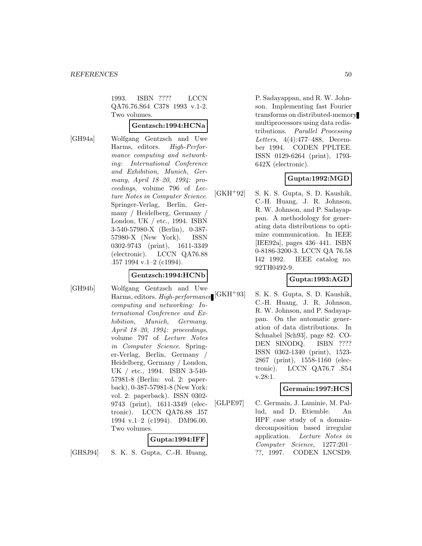1993. ISBN ???? LCCN QA76.76.S64 C378 1993 v.1-2. Two volumes.

#### **Gentzsch:1994:HCNa**

[GH94a] Wolfgang Gentzsch and Uwe Harms, editors. High-Performance computing and networking: International Conference and Exhibition, Munich, Germany, April 18–20, 1994: proceedings, volume 796 of Lecture Notes in Computer Science. Springer-Verlag, Berlin, Germany / Heidelberg, Germany / London, UK / etc., 1994. ISBN 3-540-57980-X (Berlin), 0-387- 57980-X (New York). ISSN 0302-9743 (print), 1611-3349 (electronic). LCCN QA76.88 .I57 1994 v.1–2 (c1994).

# **Gentzsch:1994:HCNb**

[GH94b] Wolfgang Gentzsch and Uwe Harms, editors. *High-performance* [GKH<sup>+</sup>93] computing and networking: International Conference and Exhibition, Munich, Germany, April 18–20, 1994: proceedings, volume 797 of Lecture Notes in Computer Science. Springer-Verlag, Berlin, Germany / Heidelberg, Germany / London, UK / etc., 1994. ISBN 3-540- 57981-8 (Berlin: vol. 2: paperback), 0-387-57981-8 (New York: vol. 2: paperback). ISSN 0302- 9743 (print), 1611-3349 (electronic). LCCN QA76.88 .I57 1994 v.1–2 (c1994). DM96.00. Two volumes.

## **Gupta:1994:IFF**

[GHSJ94] S. K. S. Gupta, C.-H. Huang,

P. Sadayappan, and R. W. Johnson. Implementing fast Fourier transforms on distributed-memory multiprocessors using data redistributions. Parallel Processing Letters, 4(4):477–488, December 1994. CODEN PPLTEE. ISSN 0129-6264 (print), 1793- 642X (electronic).

# **Gupta:1992:MGD**

[GKH<sup>+</sup>92] S. K. S. Gupta, S. D. Kaushik, C.-H. Huang, J. R. Johnson, R. W. Johnson, and P. Sadayappan. A methodology for generating data distributions to optimize communication. In IEEE [IEE92a], pages 436–441. ISBN 0-8186-3200-3. LCCN QA 76.58 I42 1992. IEEE catalog no. 92TH0492-9.

## **Gupta:1993:AGD**

S. K. S. Gupta, S. D. Kaushik, C.-H. Huang, J. R. Johnson, R. W. Johnson, and P. Sadayappan. On the automatic generation of data distributions. In Schnabel [Sch93], page 82. CO-DEN SINODQ. ISBN ???? ISSN 0362-1340 (print), 1523- 2867 (print), 1558-1160 (electronic). LCCN QA76.7 .S54 v.28:1.

## **Germain:1997:HCS**

[GLPE97] C. Germain, J. Laminie, M. Pallud, and D. Etiemble. An HPF case study of a domaindecomposition based irregular application. Lecture Notes in Computer Science, 1277:201– ??, 1997. CODEN LNCSD9.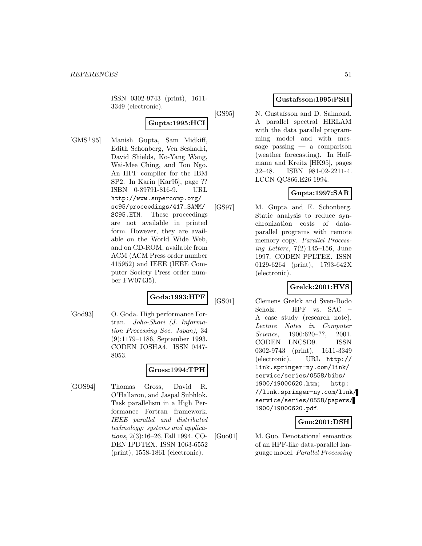ISSN 0302-9743 (print), 1611- 3349 (electronic).

**Gupta:1995:HCI**

[GMS<sup>+</sup>95] Manish Gupta, Sam Midkiff, Edith Schonberg, Ven Seshadri, David Shields, Ko-Yang Wang, Wai-Mee Ching, and Ton Ngo. An HPF compiler for the IBM SP2. In Karin [Kar95], page ?? ISBN 0-89791-816-9. URL http://www.supercomp.org/ sc95/proceedings/417\_SAMM/ SC95.HTM. These proceedings are not available in printed form. However, they are available on the World Wide Web, and on CD-ROM, available from ACM (ACM Press order number 415952) and IEEE (IEEE Computer Society Press order number FW07435).

# **Goda:1993:HPF**

[God93] O. Goda. High performance Fortran. Joho-Shori (J. Information Processing Soc. Japan), 34 (9):1179–1186, September 1993. CODEN JOSHA4. ISSN 0447- 8053.

# **Gross:1994:TPH**

[GOS94] Thomas Gross, David R. O'Hallaron, and Jaspal Subhlok. Task parallelism in a High Performance Fortran framework. IEEE parallel and distributed technology: systems and applications, 2(3):16–26, Fall 1994. CO-DEN IPDTEX. ISSN 1063-6552 (print), 1558-1861 (electronic).

## **Gustafsson:1995:PSH**

[GS95] N. Gustafsson and D. Salmond. A parallel spectral HIRLAM with the data parallel programming model and with message passing — a comparison (weather forecasting). In Hoffmann and Kreitz [HK95], pages 32–48. ISBN 981-02-2211-4. LCCN QC866.E26 1994.

# **Gupta:1997:SAR**

[GS97] M. Gupta and E. Schonberg. Static analysis to reduce synchronization costs of dataparallel programs with remote memory copy. Parallel Processing Letters, 7(2):145–156, June 1997. CODEN PPLTEE. ISSN 0129-6264 (print), 1793-642X (electronic).

## **Grelck:2001:HVS**

[GS01] Clemens Grelck and Sven-Bodo Scholz. HPF vs. SAC – A case study (research note). Lecture Notes in Computer Science, 1900:620-??, 2001. CODEN LNCSD9. ISSN 0302-9743 (print), 1611-3349 (electronic). URL http:// link.springer-ny.com/link/ service/series/0558/bibs/ 1900/19000620.htm; http: //link.springer-ny.com/link/ service/series/0558/papers/ 1900/19000620.pdf.

# **Guo:2001:DSH**

[Guo01] M. Guo. Denotational semantics of an HPF-like data-parallel language model. Parallel Processing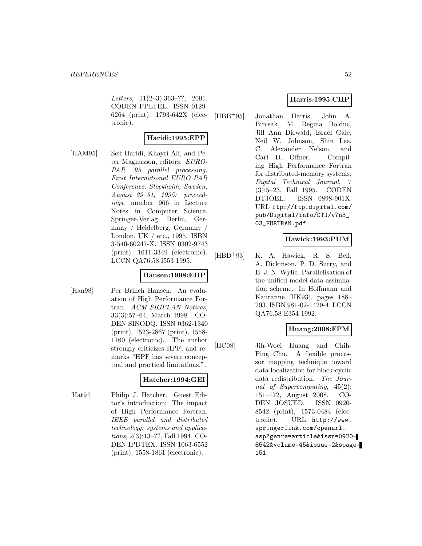Letters, 11(2–3):363–??, 2001. CODEN PPLTEE. ISSN 0129- 6264 (print), 1793-642X (electronic).

# **Haridi:1995:EPP**

[HAM95] Seif Haridi, Khayri Ali, and Peter Magnusson, editors. EURO-PAR '95 parallel processing: First International EURO PAR Conference, Stockholm, Sweden, August 29–31, 1995: proceedings, number 966 in Lecture Notes in Computer Science. Springer-Verlag, Berlin, Germany / Heidelberg, Germany / London, UK / etc., 1995. ISBN 3-540-60247-X. ISSN 0302-9743 (print), 1611-3349 (electronic). LCCN QA76.58.I553 1995.

# **Hansen:1998:EHP**

[Han98] Per Brinch Hansen. An evaluation of High Performance Fortran. ACM SIGPLAN Notices, 33(3):57–64, March 1998. CO-DEN SINODQ. ISSN 0362-1340 (print), 1523-2867 (print), 1558- 1160 (electronic). The author strongly criticizes HPF, and remarks "HPF has severe conceptual and practical limitations.".

## **Hatcher:1994:GEI**

[Hat94] Philip J. Hatcher. Guest Editor's introduction: The impact of High Performance Fortran. IEEE parallel and distributed technology: systems and applications, 2(3):13–??, Fall 1994. CO-DEN IPDTEX. ISSN 1063-6552 (print), 1558-1861 (electronic).

# **Harris:1995:CHP**

[HBB<sup>+</sup>95] Jonathan Harris, John A. Bircsak, M. Regina Bolduc, Jill Ann Diewald, Israel Gale, Neil W. Johnson, Shin Lee, C. Alexander Nelson, and Carl D. Offner. Compiling High Performance Fortran for distributed-memory systems. Digital Technical Journal, 7 (3):5–23, Fall 1995. CODEN DTJOEL. ISSN 0898-901X. URL ftp://ftp.digital.com/ pub/Digital/info/DTJ/v7n3\_ 03\_FORTRAN.pdf.

## **Hawick:1993:PUM**

 $[HBD+93]$  K. A. Hawick, R. S. Bell, A. Dickinson, P. D. Surry, and B. J. N. Wylie. Parallelisation of the unified model data assimilation scheme. In Hoffmann and Kauranne [HK93], pages 188– 203. ISBN 981-02-1429-4. LCCN QA76.58 E354 1992.

# **Huang:2008:FPM**

[HC08] Jih-Woei Huang and Chih-Ping Chu. A flexible processor mapping technique toward data localization for block-cyclic data redistribution. The Journal of Supercomputing, 45(2): 151–172, August 2008. CO-DEN JOSUED. ISSN 0920- 8542 (print), 1573-0484 (electronic). URL http://www. springerlink.com/openurl. asp?genre=article&issn=0920- 8542&volume=45&issue=2&spage= 151.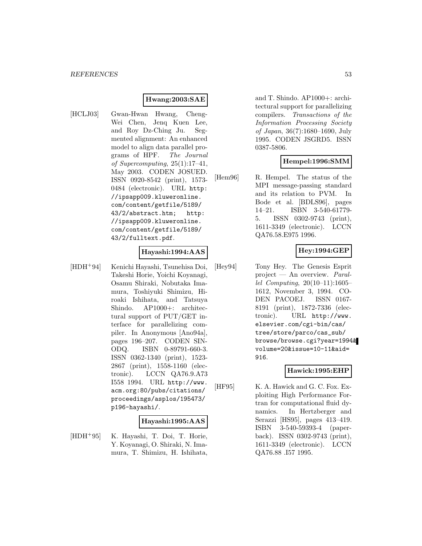## **Hwang:2003:SAE**

[HCLJ03] Gwan-Hwan Hwang, Cheng-Wei Chen, Jenq Kuen Lee, and Roy Dz-Ching Ju. Segmented alignment: An enhanced model to align data parallel programs of HPF. The Journal of Supercomputing, 25(1):17–41, May 2003. CODEN JOSUED. ISSN 0920-8542 (print), 1573- 0484 (electronic). URL http: //ipsapp009.kluweronline. com/content/getfile/5189/ 43/2/abstract.htm; http: //ipsapp009.kluweronline. com/content/getfile/5189/ 43/2/fulltext.pdf.

## **Hayashi:1994:AAS**

[HDH<sup>+</sup>94] Kenichi Hayashi, Tsunehisa Doi, Takeshi Horie, Yoichi Koyanagi, Osamu Shiraki, Nobutaka Imamura, Toshiyuki Shimizu, Hiroaki Ishihata, and Tatsuya Shindo. AP1000+: architectural support of PUT/GET interface for parallelizing compiler. In Anonymous [Ano94a], pages 196–207. CODEN SIN-ODQ. ISBN 0-89791-660-3. ISSN 0362-1340 (print), 1523- 2867 (print), 1558-1160 (electronic). LCCN QA76.9.A73 I558 1994. URL http://www. acm.org:80/pubs/citations/ proceedings/asplos/195473/ p196-hayashi/.

#### **Hayashi:1995:AAS**

[HDH<sup>+</sup>95] K. Hayashi, T. Doi, T. Horie, Y. Koyanagi, O. Shiraki, N. Imamura, T. Shimizu, H. Ishihata,

and T. Shindo. AP1000+: architectural support for parallelizing compilers. Transactions of the Information Processing Society of Japan, 36(7):1680–1690, July 1995. CODEN JSGRD5. ISSN 0387-5806.

#### **Hempel:1996:SMM**

[Hem96] R. Hempel. The status of the MPI message-passing standard and its relation to PVM. In Bode et al. [BDLS96], pages 14–21. ISBN 3-540-61779- 5. ISSN 0302-9743 (print), 1611-3349 (electronic). LCCN QA76.58.E975 1996.

# **Hey:1994:GEP**

[Hey94] Tony Hey. The Genesis Esprit project — An overview. Parallel Computing, 20(10–11):1605– 1612, November 3, 1994. CO-DEN PACOEJ. ISSN 0167- 8191 (print), 1872-7336 (electronic). URL http://www. elsevier.com/cgi-bin/cas/ tree/store/parco/cas\_sub/ browse/browse.cgi?year=1994& volume=20&issue=10-11&aid= 916.

#### **Hawick:1995:EHP**

[HF95] K. A. Hawick and G. C. Fox. Exploiting High Performance Fortran for computational fluid dynamics. In Hertzberger and Serazzi [HS95], pages 413–419. ISBN 3-540-59393-4 (paperback). ISSN 0302-9743 (print), 1611-3349 (electronic). LCCN QA76.88 .I57 1995.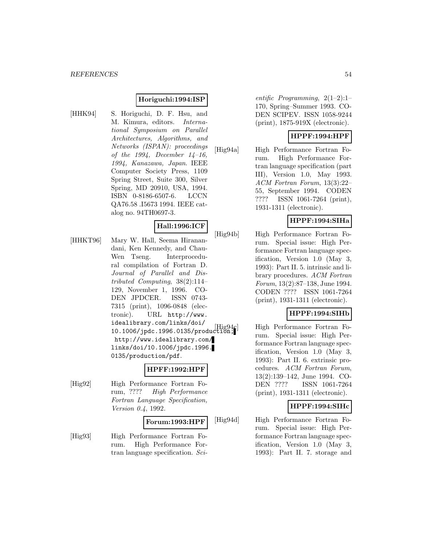#### **Horiguchi:1994:ISP**

[HHK94] S. Horiguchi, D. F. Hsu, and M. Kimura, editors. International Symposium on Parallel Architectures, Algorithms, and Networks (ISPAN): proceedings of the  $1994$ , December  $14-16$ , 1994, Kanazawa, Japan. IEEE Computer Society Press, 1109 Spring Street, Suite 300, Silver Spring, MD 20910, USA, 1994. ISBN 0-8186-6507-6. LCCN QA76.58 .I5673 1994. IEEE catalog no. 94TH0697-3.

#### **Hall:1996:ICF**

[HHKT96] Mary W. Hall, Seema Hiranandani, Ken Kennedy, and Chau-Wen Tseng. Interprocedural compilation of Fortran D. Journal of Parallel and Distributed Computing, 38(2):114– 129, November 1, 1996. CO-DEN JPDCER. ISSN 0743- 7315 (print), 1096-0848 (electronic). URL http://www. idealibrary.com/links/doi/ 10.1006/jpdc.1996.0135/production; http://www.idealibrary.com/ links/doi/10.1006/jpdc.1996. 0135/production/pdf.

# **HPFF:1992:HPF**

[Hig92] High Performance Fortran Forum, ???? High Performance Fortran Language Specification, Version 0.4, 1992.

#### **Forum:1993:HPF**

[Hig93] High Performance Fortran Forum. High Performance Fortran language specification. Sci-

entific Programming,  $2(1-2)$ :1-170, Spring–Summer 1993. CO-DEN SCIPEV. ISSN 1058-9244 (print), 1875-919X (electronic).

## **HPPF:1994:HPF**

[Hig94a] High Performance Fortran Forum. High Performance Fortran language specification (part III), Version 1.0, May 1993. ACM Fortran Forum, 13(3):22– 55, September 1994. CODEN ???? ISSN 1061-7264 (print), 1931-1311 (electronic).

#### **HPPF:1994:SIHa**

[Hig94b] High Performance Fortran Forum. Special issue: High Performance Fortran language specification, Version 1.0 (May 3, 1993): Part II. 5. intrinsic and library procedures. ACM Fortran Forum, 13(2):87–138, June 1994. CODEN ???? ISSN 1061-7264 (print), 1931-1311 (electronic).

## **HPPF:1994:SIHb**

High Performance Fortran Forum. Special issue: High Performance Fortran language specification, Version 1.0 (May 3, 1993): Part II. 6. extrinsic procedures. ACM Fortran Forum, 13(2):139–142, June 1994. CO-DEN ???? ISSN 1061-7264 (print), 1931-1311 (electronic).

#### **HPPF:1994:SIHc**

[Hig94d] High Performance Fortran Forum. Special issue: High Performance Fortran language specification, Version 1.0 (May 3, 1993): Part II. 7. storage and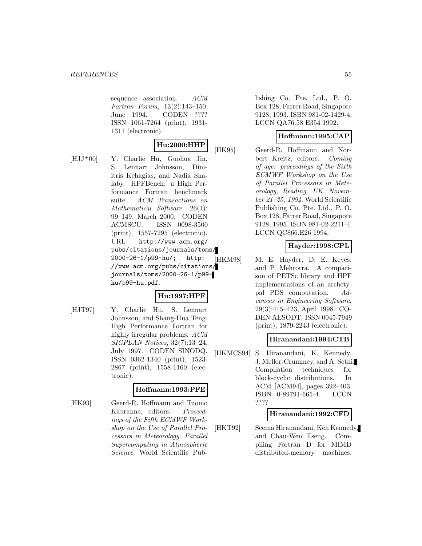sequence association. ACM Fortran Forum, 13(2):143–150, June 1994. CODEN ???? ISSN 1061-7264 (print), 1931- 1311 (electronic).

# **Hu:2000:HHP**

[HJJ<sup>+</sup>00] Y. Charlie Hu, Guohua Jin, S. Lennart Johnsson, Dimitris Kehagias, and Nadia Shalaby. HPFBench: a High Performance Fortran benchmark suite. ACM Transactions on Mathematical Software, 26(1): 99–149, March 2000. CODEN ACMSCU. ISSN 0098-3500 (print), 1557-7295 (electronic). URL http://www.acm.org/ pubs/citations/journals/toms/ 2000-26-1/p99-hu/; http: //www.acm.org/pubs/citations/ journals/toms/2000-26-1/p99 hu/p99-hu.pdf.

## **Hu:1997:HPF**

[HJT97] Y. Charlie Hu, S. Lennart Johnsson, and Shang-Hua Teng. High Performance Fortran for highly irregular problems. ACM SIGPLAN Notices, 32(7):13–24, July 1997. CODEN SINODQ. ISSN 0362-1340 (print), 1523- 2867 (print), 1558-1160 (electronic).

## **Hoffmann:1993:PFE**

[HK93] Geerd-R. Hoffmann and Tuomo Kauranne, editors. Proceedings of the Fifth ECMWF Workshop on the Use of Parallel Processors in Meteorology. Parallel Supercomputing in Atmospheric Science. World Scientific Publishing Co. Pte. Ltd., P. O. Box 128, Farrer Road, Singapore 9128, 1993. ISBN 981-02-1429-4. LCCN QA76.58 E354 1992.

# **Hoffmann:1995:CAP**

[HK95] Geerd-R. Hoffmann and Norbert Kreitz, editors. Coming of age: proceedings of the Sixth ECMWF Workshop on the Use of Parallel Processors in Meteorology, Reading, UK, November 21–25, 1994. World Scientific Publishing Co. Pte. Ltd., P. O. Box 128, Farrer Road, Singapore 9128, 1995. ISBN 981-02-2211-4. LCCN QC866.E26 1994.

# **Hayder:1998:CPL**

[HKM98] M. E. Hayder, D. E. Keyes, and P. Mehrotra. A comparison of PETSc library and HPF implementations of an archetypal PDS computation. Advances in Engineering Software, 29(3):415–423, April 1998. CO-DEN AESODT. ISSN 0045-7949 (print), 1879-2243 (electronic).

## **Hiranandani:1994:CTB**

[HKMCS94] S. Hiranandani, K. Kennedy, J. Mellor-Crummey, and A. Sethi. Compilation techniques for block-cyclic distributions. In ACM [ACM94], pages 392–403. ISBN 0-89791-665-4. LCCN ????

## **Hiranandani:1992:CFD**

[HKT92] Seema Hiranandani, Ken Kennedy, and Chau-Wen Tseng. Compiling Fortran D for MIMD distributed-memory machines.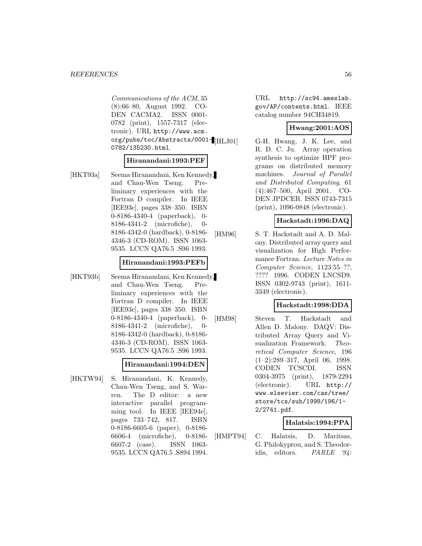Communications of the ACM, 35 (8):66–80, August 1992. CO-DEN CACMA2. ISSN 0001- 0782 (print), 1557-7317 (electronic). URL http://www.acm. org/pubs/toc/Abstracts/0001-[HLJ01] 0782/135230.html.

## **Hiranandani:1993:PEF**

[HKT93a] Seema Hiranandani, Ken Kennedy, and Chau-Wen Tseng. Preliminary experiences with the Fortran D compiler. In IEEE [IEE93c], pages 338–350. ISBN 0-8186-4340-4 (paperback), 0- 8186-4341-2 (microfiche), 0- 8186-4342-0 (hardback), 0-8186- 4346-3 (CD-ROM). ISSN 1063- 9535. LCCN QA76.5 .S96 1993.

#### **Hiranandani:1993:PEFb**

[HKT93b] Seema Hiranandani, Ken Kennedy, and Chau-Wen Tseng. Preliminary experiences with the Fortran D compiler. In IEEE [IEE93c], pages 338–350. ISBN 0-8186-4340-4 (paperback), 0- 8186-4341-2 (microfiche), 0- 8186-4342-0 (hardback), 0-8186- 4346-3 (CD-ROM). ISSN 1063- 9535. LCCN QA76.5 .S96 1993.

## **Hiranandani:1994:DEN**

[HKTW94] S. Hiranandani, K. Kennedy, Chau-Wen Tseng, and S. Warren. The D editor: a new interactive parallel programming tool. In IEEE [IEE94e], pages 733–742, 817. ISBN 0-8186-6605-6 (paper), 0-8186- 6606-4 (microfiche), 0-8186- 6607-2 (case). ISSN 1063- 9535. LCCN QA76.5 .S894 1994.

URL http://sc94.ameslab. gov/AP/contents.html. IEEE catalog number 94CH34819.

#### **Hwang:2001:AOS**

G-H. Hwang, J. K. Lee, and R. D. C. Ju. Array operation synthesis to optimize HPF programs on distributed memory machines. Journal of Parallel and Distributed Computing, 61 (4):467–500, April 2001. CO-DEN JPDCER. ISSN 0743-7315 (print), 1096-0848 (electronic).

#### **Hackstadt:1996:DAQ**

[HM96] S. T. Hackstadt and A. D. Malony. Distributed array query and visualization for High Performance Fortran. Lecture Notes in Computer Science, 1123:55–??, ???? 1996. CODEN LNCSD9. ISSN 0302-9743 (print), 1611- 3349 (electronic).

#### **Hackstadt:1998:DDA**

[HM98] Steven T. Hackstadt and Allen D. Malony. DAQV: Distributed Array Query and Visualization Framework. Theoretical Computer Science, 196 (1–2):289–317, April 06, 1998. CODEN TCSCDI. ISSN 0304-3975 (print), 1879-2294 (electronic). URL http:// www.elsevier.com/cas/tree/ store/tcs/sub/1998/196/1- 2/2741.pdf.

## **Halatsis:1994:PPA**

[HMPT94] C. Halatsis, D. Maritsas, G. Philokyprou, and S. Theodoridis, editors. PARLE '94: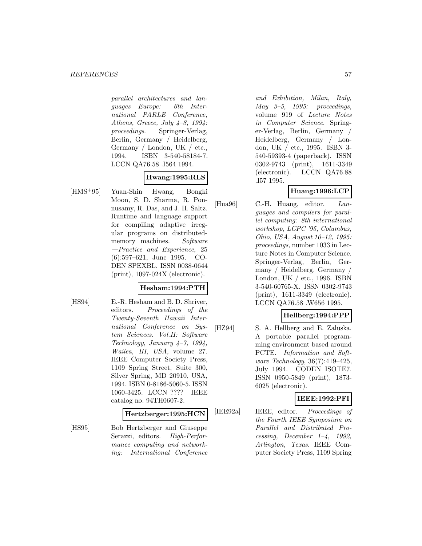#### *REFERENCES* 57

parallel architectures and languages Europe: 6th International PARLE Conference, Athens, Greece, July  $4-8$ , 1994: proceedings. Springer-Verlag, Berlin, Germany / Heidelberg, Germany / London, UK / etc., 1994. ISBN 3-540-58184-7. LCCN QA76.58 .I564 1994.

# **Hwang:1995:RLS**

[HMS<sup>+</sup>95] Yuan-Shin Hwang, Bongki Moon, S. D. Sharma, R. Ponnusamy, R. Das, and J. H. Saltz. Runtime and language support for compiling adaptive irregular programs on distributedmemory machines. Software —Practice and Experience, 25 (6):597–621, June 1995. CO-DEN SPEXBL. ISSN 0038-0644 (print), 1097-024X (electronic).

## **Hesham:1994:PTH**

[HS94] E.-R. Hesham and B. D. Shriver, editors. Proceedings of the Twenty-Seventh Hawaii International Conference on System Sciences. Vol.II: Software Technology, January  $4-7$ , 1994, Wailea, HI, USA, volume 27. IEEE Computer Society Press, 1109 Spring Street, Suite 300, Silver Spring, MD 20910, USA, 1994. ISBN 0-8186-5060-5. ISSN 1060-3425. LCCN ???? IEEE catalog no. 94TH0607-2.

#### **Hertzberger:1995:HCN**

[HS95] Bob Hertzberger and Giuseppe Serazzi, editors. High-Performance computing and networking: International Conference

and Exhibition, Milan, Italy, May  $3-5$ , 1995: proceedings, volume 919 of Lecture Notes in Computer Science. Springer-Verlag, Berlin, Germany / Heidelberg, Germany / London, UK / etc., 1995. ISBN 3- 540-59393-4 (paperback). ISSN 0302-9743 (print), 1611-3349 (electronic). LCCN QA76.88 .I57 1995.

## **Huang:1996:LCP**

[Hua96] C.-H. Huang, editor. Languages and compilers for parallel computing: 8th international workshop, LCPC '95, Columbus, Ohio, USA, August 10–12, 1995: proceedings, number 1033 in Lecture Notes in Computer Science. Springer-Verlag, Berlin, Germany / Heidelberg, Germany / London, UK / etc., 1996. ISBN 3-540-60765-X. ISSN 0302-9743 (print), 1611-3349 (electronic). LCCN QA76.58 .W656 1995.

## **Hellberg:1994:PPP**

[HZ94] S. A. Hellberg and E. Zaluska. A portable parallel programming environment based around PCTE. Information and Software Technology, 36(7):419–425, July 1994. CODEN ISOTE7. ISSN 0950-5849 (print), 1873- 6025 (electronic).

# **IEEE:1992:PFI**

[IEE92a] IEEE, editor. Proceedings of the Fourth IEEE Symposium on Parallel and Distributed Processing, December 1–4, 1992, Arlington, Texas. IEEE Computer Society Press, 1109 Spring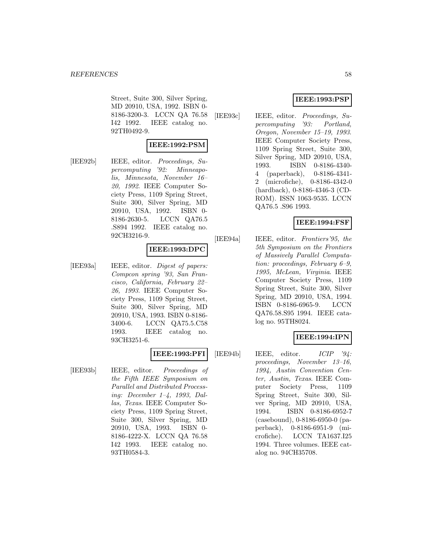Street, Suite 300, Silver Spring, MD 20910, USA, 1992. ISBN 0- 8186-3200-3. LCCN QA 76.58 I42 1992. IEEE catalog no. 92TH0492-9.

## **IEEE:1992:PSM**

[IEE92b] IEEE, editor. Proceedings, Supercomputing '92: Minneapolis, Minnesota, November 16– 20, 1992. IEEE Computer Society Press, 1109 Spring Street, Suite 300, Silver Spring, MD 20910, USA, 1992. ISBN 0- 8186-2630-5. LCCN QA76.5 .S894 1992. IEEE catalog no. 92CH3216-9.

#### **IEEE:1993:DPC**

[IEE93a] IEEE, editor. *Digest of papers:* Compcon spring '93, San Francisco, California, February 22– 26, 1993. IEEE Computer Society Press, 1109 Spring Street, Suite 300, Silver Spring, MD 20910, USA, 1993. ISBN 0-8186- 3400-6. LCCN QA75.5.C58 1993. IEEE catalog no. 93CH3251-6.

## **IEEE:1993:PFI**

[IEE93b] IEEE, editor. Proceedings of the Fifth IEEE Symposium on Parallel and Distributed Processing: December 1–4, 1993, Dallas, Texas. IEEE Computer Society Press, 1109 Spring Street, Suite 300, Silver Spring, MD 20910, USA, 1993. ISBN 0- 8186-4222-X. LCCN QA 76.58 I42 1993. IEEE catalog no. 93TH0584-3.

## **IEEE:1993:PSP**

[IEE93c] IEEE, editor. Proceedings, Supercomputing '93: Portland, Oregon, November 15–19, 1993. IEEE Computer Society Press, 1109 Spring Street, Suite 300, Silver Spring, MD 20910, USA, 1993. ISBN 0-8186-4340- 4 (paperback), 0-8186-4341- 2 (microfiche), 0-8186-4342-0 (hardback), 0-8186-4346-3 (CD-ROM). ISSN 1063-9535. LCCN QA76.5 .S96 1993.

## **IEEE:1994:FSF**

[IEE94a] IEEE, editor. Frontiers'95, the 5th Symposium on the Frontiers of Massively Parallel Computation: proceedings, February 6–9, 1995, McLean, Virginia. IEEE Computer Society Press, 1109 Spring Street, Suite 300, Silver Spring, MD 20910, USA, 1994. ISBN 0-8186-6965-9. LCCN QA76.58.S95 1994. IEEE catalog no. 95TH8024.

## **IEEE:1994:IPN**

[IEE94b] IEEE, editor. ICIP '94: proceedings, November 13–16, 1994, Austin Convention Center, Austin, Texas. IEEE Computer Society Press, 1109 Spring Street, Suite 300, Silver Spring, MD 20910, USA, 1994. ISBN 0-8186-6952-7 (casebound), 0-8186-6950-0 (paperback), 0-8186-6951-9 (microfiche). LCCN TA1637.I25 1994. Three volumes. IEEE catalog no. 94CH35708.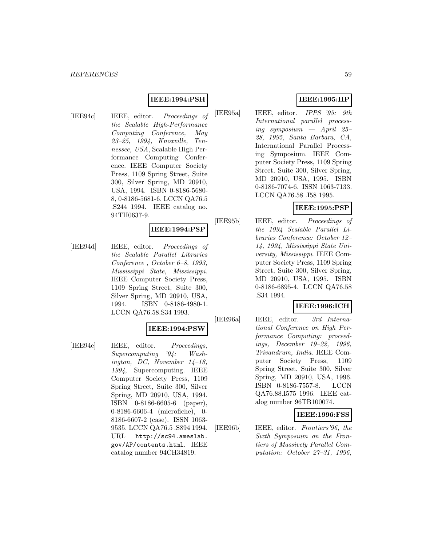## **IEEE:1994:PSH**

[IEE94c] IEEE, editor. Proceedings of the Scalable High-Performance Computing Conference, May 23–25, 1994, Knoxville, Tennessee, USA, Scalable High Performance Computing Conference. IEEE Computer Society Press, 1109 Spring Street, Suite 300, Silver Spring, MD 20910, USA, 1994. ISBN 0-8186-5680- 8, 0-8186-5681-6. LCCN QA76.5 .S244 1994. IEEE catalog no. 94TH0637-9.

#### **IEEE:1994:PSP**

[IEE94d] IEEE, editor. Proceedings of the Scalable Parallel Libraries Conference , October 6–8, 1993, Mississippi State, Mississippi. IEEE Computer Society Press, 1109 Spring Street, Suite 300, Silver Spring, MD 20910, USA, 1994. ISBN 0-8186-4980-1. LCCN QA76.58.S34 1993.

#### **IEEE:1994:PSW**

[IEE94e] IEEE, editor. Proceedings, Supercomputing '94: Washington, DC, November 14–18, 1994, Supercomputing. IEEE Computer Society Press, 1109 Spring Street, Suite 300, Silver Spring, MD 20910, USA, 1994. ISBN 0-8186-6605-6 (paper), 0-8186-6606-4 (microfiche), 0- 8186-6607-2 (case). ISSN 1063- 9535. LCCN QA76.5 .S894 1994. URL http://sc94.ameslab. gov/AP/contents.html. IEEE catalog number 94CH34819.

## **IEEE:1995:IIP**

[IEE95a] IEEE, editor. IPPS '95: 9th International parallel processing symposium —  $April 25-$ 28, 1995, Santa Barbara, CA, International Parallel Processing Symposium. IEEE Computer Society Press, 1109 Spring Street, Suite 300, Silver Spring, MD 20910, USA, 1995. ISBN 0-8186-7074-6. ISSN 1063-7133. LCCN QA76.58 .I58 1995.

## **IEEE:1995:PSP**

[IEE95b] IEEE, editor. Proceedings of the 1994 Scalable Parallel Libraries Conference: October 12– 14, 1994, Mississippi State University, Mississippi. IEEE Computer Society Press, 1109 Spring Street, Suite 300, Silver Spring, MD 20910, USA, 1995. ISBN 0-8186-6895-4. LCCN QA76.58 .S34 1994.

# **IEEE:1996:ICH**

[IEE96a] IEEE, editor. 3rd International Conference on High Performance Computing: proceedings, December 19–22, 1996, Trivandrum, India. IEEE Computer Society Press, 1109 Spring Street, Suite 300, Silver Spring, MD 20910, USA, 1996. ISBN 0-8186-7557-8. LCCN QA76.88.I575 1996. IEEE catalog number 96TB100074.

#### **IEEE:1996:FSS**

[IEE96b] IEEE, editor. Frontiers'96, the Sixth Symposium on the Frontiers of Massively Parallel Computation: October 27–31, 1996,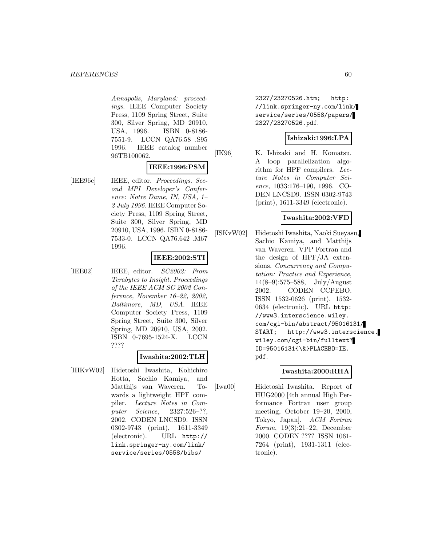Annapolis, Maryland: proceedings. IEEE Computer Society Press, 1109 Spring Street, Suite 300, Silver Spring, MD 20910, USA, 1996. ISBN 0-8186- 7551-9. LCCN QA76.58 .S95 1996. IEEE catalog number 96TB100062.

# **IEEE:1996:PSM**

[IEE96c] IEEE, editor. Proceedings. Second MPI Developer's Conference: Notre Dame, IN, USA, 1– 2 July 1996. IEEE Computer Society Press, 1109 Spring Street, Suite 300, Silver Spring, MD 20910, USA, 1996. ISBN 0-8186- 7533-0. LCCN QA76.642 .M67 1996.

#### **IEEE:2002:STI**

[IEE02] IEEE, editor. SC2002: From Terabytes to Insight. Proceedings of the IEEE ACM SC 2002 Conference, November 16–22, 2002, Baltimore, MD, USA. IEEE Computer Society Press, 1109 Spring Street, Suite 300, Silver Spring, MD 20910, USA, 2002. ISBN 0-7695-1524-X. LCCN ????

## **Iwashita:2002:TLH**

[IHKvW02] Hidetoshi Iwashita, Kohichiro Hotta, Sachio Kamiya, and Matthijs van Waveren. Towards a lightweight HPF compiler. Lecture Notes in Computer Science, 2327:526–??, 2002. CODEN LNCSD9. ISSN 0302-9743 (print), 1611-3349 (electronic). URL http:// link.springer-ny.com/link/ service/series/0558/bibs/

2327/23270526.htm; http: //link.springer-ny.com/link/ service/series/0558/papers/ 2327/23270526.pdf.

## **Ishizaki:1996:LPA**

[IK96] K. Ishizaki and H. Komatsu. A loop parallelization algorithm for HPF compilers. Lecture Notes in Computer Science, 1033:176–190, 1996. CO-DEN LNCSD9. ISSN 0302-9743 (print), 1611-3349 (electronic).

#### **Iwashita:2002:VFD**

[ISKvW02] Hidetoshi Iwashita, Naoki Sueyasu, Sachio Kamiya, and Matthijs van Waveren. VPP Fortran and the design of HPF/JA extensions. Concurrency and Computation: Practice and Experience, 14(8–9):575–588, July/August 2002. CODEN CCPEBO. ISSN 1532-0626 (print), 1532- 0634 (electronic). URL http: //www3.interscience.wiley. com/cgi-bin/abstract/95016131/ START; http://www3.interscience. wiley.com/cgi-bin/fulltext? ID=95016131{\&}PLACEBO=IE. pdf.

## **Iwashita:2000:RHA**

[Iwa00] Hidetoshi Iwashita. Report of HUG2000 [4th annual High Performance Fortran user group meeting, October 19–20, 2000, Tokyo, Japan]. ACM Fortran Forum, 19(3):21–22, December 2000. CODEN ???? ISSN 1061- 7264 (print), 1931-1311 (electronic).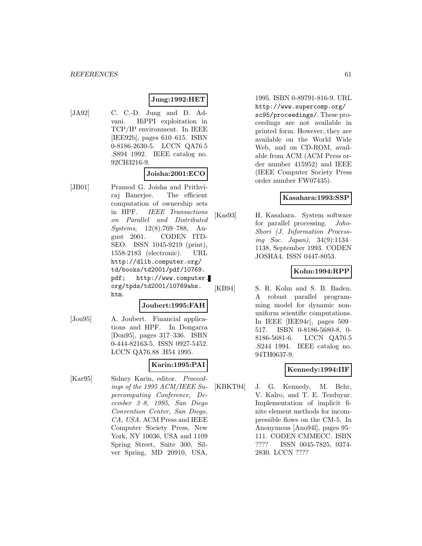#### **Jung:1992:HET**

[JA92] C. C.-D. Jung and D. Advani. HiPPI exploitation in TCP/IP environment. In IEEE [IEE92b], pages 610–615. ISBN 0-8186-2630-5. LCCN QA76.5 .S894 1992. IEEE catalog no. 92CH3216-9.

#### **Joisha:2001:ECO**

[JB01] Pramod G. Joisha and Prithviraj Banerjee. The efficient computation of ownership sets in HPF. IEEE Transactions on Parallel and Distributed Systems, 12(8):769–788, August 2001. CODEN ITD-SEO. ISSN 1045-9219 (print), 1558-2183 (electronic). URL http://dlib.computer.org/ td/books/td2001/pdf/l0769. pdf; http://www.computer. org/tpds/td2001/l0769abs. htm.

#### **Joubert:1995:FAH**

[Jou95] A. Joubert. Financial applications and HPF. In Dongarra [Don95], pages 317–336. ISBN 0-444-82163-5. ISSN 0927-5452. LCCN QA76.88 .H54 1995.

# **Karin:1995:PAI**

[Kar95] Sidney Karin, editor. Proceedings of the 1995 ACM/IEEE Supercomputing Conference, December 3–8, 1995, San Diego Convention Center, San Diego, CA, USA. ACM Press and IEEE Computer Society Press, New York, NY 10036, USA and 1109 Spring Street, Suite 300, Silver Spring, MD 20910, USA,

1995. ISBN 0-89791-816-9. URL http://www.supercomp.org/ sc95/proceedings/. These proceedings are not available in printed form. However, they are available on the World Wide Web, and on CD-ROM, available from ACM (ACM Press order number 415952) and IEEE (IEEE Computer Society Press order number FW07435).

#### **Kasahara:1993:SSP**

[Kas93] H. Kasahara. System software for parallel processing. Joho-Shori (J. Information Processing Soc. Japan), 34(9):1134– 1138, September 1993. CODEN JOSHA4. ISSN 0447-8053.

## **Kohn:1994:RPP**

[KB94] S. R. Kohn and S. B. Baden. A robust parallel programming model for dynamic nonuniform scientific computations. In IEEE [IEE94c], pages 509– 517. ISBN 0-8186-5680-8, 0- 8186-5681-6. LCCN QA76.5 .S244 1994. IEEE catalog no. 94TH0637-9.

#### **Kennedy:1994:IIF**

[KBKT94] J. G. Kennedy, M. Behr, V. Kalro, and T. E. Tezduyar. Implementation of implicit finite element methods for incompressible flows on the CM-5. In Anonymous [Ano94l], pages 95– 111. CODEN CMMECC. ISBN ???? ISSN 0045-7825, 0374- 2830. LCCN ????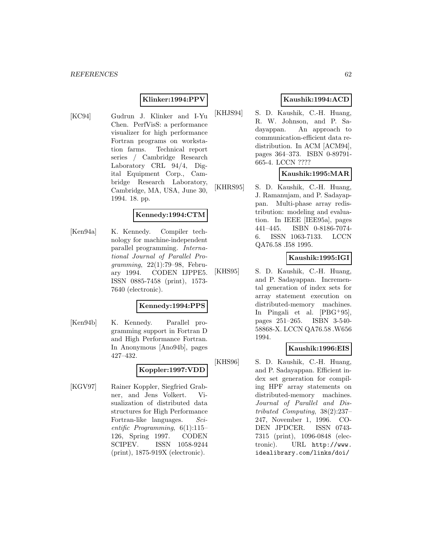#### **Klinker:1994:PPV**

[KC94] Gudrun J. Klinker and I-Yu Chen. PerfVisS: a performance visualizer for high performance Fortran programs on workstation farms. Technical report series / Cambridge Research Laboratory CRL 94/4, Digital Equipment Corp., Cambridge Research Laboratory, Cambridge, MA, USA, June 30, 1994. 18. pp.

#### **Kennedy:1994:CTM**

[Ken94a] K. Kennedy. Compiler technology for machine-independent parallel programming. International Journal of Parallel Programming, 22(1):79–98, February 1994. CODEN IJPPE5. ISSN 0885-7458 (print), 1573- 7640 (electronic).

#### **Kennedy:1994:PPS**

[Ken94b] K. Kennedy. Parallel programming support in Fortran D and High Performance Fortran. In Anonymous [Ano94b], pages 427–432.

# **Koppler:1997:VDD**

[KGV97] Rainer Koppler, Siegfried Grabner, and Jens Volkert. Visualization of distributed data structures for High Performance Fortran-like languages. Scientific Programming,  $6(1):115-$ 126, Spring 1997. CODEN SCIPEV. ISSN 1058-9244 (print), 1875-919X (electronic).

# **Kaushik:1994:ACD**

[KHJS94] S. D. Kaushik, C.-H. Huang, R. W. Johnson, and P. Sadayappan. An approach to communication-efficient data redistribution. In ACM [ACM94], pages 364–373. ISBN 0-89791- 665-4. LCCN ????

## **Kaushik:1995:MAR**

[KHRS95] S. D. Kaushik, C.-H. Huang, J. Ramanujam, and P. Sadayappan. Multi-phase array redistribution: modeling and evaluation. In IEEE [IEE95a], pages 441–445. ISBN 0-8186-7074- 6. ISSN 1063-7133. LCCN QA76.58 .I58 1995.

## **Kaushik:1995:IGI**

[KHS95] S. D. Kaushik, C.-H. Huang, and P. Sadayappan. Incremental generation of index sets for array statement execution on distributed-memory machines. In Pingali et al. [PBG<sup>+</sup>95], pages 251–265. ISBN 3-540- 58868-X. LCCN QA76.58 .W656 1994.

## **Kaushik:1996:EIS**

[KHS96] S. D. Kaushik, C.-H. Huang, and P. Sadayappan. Efficient index set generation for compiling HPF array statements on distributed-memory machines. Journal of Parallel and Distributed Computing, 38(2):237– 247, November 1, 1996. CO-DEN JPDCER. ISSN 0743- 7315 (print), 1096-0848 (electronic). URL http://www. idealibrary.com/links/doi/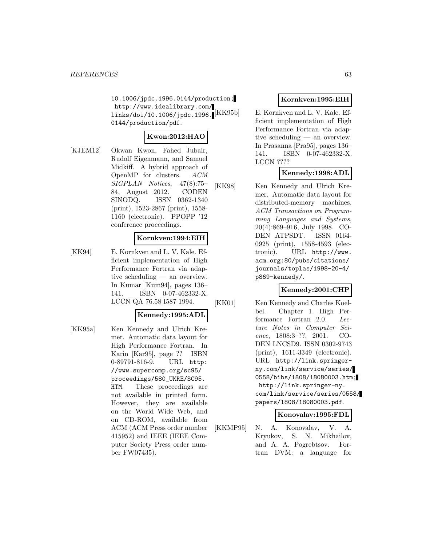10.1006/jpdc.1996.0144/production; http://www.idealibrary.com/ links/doi/10.1006/jpdc.1996. 0144/production/pdf.

# **Kwon:2012:HAO**

[KJEM12] Okwan Kwon, Fahed Jubair, Rudolf Eigenmann, and Samuel Midkiff. A hybrid approach of OpenMP for clusters. ACM SIGPLAN Notices, 47(8):75– 84, August 2012. CODEN SINODQ. ISSN 0362-1340 (print), 1523-2867 (print), 1558- 1160 (electronic). PPOPP '12 conference proceedings.

## **Kornkven:1994:EIH**

[KK94] E. Kornkven and L. V. Kale. Efficient implementation of High Performance Fortran via adaptive scheduling — an overview. In Kumar [Kum94], pages 136– 141. **ISBN** 0-07-462332-X. LCCN QA 76.58 I587 1994.

#### **Kennedy:1995:ADL**

[KK95a] Ken Kennedy and Ulrich Kremer. Automatic data layout for High Performance Fortran. In Karin [Kar95], page ?? ISBN 0-89791-816-9. URL http: //www.supercomp.org/sc95/ proceedings/580\_UKRE/SC95. HTM. These proceedings are not available in printed form. However, they are available on the World Wide Web, and on CD-ROM, available from ACM (ACM Press order number 415952) and IEEE (IEEE Computer Society Press order number FW07435).

## **Kornkven:1995:EIH**

E. Kornkven and L. V. Kale. Efficient implementation of High Performance Fortran via adaptive scheduling — an overview. In Prasanna [Pra95], pages 136– 141. ISBN 0-07-462332-X. LCCN ????

## **Kennedy:1998:ADL**

[KK98] Ken Kennedy and Ulrich Kremer. Automatic data layout for distributed-memory machines. ACM Transactions on Programming Languages and Systems, 20(4):869–916, July 1998. CO-DEN ATPSDT. ISSN 0164- 0925 (print), 1558-4593 (electronic). URL http://www. acm.org:80/pubs/citations/ journals/toplas/1998-20-4/ p869-kennedy/.

## **Kennedy:2001:CHP**

[KK01] Ken Kennedy and Charles Koelbel. Chapter 1. High Performance Fortran 2.0. Lecture Notes in Computer Science, 1808:3–??, 2001. CO-DEN LNCSD9. ISSN 0302-9743 (print), 1611-3349 (electronic). URL http://link.springerny.com/link/service/series/ 0558/bibs/1808/18080003.htm; http://link.springer-ny. com/link/service/series/0558/ papers/1808/18080003.pdf.

#### **Konovalav:1995:FDL**

[KKMP95] N. A. Konovalav, V. A. Kryukov, S. N. Mikhailov, and A. A. Pogrebtsov. Fortran DVM: a language for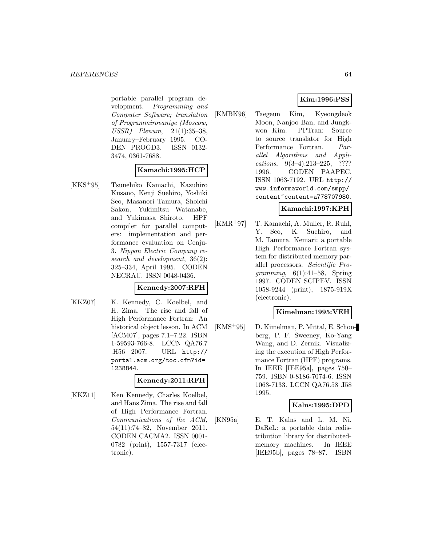portable parallel program development. Programming and Computer Software; translation of Programmirovaniye (Moscow, USSR) Plenum, 21(1):35–38, January–February 1995. CO-DEN PROGD3. ISSN 0132- 3474, 0361-7688.

## **Kamachi:1995:HCP**

[KKS<sup>+</sup>95] Tsunehiko Kamachi, Kazuhiro Kusano, Kenji Suehiro, Yoshiki Seo, Masanori Tamura, Shoichi Sakon, Yukimitsu Watanabe, and Yukimasa Shiroto. HPF compiler for parallel computers: implementation and performance evaluation on Cenju-3. Nippon Electric Company research and development, 36(2): 325–334, April 1995. CODEN NECRAU. ISSN 0048-0436.

## **Kennedy:2007:RFH**

[KKZ07] K. Kennedy, C. Koelbel, and H. Zima. The rise and fall of High Performance Fortran: An historical object lesson. In ACM [ACM07], pages 7.1–7.22. ISBN 1-59593-766-8. LCCN QA76.7 .H56 2007. URL http:// portal.acm.org/toc.cfm?id= 1238844.

## **Kennedy:2011:RFH**

[KKZ11] Ken Kennedy, Charles Koelbel, and Hans Zima. The rise and fall of High Performance Fortran. Communications of the ACM, 54(11):74–82, November 2011. CODEN CACMA2. ISSN 0001- 0782 (print), 1557-7317 (electronic).

# **Kim:1996:PSS**

[KMBK96] Taegeun Kim, Kyeongdeok Moon, Nanjoo Ban, and Jungkwon Kim. PPTran: Source to source translator for High Performance Fortran. Parallel Algorithms and Applications, 9(3–4):213–225, ???? 1996. CODEN PAAPEC. ISSN 1063-7192. URL http:// www.informaworld.com/smpp/ content~content=a778707980.

#### **Kamachi:1997:KPH**

[KMR<sup>+</sup>97] T. Kamachi, A. Muller, R. Ruhl, Y. Seo, K. Suehiro, and M. Tamura. Kemari: a portable High Performance Fortran system for distributed memory parallel processors. Scientific Programming,  $6(1):41-58$ , Spring 1997. CODEN SCIPEV. ISSN 1058-9244 (print), 1875-919X (electronic).

#### **Kimelman:1995:VEH**

[KMS<sup>+</sup>95] D. Kimelman, P. Mittal, E. Schonberg, P. F. Sweeney, Ko-Yang Wang, and D. Zernik. Visualizing the execution of High Performance Fortran (HPF) programs. In IEEE [IEE95a], pages 750– 759. ISBN 0-8186-7074-6. ISSN 1063-7133. LCCN QA76.58 .I58 1995.

#### **Kalns:1995:DPD**

[KN95a] E. T. Kalns and L. M. Ni. DaReL: a portable data redistribution library for distributedmemory machines. In IEEE [IEE95b], pages 78–87. ISBN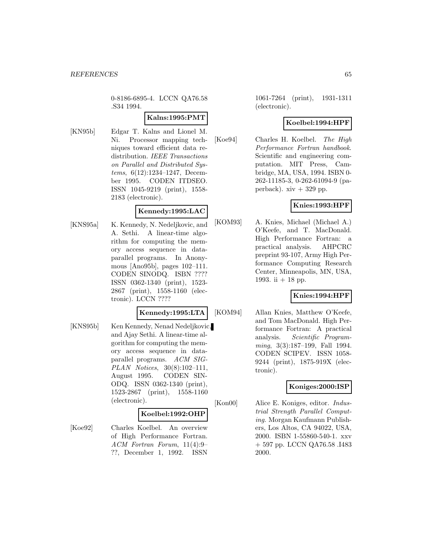0-8186-6895-4. LCCN QA76.58 .S34 1994.

## **Kalns:1995:PMT**

[KN95b] Edgar T. Kalns and Lionel M. Ni. Processor mapping techniques toward efficient data redistribution. IEEE Transactions on Parallel and Distributed Systems, 6(12):1234–1247, December 1995. CODEN ITDSEO. ISSN 1045-9219 (print), 1558- 2183 (electronic).

## **Kennedy:1995:LAC**

[KNS95a] K. Kennedy, N. Nedeljkovic, and A. Sethi. A linear-time algorithm for computing the memory access sequence in dataparallel programs. In Anonymous [Ano95b], pages 102–111. CODEN SINODQ. ISBN ???? ISSN 0362-1340 (print), 1523- 2867 (print), 1558-1160 (electronic). LCCN ????

#### **Kennedy:1995:LTA**

[KNS95b] Ken Kennedy, Nenad Nedeljkovic, and Ajay Sethi. A linear-time algorithm for computing the memory access sequence in dataparallel programs. ACM SIG-PLAN Notices, 30(8):102–111, August 1995. CODEN SIN-ODQ. ISSN 0362-1340 (print), 1523-2867 (print), 1558-1160 (electronic).

#### **Koelbel:1992:OHP**

[Koe92] Charles Koelbel. An overview of High Performance Fortran. ACM Fortran Forum, 11(4):9– ??, December 1, 1992. ISSN 1061-7264 (print), 1931-1311 (electronic).

## **Koelbel:1994:HPF**

[Koe94] Charles H. Koelbel. The High Performance Fortran handbook. Scientific and engineering computation. MIT Press, Cambridge, MA, USA, 1994. ISBN 0- 262-11185-3, 0-262-61094-9 (paperback).  $xiv + 329$  pp.

# **Knies:1993:HPF**

[KOM93] A. Knies, Michael (Michael A.) O'Keefe, and T. MacDonald. High Performance Fortran: a practical analysis. AHPCRC preprint 93-107, Army High Performance Computing Research Center, Minneapolis, MN, USA, 1993. ii  $+18$  pp.

# **Knies:1994:HPF**

[KOM94] Allan Knies, Matthew O'Keefe, and Tom MacDonald. High Performance Fortran: A practical analysis. Scientific Programming, 3(3):187–199, Fall 1994. CODEN SCIPEV. ISSN 1058- 9244 (print), 1875-919X (electronic).

# **Koniges:2000:ISP**

[Kon00] Alice E. Koniges, editor. Industrial Strength Parallel Computing. Morgan Kaufmann Publishers, Los Altos, CA 94022, USA, 2000. ISBN 1-55860-540-1. xxv + 597 pp. LCCN QA76.58 .I483 2000.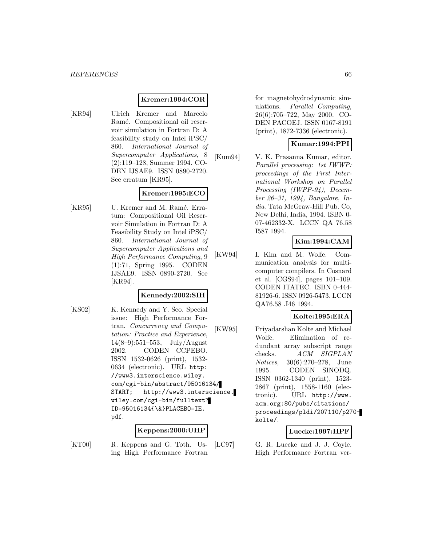#### **Kremer:1994:COR**

[KR94] Ulrich Kremer and Marcelo Ramé. Compositional oil reservoir simulation in Fortran D: A feasibility study on Intel iPSC/ 860. International Journal of Supercomputer Applications, 8 (2):119–128, Summer 1994. CO-DEN IJSAE9. ISSN 0890-2720. See erratum [KR95].

# **Kremer:1995:ECO**

[KR95] U. Kremer and M. Ramé. Erratum: Compositional Oil Reservoir Simulation in Fortran D: A Feasibility Study on Intel iPSC/ 860. International Journal of Supercomputer Applications and High Performance Computing, 9 (1):71, Spring 1995. CODEN IJSAE9. ISSN 0890-2720. See [KR94].

#### **Kennedy:2002:SIH**

[KS02] K. Kennedy and Y. Seo. Special issue: High Performance Fortran. Concurrency and Computation: Practice and Experience, 14(8–9):551–553, July/August 2002. CODEN CCPEBO. ISSN 1532-0626 (print), 1532- 0634 (electronic). URL http: //www3.interscience.wiley. com/cgi-bin/abstract/95016134/ START; http://www3.interscience. wiley.com/cgi-bin/fulltext? ID=95016134{\&}PLACEBO=IE. pdf.

#### **Keppens:2000:UHP**

[KT00] R. Keppens and G. Toth. Using High Performance Fortran for magnetohydrodynamic simulations. Parallel Computing, 26(6):705–722, May 2000. CO-DEN PACOEJ. ISSN 0167-8191 (print), 1872-7336 (electronic).

## **Kumar:1994:PPI**

[Kum94] V. K. Prasanna Kumar, editor. Parallel processing: 1st IWWP: proceedings of the First International Workshop on Parallel Processing (IWPP-94), December 26–31, 1994, Bangalore, India. Tata McGraw-Hill Pub. Co, New Delhi, India, 1994. ISBN 0- 07-462332-X. LCCN QA 76.58 I587 1994.

# **Kim:1994:CAM**

[KW94] I. Kim and M. Wolfe. Communication analysis for multicomputer compilers. In Cosnard et al. [CGS94], pages 101–109. CODEN ITATEC. ISBN 0-444- 81926-6. ISSN 0926-5473. LCCN QA76.58 .I46 1994.

## **Kolte:1995:ERA**

[KW95] Priyadarshan Kolte and Michael Wolfe. Elimination of redundant array subscript range checks. ACM SIGPLAN Notices, 30(6):270–278, June 1995. CODEN SINODQ. ISSN 0362-1340 (print), 1523- 2867 (print), 1558-1160 (electronic). URL http://www. acm.org:80/pubs/citations/ proceedings/pldi/207110/p270 kolte/.

## **Luecke:1997:HPF**

[LC97] G. R. Luecke and J. J. Coyle. High Performance Fortran ver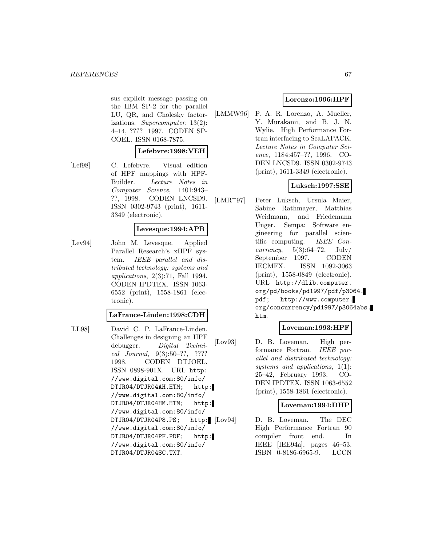sus explicit message passing on the IBM SP-2 for the parallel LU, QR, and Cholesky factorizations. Supercomputer, 13(2): 4–14, ???? 1997. CODEN SP-COEL. ISSN 0168-7875.

#### **Lefebvre:1998:VEH**

[Lef98] C. Lefebvre. Visual edition of HPF mappings with HPF-Builder. Lecture Notes in Computer Science, 1401:943– ??, 1998. CODEN LNCSD9. ISSN 0302-9743 (print), 1611- 3349 (electronic).

#### **Levesque:1994:APR**

[Lev94] John M. Levesque. Applied Parallel Research's xHPF system. IEEE parallel and distributed technology: systems and applications, 2(3):71, Fall 1994. CODEN IPDTEX. ISSN 1063- 6552 (print), 1558-1861 (electronic).

#### **LaFrance-Linden:1998:CDH**

[LL98] David C. P. LaFrance-Linden. Challenges in designing an HPF debugger. Digital Technical Journal, 9(3):50–??, ???? 1998. CODEN DTJOEL. ISSN 0898-901X. URL http: //www.digital.com:80/info/ DTJR04/DTJR04AH.HTM; http: //www.digital.com:80/info/ DTJR04/DTJR04HM.HTM; http: //www.digital.com:80/info/ DTJR04/DTJR04P8.PS; http: [Lov94] //www.digital.com:80/info/ DTJR04/DTJR04PF.PDF; http: //www.digital.com:80/info/ DTJR04/DTJR04SC.TXT.

## **Lorenzo:1996:HPF**

[LMMW96] P. A. R. Lorenzo, A. Mueller, Y. Murakami, and B. J. N. Wylie. High Performance Fortran interfacing to ScaLAPACK. Lecture Notes in Computer Science, 1184:457–??, 1996. CO-DEN LNCSD9. ISSN 0302-9743 (print), 1611-3349 (electronic).

## **Luksch:1997:SSE**

[LMR<sup>+</sup>97] Peter Luksch, Ursula Maier, Sabine Rathmayer, Matthias Weidmann, and Friedemann Unger. Sempa: Software engineering for parallel scientific computing. IEEE Concurrency,  $5(3):64-72$ ,  $\text{July}/$ September 1997. CODEN IECMFX. ISSN 1092-3063 (print), 1558-0849 (electronic). URL http://dlib.computer. org/pd/books/pd1997/pdf/p3064. pdf; http://www.computer. org/concurrency/pd1997/p3064abs. htm.

#### **Loveman:1993:HPF**

[Lov93] D. B. Loveman. High performance Fortran. IEEE parallel and distributed technology: systems and applications,  $1(1)$ : 25–42, February 1993. CO-DEN IPDTEX. ISSN 1063-6552 (print), 1558-1861 (electronic).

## **Loveman:1994:DHP**

D. B. Loveman. The DEC High Performance Fortran 90 compiler front end. In IEEE [IEE94a], pages 46–53. ISBN 0-8186-6965-9. LCCN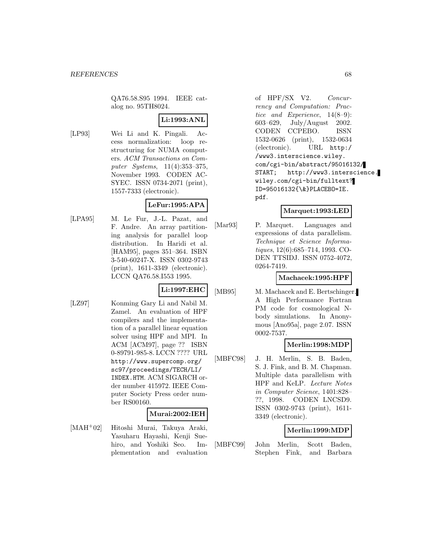QA76.58.S95 1994. IEEE catalog no. 95TH8024.

# **Li:1993:ANL**

[LP93] Wei Li and K. Pingali. Access normalization: loop restructuring for NUMA computers. ACM Transactions on Computer Systems, 11(4):353–375, November 1993. CODEN AC-SYEC. ISSN 0734-2071 (print), 1557-7333 (electronic).

# **LeFur:1995:APA**

[LPA95] M. Le Fur, J.-L. Pazat, and F. Andre. An array partitioning analysis for parallel loop distribution. In Haridi et al. [HAM95], pages 351–364. ISBN 3-540-60247-X. ISSN 0302-9743 (print), 1611-3349 (electronic). LCCN QA76.58.I553 1995.

# **Li:1997:EHC**

[LZ97] Konming Gary Li and Nabil M. Zamel. An evaluation of HPF compilers and the implementation of a parallel linear equation solver using HPF and MPI. In ACM [ACM97], page ?? ISBN 0-89791-985-8. LCCN ???? URL http://www.supercomp.org/ sc97/proceedings/TECH/LI/ INDEX.HTM. ACM SIGARCH order number 415972. IEEE Computer Society Press order number RS00160.

## **Murai:2002:IEH**

[MAH<sup>+</sup>02] Hitoshi Murai, Takuya Araki, Yasuharu Hayashi, Kenji Suehiro, and Yoshiki Seo. Implementation and evaluation

of HPF/SX V2. Concurrency and Computation: Practice and Experience, 14(8–9): 603–629, July/August 2002. CODEN CCPEBO. ISSN 1532-0626 (print), 1532-0634 (electronic). URL http:/ /www3.interscience.wiley. com/cgi-bin/abstract/95016132/ START; http://www3.interscience. wiley.com/cgi-bin/fulltext? ID=95016132{\&}PLACEBO=IE. pdf.

## **Marquet:1993:LED**

[Mar93] P. Marquet. Languages and expressions of data parallelism. Technique et Science Informatiques, 12(6):685–714, 1993. CO-DEN TTSIDJ. ISSN 0752-4072, 0264-7419.

## **Machacek:1995:HPF**

[MB95] M. Machacek and E. Bertschinger. A High Performance Fortran PM code for cosmological Nbody simulations. In Anonymous [Ano95a], page 2.07. ISSN 0002-7537.

## **Merlin:1998:MDP**

[MBFC98] J. H. Merlin, S. B. Baden, S. J. Fink, and B. M. Chapman. Multiple data parallelism with HPF and KeLP. Lecture Notes in Computer Science, 1401:828– ??, 1998. CODEN LNCSD9. ISSN 0302-9743 (print), 1611- 3349 (electronic).

# **Merlin:1999:MDP**

[MBFC99] John Merlin, Scott Baden, Stephen Fink, and Barbara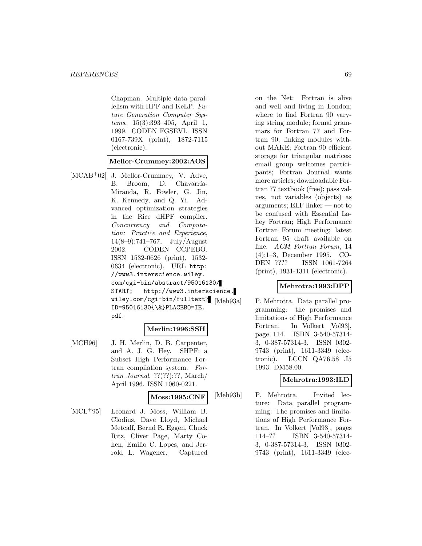Chapman. Multiple data parallelism with HPF and KeLP. Future Generation Computer Systems, 15(3):393–405, April 1, 1999. CODEN FGSEVI. ISSN 0167-739X (print), 1872-7115 (electronic).

## **Mellor-Crummey:2002:AOS**

[MCAB<sup>+</sup>02] J. Mellor-Crummey, V. Adve, B. Broom, D. Chavarría-Miranda, R. Fowler, G. Jin, K. Kennedy, and Q. Yi. Advanced optimization strategies in the Rice dHPF compiler. Concurrency and Computation: Practice and Experience, 14(8–9):741–767, July/August 2002. CODEN CCPEBO. ISSN 1532-0626 (print), 1532- 0634 (electronic). URL http: //www3.interscience.wiley. com/cgi-bin/abstract/95016130/ START; http://www3.interscience. wiley.com/cgi-bin/fulltext? [Meh93a] ID=95016130{\&}PLACEBO=IE. pdf.

## **Merlin:1996:SSH**

[MCH96] J. H. Merlin, D. B. Carpenter, and A. J. G. Hey. SHPF: a Subset High Performance Fortran compilation system. Fortran Journal, ??(??):??, March/ April 1996. ISSN 1060-0221.

#### **Moss:1995:CNF**

[MCL<sup>+</sup>95] Leonard J. Moss, William B. Clodius, Dave Lloyd, Michael Metcalf, Bernd R. Eggen, Chuck Ritz, Cliver Page, Marty Cohen, Emilio C. Lopes, and Jerrold L. Wagener. Captured

on the Net: Fortran is alive and well and living in London; where to find Fortran 90 varying string module; formal grammars for Fortran 77 and Fortran 90; linking modules without MAKE; Fortran 90 efficient storage for triangular matrices; email group welcomes participants; Fortran Journal wants more articles; downloadable Fortran 77 textbook (free); pass values, not variables (objects) as arguments; ELF linker — not to be confused with Essential Lahey Fortran; High Performance Fortran Forum meeting; latest Fortran 95 draft available on line. ACM Fortran Forum, 14 (4):1–3, December 1995. CO-DEN ???? ISSN 1061-7264 (print), 1931-1311 (electronic).

## **Mehrotra:1993:DPP**

P. Mehrotra. Data parallel programming: the promises and limitations of High Performance Fortran. In Volkert [Vol93], page 114. ISBN 3-540-57314- 3, 0-387-57314-3. ISSN 0302- 9743 (print), 1611-3349 (electronic). LCCN QA76.58 .I5 1993. DM58.00.

## **Mehrotra:1993:ILD**

[Meh93b] P. Mehrotra. Invited lecture: Data parallel programming: The promises and limitations of High Performance Fortran. In Volkert [Vol93], pages 114–?? ISBN 3-540-57314- 3, 0-387-57314-3. ISSN 0302- 9743 (print), 1611-3349 (elec-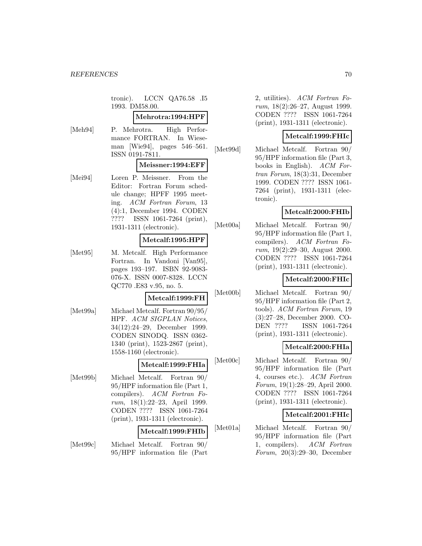tronic). LCCN QA76.58 .I5 1993. DM58.00.

#### **Mehrotra:1994:HPF**

[Meh94] P. Mehrotra. High Performance FORTRAN. In Wieseman [Wie94], pages 546–561. ISSN 0191-7811.

#### **Meissner:1994:EFF**

[Mei94] Loren P. Meissner. From the Editor: Fortran Forum schedule change; HPFF 1995 meeting. ACM Fortran Forum, 13 (4):1, December 1994. CODEN ???? ISSN 1061-7264 (print), 1931-1311 (electronic).

## **Metcalf:1995:HPF**

[Met95] M. Metcalf. High Performance Fortran. In Vandoni [Van95], pages 193–197. ISBN 92-9083- 076-X. ISSN 0007-8328. LCCN QC770 .E83 v.95, no. 5.

## **Metcalf:1999:FH**

[Met99a] Michael Metcalf. Fortran 90/95/ HPF. ACM SIGPLAN Notices, 34(12):24–29, December 1999. CODEN SINODQ. ISSN 0362- 1340 (print), 1523-2867 (print), 1558-1160 (electronic).

#### **Metcalf:1999:FHIa**

[Met99b] Michael Metcalf. Fortran 90/ 95/HPF information file (Part 1, compilers). ACM Fortran Forum, 18(1):22–23, April 1999. CODEN ???? ISSN 1061-7264 (print), 1931-1311 (electronic).

#### **Metcalf:1999:FHIb**

[Met99c] Michael Metcalf. Fortran 90/ 95/HPF information file (Part 2, utilities). ACM Fortran Forum, 18(2):26–27, August 1999. CODEN ???? ISSN 1061-7264 (print), 1931-1311 (electronic).

## **Metcalf:1999:FHIc**

[Met99d] Michael Metcalf. Fortran 90/ 95/HPF information file (Part 3, books in English). ACM Fortran Forum, 18(3):31, December 1999. CODEN ???? ISSN 1061- 7264 (print), 1931-1311 (electronic).

# **Metcalf:2000:FHIb**

[Met00a] Michael Metcalf. Fortran 90/ 95/HPF information file (Part 1, compilers). ACM Fortran Forum, 19(2):29–30, August 2000. CODEN ???? ISSN 1061-7264 (print), 1931-1311 (electronic).

## **Metcalf:2000:FHIc**

[Met00b] Michael Metcalf. Fortran 90/ 95/HPF information file (Part 2, tools). ACM Fortran Forum, 19 (3):27–28, December 2000. CO-DEN ???? ISSN 1061-7264 (print), 1931-1311 (electronic).

## **Metcalf:2000:FHIa**

[Met00c] Michael Metcalf. Fortran 90/ 95/HPF information file (Part 4, courses etc.). ACM Fortran Forum, 19(1):28–29, April 2000. CODEN ???? ISSN 1061-7264 (print), 1931-1311 (electronic).

## **Metcalf:2001:FHIc**

[Met01a] Michael Metcalf. Fortran 90/ 95/HPF information file (Part 1, compilers). ACM Fortran Forum, 20(3):29–30, December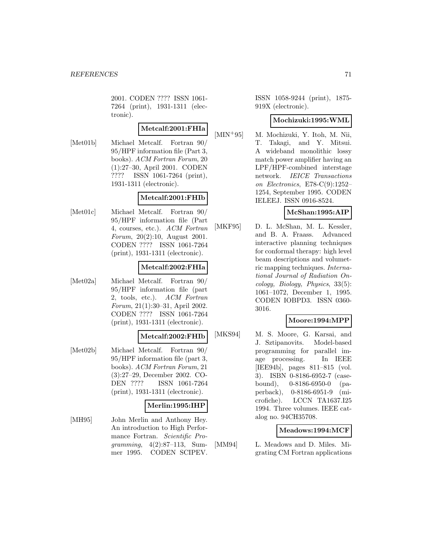2001. CODEN ???? ISSN 1061- 7264 (print), 1931-1311 (electronic).

# **Metcalf:2001:FHIa**

[Met01b] Michael Metcalf. Fortran 90/ 95/HPF information file (Part 3, books). ACM Fortran Forum, 20 (1):27–30, April 2001. CODEN ???? ISSN 1061-7264 (print), 1931-1311 (electronic).

#### **Metcalf:2001:FHIb**

[Met01c] Michael Metcalf. Fortran 90/ 95/HPF information file (Part 4, courses, etc.). ACM Fortran Forum, 20(2):10, August 2001. CODEN ???? ISSN 1061-7264 (print), 1931-1311 (electronic).

#### **Metcalf:2002:FHIa**

[Met02a] Michael Metcalf. Fortran 90/ 95/HPF information file (part 2, tools, etc.). ACM Fortran Forum, 21(1):30–31, April 2002. CODEN ???? ISSN 1061-7264 (print), 1931-1311 (electronic).

#### **Metcalf:2002:FHIb**

[Met02b] Michael Metcalf. Fortran 90/ 95/HPF information file (part 3, books). ACM Fortran Forum, 21 (3):27–29, December 2002. CO-DEN ???? ISSN 1061-7264 (print), 1931-1311 (electronic).

## **Merlin:1995:IHP**

[MH95] John Merlin and Anthony Hey. An introduction to High Performance Fortran. Scientific Pro $gramming, \quad 4(2):87-113, \quad Sum$ mer 1995. CODEN SCIPEV.

ISSN 1058-9244 (print), 1875- 919X (electronic).

#### **Mochizuki:1995:WML**

[MIN<sup>+</sup>95] M. Mochizuki, Y. Itoh, M. Nii, T. Takagi, and Y. Mitsui. A wideband monolithic lossy match power amplifier having an LPF/HPF-combined interstage network. IEICE Transactions on Electronics, E78-C(9):1252– 1254, September 1995. CODEN IELEEJ. ISSN 0916-8524.

## **McShan:1995:AIP**

[MKF95] D. L. McShan, M. L. Kessler, and B. A. Fraass. Advanced interactive planning techniques for conformal therapy: high level beam descriptions and volumetric mapping techniques. International Journal of Radiation Oncology, Biology, Physics, 33(5): 1061–1072, December 1, 1995. CODEN IOBPD3. ISSN 0360- 3016.

# **Moore:1994:MPP**

[MKS94] M. S. Moore, G. Karsai, and J. Sztipanovits. Model-based programming for parallel image processing. In IEEE [IEE94b], pages 811–815 (vol. 3). ISBN 0-8186-6952-7 (casebound), 0-8186-6950-0 (paperback), 0-8186-6951-9 (microfiche). LCCN TA1637.I25 1994. Three volumes. IEEE catalog no. 94CH35708.

## **Meadows:1994:MCF**

[MM94] L. Meadows and D. Miles. Migrating CM Fortran applications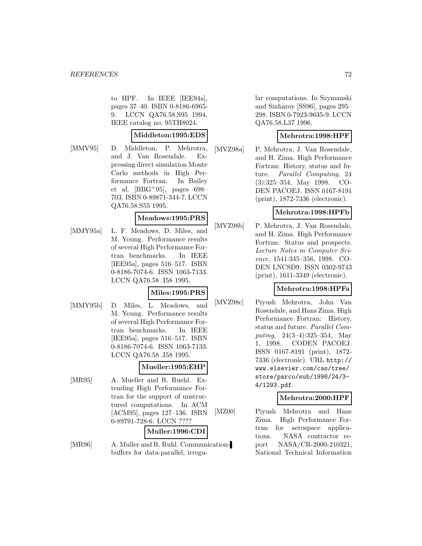to HPF. In IEEE [IEE94a], pages 37–40. ISBN 0-8186-6965- 9. LCCN QA76.58.S95 1994. IEEE catalog no. 95TH8024.

#### **Middleton:1995:EDS**

[MMV95] D. Middleton, P. Mehrotra, and J. Van Rosendale. Expressing direct simulation Monte Carlo methods in High Performance Fortran. In Bailey et al. [BBG<sup>+</sup>95], pages 698– 703. ISBN 0-89871-344-7. LCCN QA76.58.S55 1995.

## **Meadows:1995:PRS**

[MMY95a] L. F. Meadows, D. Miles, and M. Young. Performance results of several High Performance Fortran benchmarks. In IEEE [IEE95a], pages 516–517. ISBN 0-8186-7074-6. ISSN 1063-7133. LCCN QA76.58 .I58 1995.

## **Miles:1995:PRS**

[MMY95b] D. Miles, L. Meadows, and M. Young. Performance results of several High Performance Fortran benchmarks. In IEEE [IEE95a], pages 516–517. ISBN 0-8186-7074-6. ISSN 1063-7133. LCCN QA76.58 .I58 1995.

## **Mueller:1995:EHP**

[MR95] A. Mueller and R. Ruehl. Extending High Performance Fortran for the support of unstructured computations. In ACM [ACM95], pages 127–136. ISBN 0-89791-728-6. LCCN ????

#### **Muller:1996:CDI**

[MR96] A. Muller and R. Ruhl. Communicationbuffers for data-parallel, irregular computations. In Szymanski and Sinharoy [SS96], pages 295– 298. ISBN 0-7923-9635-9. LCCN QA76.58.L37 1996.

## **Mehrotra:1998:HPF**

[MVZ98a] P. Mehrotra, J. Van Rosendale, and H. Zima. High Performance Fortran: History, status and future. Parallel Computing, 24 (3):325–354, May 1998. CO-DEN PACOEJ. ISSN 0167-8191 (print), 1872-7336 (electronic).

#### **Mehrotra:1998:HPFb**

[MVZ98b] P. Mehrotra, J. Van Rosendale, and H. Zima. High Performance Fortran: Status and prospects. Lecture Notes in Computer Science, 1541:345–356, 1998. CO-DEN LNCSD9. ISSN 0302-9743 (print), 1611-3349 (electronic).

## **Mehrotra:1998:HPFa**

[MVZ98c] Piyush Mehrotra, John Van Rosendale, and Hans Zima. High Performance Fortran: History, status and future. Parallel Computing, 24(3–4):325–354, May 1, 1998. CODEN PACOEJ. ISSN 0167-8191 (print), 1872- 7336 (electronic). URL http:// www.elsevier.com/cas/tree/ store/parco/sub/1998/24/3- 4/1293.pdf.

## **Mehrotra:2000:HPF**

[MZ00] Piyush Mehrotra and Hans Zima. High Performance Fortran for aerospace applications. NASA contractor report NASA/CR-2000-210321, National Technical Information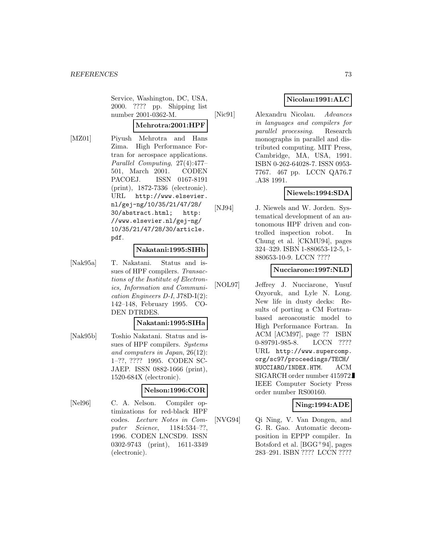Service, Washington, DC, USA, 2000. ???? pp. Shipping list number 2001-0362-M.

## **Mehrotra:2001:HPF**

[MZ01] Piyush Mehrotra and Hans Zima. High Performance Fortran for aerospace applications. Parallel Computing, 27(4):477– 501, March 2001. CODEN PACOEJ. ISSN 0167-8191 (print), 1872-7336 (electronic). URL http://www.elsevier. nl/gej-ng/10/35/21/47/28/ 30/abstract.html; http: //www.elsevier.nl/gej-ng/ 10/35/21/47/28/30/article. pdf.

## **Nakatani:1995:SIHb**

[Nak95a] T. Nakatani. Status and issues of HPF compilers. Transactions of the Institute of Electronics, Information and Communication Engineers D-I, J78D-I(2): 142–148, February 1995. CO-DEN DTRDES.

#### **Nakatani:1995:SIHa**

[Nak95b] Toshio Nakatani. Status and issues of HPF compilers. Systems and computers in Japan, 26(12): 1–??, ???? 1995. CODEN SC-JAEP. ISSN 0882-1666 (print), 1520-684X (electronic).

#### **Nelson:1996:COR**

[Nel96] C. A. Nelson. Compiler optimizations for red-black HPF codes. Lecture Notes in Computer Science, 1184:534–??, 1996. CODEN LNCSD9. ISSN 0302-9743 (print), 1611-3349 (electronic).

# **Nicolau:1991:ALC**

[Nic91] Alexandru Nicolau. Advances in languages and compilers for parallel processing. Research monographs in parallel and distributed computing. MIT Press, Cambridge, MA, USA, 1991. ISBN 0-262-64028-7. ISSN 0953- 7767. 467 pp. LCCN QA76.7 .A38 1991.

# **Niewels:1994:SDA**

[NJ94] J. Niewels and W. Jorden. Systematical development of an autonomous HPF driven and controlled inspection robot. In Chung et al. [CKMU94], pages 324–329. ISBN 1-880653-12-5, 1- 880653-10-9. LCCN ????

## **Nucciarone:1997:NLD**

[NOL97] Jeffrey J. Nucciarone, Yusuf Ozyoruk, and Lyle N. Long. New life in dusty decks: Results of porting a CM Fortranbased aeroacoustic model to High Performance Fortran. In ACM [ACM97], page ?? ISBN 0-89791-985-8. LCCN ???? URL http://www.supercomp. org/sc97/proceedings/TECH/ NUCCIARO/INDEX.HTM. ACM SIGARCH order number 415972. IEEE Computer Society Press order number RS00160.

## **Ning:1994:ADE**

[NVG94] Qi Ning, V. Van Dongen, and G. R. Gao. Automatic decomposition in EPPP compiler. In Botsford et al. [BGG<sup>+</sup>94], pages 283–291. ISBN ???? LCCN ????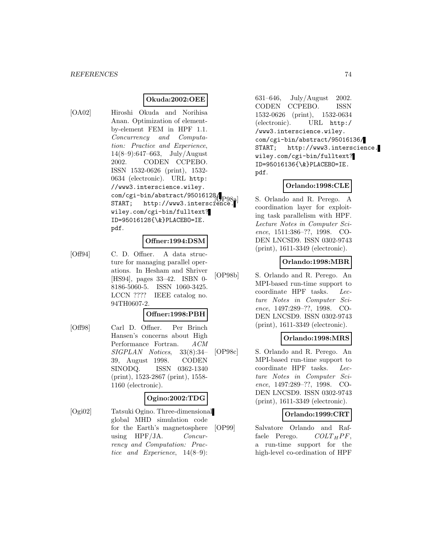# **Okuda:2002:OEE**

[OA02] Hiroshi Okuda and Norihisa Anan. Optimization of elementby-element FEM in HPF 1.1. Concurrency and Computation: Practice and Experience, 14(8–9):647–663, July/August 2002. CODEN CCPEBO. ISSN 1532-0626 (print), 1532- 0634 (electronic). URL http: //www3.interscience.wiley. com/cgi-bin/abstract/95016128/ START; http://www3.interscience. wiley.com/cgi-bin/fulltext? ID=95016128{\&}PLACEBO=IE. pdf.

## **Offner:1994:DSM**

[Off94] C. D. Offner. A data structure for managing parallel operations. In Hesham and Shriver [HS94], pages 33–42. ISBN 0- 8186-5060-5. ISSN 1060-3425. LCCN ???? IEEE catalog no. 94TH0607-2.

## **Offner:1998:PBH**

[Off98] Carl D. Offner. Per Brinch Hansen's concerns about High Performance Fortran. ACM SIGPLAN Notices, 33(8):34– 39, August 1998. CODEN SINODQ. ISSN 0362-1340 (print), 1523-2867 (print), 1558- 1160 (electronic).

## **Ogino:2002:TDG**

[Ogi02] Tatsuki Ogino. Three-dimensional global MHD simulation code for the Earth's magnetosphere using HPF/JA. Concurrency and Computation: Practice and Experience, 14(8–9):

631–646, July/August 2002. CODEN CCPEBO. ISSN 1532-0626 (print), 1532-0634 (electronic). URL http:/ /www3.interscience.wiley. com/cgi-bin/abstract/95016136/ START; http://www3.interscience. wiley.com/cgi-bin/fulltext? ID=95016136{\&}PLACEBO=IE. pdf.

#### **Orlando:1998:CLE**

S. Orlando and R. Perego. A coordination layer for exploiting task parallelism with HPF. Lecture Notes in Computer Science, 1511:386–??, 1998. CO-DEN LNCSD9. ISSN 0302-9743 (print), 1611-3349 (electronic).

#### **Orlando:1998:MBR**

[OP98b] S. Orlando and R. Perego. An MPI-based run-time support to coordinate HPF tasks. Lecture Notes in Computer Science, 1497:289–??, 1998. CO-DEN LNCSD9. ISSN 0302-9743 (print), 1611-3349 (electronic).

## **Orlando:1998:MRS**

[OP98c] S. Orlando and R. Perego. An MPI-based run-time support to coordinate HPF tasks. Lecture Notes in Computer Science, 1497:289–??, 1998. CO-DEN LNCSD9. ISSN 0302-9743 (print), 1611-3349 (electronic).

#### **Orlando:1999:CRT**

[OP99] Salvatore Orlando and Raffaele Perego.  $COLT_HPF$ , a run-time support for the high-level co-ordination of HPF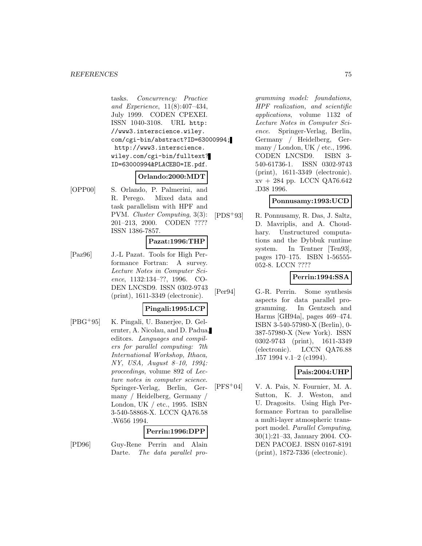#### *REFERENCES* 75

tasks. Concurrency: Practice and Experience, 11(8):407–434, July 1999. CODEN CPEXEI. ISSN 1040-3108. URL http: //www3.interscience.wiley. com/cgi-bin/abstract?ID=63000994; http://www3.interscience. wiley.com/cgi-bin/fulltext? ID=63000994&PLACEBO=IE.pdf.

#### **Orlando:2000:MDT**

[OPP00] S. Orlando, P. Palmerini, and R. Perego. Mixed data and task parallelism with HPF and PVM. Cluster Computing, 3(3): 201–213, 2000. CODEN ???? ISSN 1386-7857.

#### **Pazat:1996:THP**

[Paz96] J.-L Pazat. Tools for High Performance Fortran: A survey. Lecture Notes in Computer Science, 1132:134–??, 1996. CO-DEN LNCSD9. ISSN 0302-9743 (print), 1611-3349 (electronic).

## **Pingali:1995:LCP**

[PBG<sup>+</sup>95] K. Pingali, U. Banerjee, D. Gelernter, A. Nicolau, and D. Padua, editors. Languages and compilers for parallel computing: 7th International Workshop, Ithaca, NY, USA, August 8–10, 1994: proceedings, volume 892 of Lecture notes in computer science. Springer-Verlag, Berlin, Germany / Heidelberg, Germany / London, UK / etc., 1995. ISBN 3-540-58868-X. LCCN QA76.58 .W656 1994.

## **Perrin:1996:DPP**

[PD96] Guy-Rene Perrin and Alain Darte. The data parallel pro-

gramming model: foundations, HPF realization, and scientific applications, volume 1132 of Lecture Notes in Computer Science. Springer-Verlag, Berlin, Germany / Heidelberg, Germany / London, UK / etc., 1996. CODEN LNCSD9. ISBN 3- 540-61736-1. ISSN 0302-9743 (print), 1611-3349 (electronic). xv + 284 pp. LCCN QA76.642 .D38 1996.

#### **Ponnusamy:1993:UCD**

[PDS<sup>+</sup>93] R. Ponnusamy, R. Das, J. Saltz, D. Mavriplis, and A. Choudhary. Unstructured computations and the Dybbuk runtime system. In Tentner [Ten93], pages 170–175. ISBN 1-56555- 052-8. LCCN ????

## **Perrin:1994:SSA**

[Per94] G.-R. Perrin. Some synthesis aspects for data parallel programming. In Gentzsch and Harms [GH94a], pages 469–474. ISBN 3-540-57980-X (Berlin), 0- 387-57980-X (New York). ISSN 0302-9743 (print), 1611-3349 (electronic). LCCN QA76.88 .I57 1994 v.1–2 (c1994).

## **Pais:2004:UHP**

[PFS<sup>+</sup>04] V. A. Pais, N. Fournier, M. A. Sutton, K. J. Weston, and U. Dragosits. Using High Performance Fortran to parallelise a multi-layer atmospheric transport model. Parallel Computing, 30(1):21–33, January 2004. CO-DEN PACOEJ. ISSN 0167-8191 (print), 1872-7336 (electronic).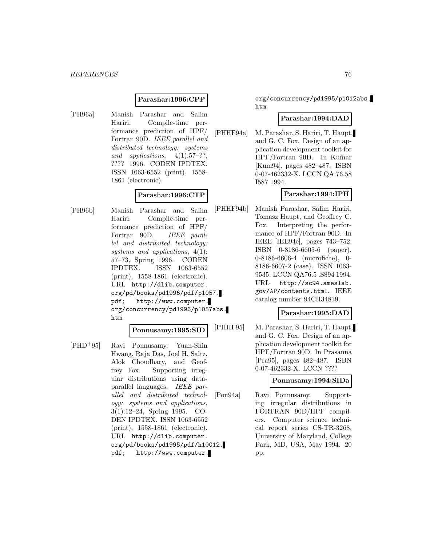#### **Parashar:1996:CPP**

[PH96a] Manish Parashar and Salim Hariri. Compile-time performance prediction of HPF/ Fortran 90D. IEEE parallel and distributed technology: systems and applications,  $4(1):57-??$ , ???? 1996. CODEN IPDTEX. ISSN 1063-6552 (print), 1558- 1861 (electronic).

# **Parashar:1996:CTP**

[PH96b] Manish Parashar and Salim Hariri. Compile-time performance prediction of HPF/ Fortran 90D. IEEE parallel and distributed technology: systems and applications,  $4(1)$ : 57–73, Spring 1996. CODEN IPDTEX. ISSN 1063-6552 (print), 1558-1861 (electronic). URL http://dlib.computer. org/pd/books/pd1996/pdf/p1057. pdf; http://www.computer. org/concurrency/pd1996/p1057abs. htm.

#### **Ponnusamy:1995:SID**

[PHD<sup>+</sup>95] Ravi Ponnusamy, Yuan-Shin Hwang, Raja Das, Joel H. Saltz, Alok Choudhary, and Geoffrey Fox. Supporting irregular distributions using dataparallel languages. IEEE parallel and distributed technology: systems and applications, 3(1):12–24, Spring 1995. CO-DEN IPDTEX. ISSN 1063-6552 (print), 1558-1861 (electronic). URL http://dlib.computer. org/pd/books/pd1995/pdf/h10012. pdf; http://www.computer.

org/concurrency/pd1995/p1012abs. htm.

#### **Parashar:1994:DAD**

[PHHF94a] M. Parashar, S. Hariri, T. Haupt, and G. C. Fox. Design of an application development toolkit for HPF/Fortran 90D. In Kumar [Kum94], pages 482–487. ISBN 0-07-462332-X. LCCN QA 76.58 I587 1994.

#### **Parashar:1994:IPH**

[PHHF94b] Manish Parashar, Salim Hariri, Tomasz Haupt, and Geoffrey C. Fox. Interpreting the performance of HPF/Fortran 90D. In IEEE [IEE94e], pages 743–752. ISBN 0-8186-6605-6 (paper), 0-8186-6606-4 (microfiche), 0- 8186-6607-2 (case). ISSN 1063- 9535. LCCN QA76.5 .S894 1994. URL http://sc94.ameslab. gov/AP/contents.html. IEEE catalog number 94CH34819.

#### **Parashar:1995:DAD**

[PHHF95] M. Parashar, S. Hariri, T. Haupt, and G. C. Fox. Design of an application development toolkit for HPF/Fortran 90D. In Prasanna [Pra95], pages 482–487. ISBN 0-07-462332-X. LCCN ????

#### **Ponnusamy:1994:SIDa**

[Pon94a] Ravi Ponnusamy. Supporting irregular distributions in FORTRAN 90D/HPF compilers. Computer science technical report series CS-TR-3268, University of Maryland, College Park, MD, USA, May 1994. 20 pp.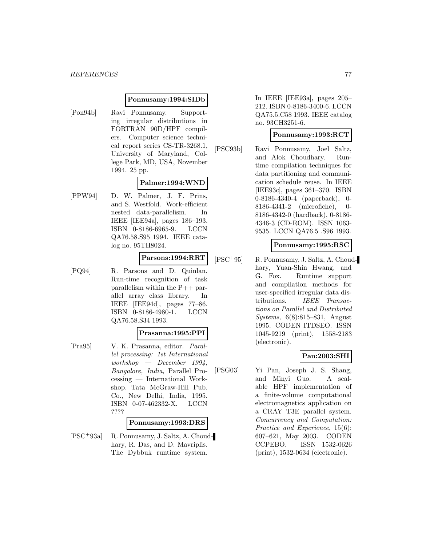#### **Ponnusamy:1994:SIDb**

[Pon94b] Ravi Ponnusamy. Supporting irregular distributions in FORTRAN 90D/HPF compilers. Computer science technical report series CS-TR-3268.1, University of Maryland, College Park, MD, USA, November 1994. 25 pp.

#### **Palmer:1994:WND**

[PPW94] D. W. Palmer, J. F. Prins, and S. Westfold. Work-efficient nested data-parallelism. In IEEE [IEE94a], pages 186–193. ISBN 0-8186-6965-9. LCCN QA76.58.S95 1994. IEEE catalog no. 95TH8024.

#### **Parsons:1994:RRT**

[PQ94] R. Parsons and D. Quinlan. Run-time recognition of task parallelism within the P++ parallel array class library. In IEEE [IEE94d], pages 77–86. ISBN 0-8186-4980-1. LCCN QA76.58.S34 1993.

#### **Prasanna:1995:PPI**

[Pra95] V. K. Prasanna, editor. Parallel processing: 1st International workshop — December  $1994$ , Bangalore, India, Parallel Processing — International Workshop. Tata McGraw-Hill Pub. Co., New Delhi, India, 1995. ISBN 0-07-462332-X. LCCN ????

#### **Ponnusamy:1993:DRS**

[PSC<sup>+</sup>93a] R. Ponnusamy, J. Saltz, A. Choudhary, R. Das, and D. Mavriplis. The Dybbuk runtime system.

In IEEE [IEE93a], pages 205– 212. ISBN 0-8186-3400-6. LCCN QA75.5.C58 1993. IEEE catalog no. 93CH3251-6.

#### **Ponnusamy:1993:RCT**

[PSC93b] Ravi Ponnusamy, Joel Saltz, and Alok Choudhary. Runtime compilation techniques for data partitioning and communication schedule reuse. In IEEE [IEE93c], pages 361–370. ISBN 0-8186-4340-4 (paperback), 0- 8186-4341-2 (microfiche), 0- 8186-4342-0 (hardback), 0-8186- 4346-3 (CD-ROM). ISSN 1063- 9535. LCCN QA76.5 .S96 1993.

#### **Ponnusamy:1995:RSC**

[PSC<sup>+</sup>95] R. Ponnusamy, J. Saltz, A. Choudhary, Yuan-Shin Hwang, and G. Fox. Runtime support and compilation methods for user-specified irregular data distributions. IEEE Transactions on Parallel and Distributed Systems, 6(8):815–831, August 1995. CODEN ITDSEO. ISSN 1045-9219 (print), 1558-2183 (electronic).

#### **Pan:2003:SHI**

[PSG03] Yi Pan, Joseph J. S. Shang, and Minyi Guo. A scalable HPF implementation of a finite-volume computational electromagnetics application on a CRAY T3E parallel system. Concurrency and Computation: Practice and Experience, 15(6): 607–621, May 2003. CODEN CCPEBO. ISSN 1532-0626 (print), 1532-0634 (electronic).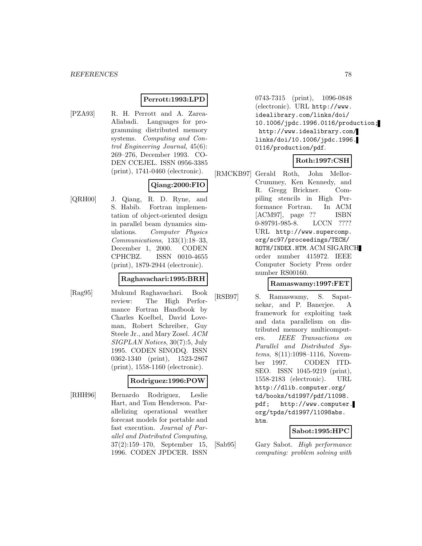# **Perrott:1993:LPD**

[PZA93] R. H. Perrott and A. Zarea-Aliabadi. Languages for programming distributed memory systems. Computing and Control Engineering Journal, 45(6): 269–276, December 1993. CO-DEN CCEJEL. ISSN 0956-3385 (print), 1741-0460 (electronic).

# **Qiang:2000:FIO**

[QRH00] J. Qiang, R. D. Ryne, and S. Habib. Fortran implementation of object-oriented design in parallel beam dynamics simulations. Computer Physics Communications, 133(1):18–33, December 1, 2000. CODEN CPHCBZ. ISSN 0010-4655 (print), 1879-2944 (electronic).

## **Raghavachari:1995:BRH**

[Rag95] Mukund Raghavachari. Book review: The High Performance Fortran Handbook by Charles Koelbel, David Loveman, Robert Schreiber, Guy Steele Jr., and Mary Zosel. ACM SIGPLAN Notices, 30(7):5, July 1995. CODEN SINODQ. ISSN 0362-1340 (print), 1523-2867 (print), 1558-1160 (electronic).

## **Rodriguez:1996:POW**

[RHH96] Bernardo Rodriguez, Leslie Hart, and Tom Henderson. Parallelizing operational weather forecast models for portable and fast execution. Journal of Parallel and Distributed Computing, 37(2):159–170, September 15, 1996. CODEN JPDCER. ISSN

0743-7315 (print), 1096-0848 (electronic). URL http://www. idealibrary.com/links/doi/ 10.1006/jpdc.1996.0116/production; http://www.idealibrary.com/ links/doi/10.1006/jpdc.1996. 0116/production/pdf.

# **Roth:1997:CSH**

[RMCKB97] Gerald Roth, John Mellor-Crummey, Ken Kennedy, and R. Gregg Brickner. Compiling stencils in High Performance Fortran. In ACM [ACM97], page ?? ISBN 0-89791-985-8. LCCN ???? URL http://www.supercomp. org/sc97/proceedings/TECH/ ROTH/INDEX.HTM. ACM SIGARCH order number 415972. IEEE Computer Society Press order number RS00160.

## **Ramaswamy:1997:FET**

[RSB97] S. Ramaswamy, S. Sapatnekar, and P. Banerjee. A framework for exploiting task and data parallelism on distributed memory multicomputers. IEEE Transactions on Parallel and Distributed Systems, 8(11):1098–1116, November 1997. CODEN ITD-SEO. ISSN 1045-9219 (print), 1558-2183 (electronic). URL http://dlib.computer.org/ td/books/td1997/pdf/l1098. pdf; http://www.computer. org/tpds/td1997/l1098abs. htm.

## **Sabot:1995:HPC**

[Sab95] Gary Sabot. High performance computing: problem solving with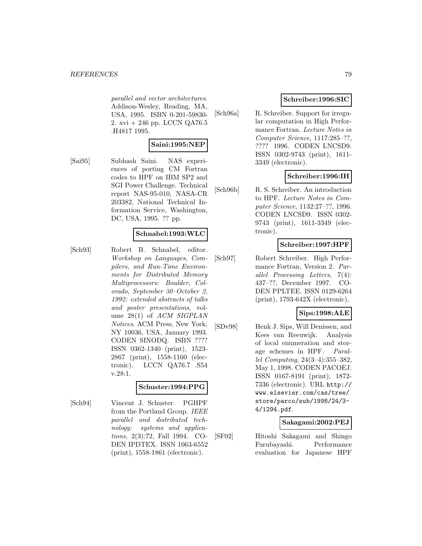parallel and vector architectures. Addison-Wesley, Reading, MA, USA, 1995. ISBN 0-201-59830- 2. xvi + 246 pp. LCCN QA76.5 .H4817 1995.

#### **Saini:1995:NEP**

[Sai95] Subhash Saini. NAS experiences of porting CM Fortran codes to HPF on IBM SP2 and SGI Power Challenge. Technical report NAS-95-010, NASA-CR 203382, National Technical Information Service, Washington, DC, USA, 1995. ?? pp.

#### **Schnabel:1993:WLC**

[Sch93] Robert B. Schnabel, editor. Workshop on Languages, Compilers, and Run-Time Environments for Distributed Memory Multiprocessors: Boulder, Colorado, September 30–October 2, 1992: extended abstracts of talks and poster presentations, volume 28(1) of ACM SIGPLAN Notices. ACM Press, New York, NY 10036, USA, January 1993. CODEN SINODQ. ISBN ???? ISSN 0362-1340 (print), 1523- 2867 (print), 1558-1160 (electronic). LCCN QA76.7 .S54 v.28:1.

#### **Schuster:1994:PPG**

[Sch94] Vincent J. Schuster. PGHPF from the Portland Group. IEEE parallel and distributed technology: systems and applications, 2(3):72, Fall 1994. CO-DEN IPDTEX. ISSN 1063-6552 (print), 1558-1861 (electronic).

## **Schreiber:1996:SIC**

[Sch96a] R. Schreiber. Support for irregular computation in High Performance Fortran. Lecture Notes in Computer Science, 1117:285–??, ???? 1996. CODEN LNCSD9. ISSN 0302-9743 (print), 1611- 3349 (electronic).

# **Schreiber:1996:IH**

[Sch96b] R. S. Schreiber. An introduction to HPF. Lecture Notes in Computer Science, 1132:27–??, 1996. CODEN LNCSD9. ISSN 0302- 9743 (print), 1611-3349 (electronic).

## **Schreiber:1997:HPF**

[Sch97] Robert Schreiber. High Performance Fortran, Version 2. Parallel Processing Letters, 7(4): 437–??, December 1997. CO-DEN PPLTEE. ISSN 0129-6264 (print), 1793-642X (electronic).

## **Sips:1998:ALE**

[SDv98] Henk J. Sips, Will Denissen, and Kees van Reeuwijk. Analysis of local enumeration and storage schemes in HPF. Parallel Computing, 24(3–4):355–382, May 1, 1998. CODEN PACOEJ. ISSN 0167-8191 (print), 1872- 7336 (electronic). URL http:// www.elsevier.com/cas/tree/ store/parco/sub/1998/24/3- 4/1294.pdf.

## **Sakagami:2002:PEJ**

[SF02] Hitoshi Sakagami and Shingo Furubayashi. Performance evaluation for Japanese HPF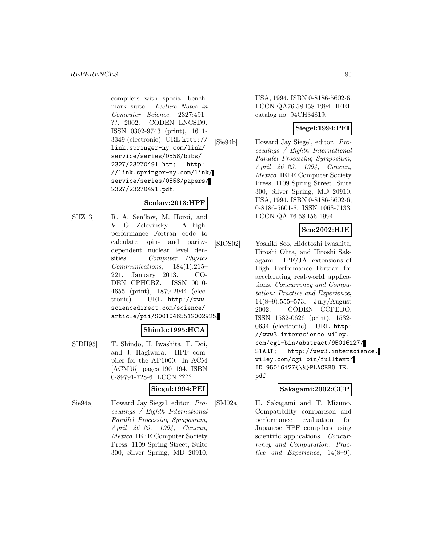compilers with special benchmark suite. Lecture Notes in Computer Science, 2327:491– ??, 2002. CODEN LNCSD9. ISSN 0302-9743 (print), 1611- 3349 (electronic). URL http:// link.springer-ny.com/link/ service/series/0558/bibs/ 2327/23270491.htm; http: //link.springer-ny.com/link/ service/series/0558/papers/ 2327/23270491.pdf.

# **Senkov:2013:HPF**

[SHZ13] R. A. Sen'kov, M. Horoi, and V. G. Zelevinsky. A highperformance Fortran code to calculate spin- and paritydependent nuclear level densities. Computer Physics Communications, 184(1):215– 221, January 2013. CO-DEN CPHCBZ. ISSN 0010- 4655 (print), 1879-2944 (electronic). URL http://www. sciencedirect.com/science/ article/pii/S0010465512002925.

#### **Shindo:1995:HCA**

[SIDH95] T. Shindo, H. Iwashita, T. Doi, and J. Hagiwara. HPF compiler for the AP1000. In ACM [ACM95], pages 190–194. ISBN 0-89791-728-6. LCCN ????

## **Siegal:1994:PEI**

[Sie94a] Howard Jay Siegal, editor. Proceedings / Eighth International Parallel Processing Symposium, April 26–29, 1994, Cancun, Mexico. IEEE Computer Society Press, 1109 Spring Street, Suite 300, Silver Spring, MD 20910,

USA, 1994. ISBN 0-8186-5602-6. LCCN QA76.58.I58 1994. IEEE catalog no. 94CH34819.

## **Siegel:1994:PEI**

[Sie94b] Howard Jay Siegel, editor. Proceedings / Eighth International Parallel Processing Symposium, April 26–29, 1994, Cancun, Mexico. IEEE Computer Society Press, 1109 Spring Street, Suite 300, Silver Spring, MD 20910, USA, 1994. ISBN 0-8186-5602-6, 0-8186-5601-8. ISSN 1063-7133. LCCN QA 76.58 I56 1994.

## **Seo:2002:HJE**

[SIOS02] Yoshiki Seo, Hidetoshi Iwashita, Hiroshi Ohta, and Hitoshi Sakagami. HPF/JA: extensions of High Performance Fortran for accelerating real-world applications. Concurrency and Computation: Practice and Experience, 14(8–9):555–573, July/August 2002. CODEN CCPEBO. ISSN 1532-0626 (print), 1532- 0634 (electronic). URL http: //www3.interscience.wiley. com/cgi-bin/abstract/95016127/ START; http://www3.interscience. wiley.com/cgi-bin/fulltext? ID=95016127{\&}PLACEBO=IE. pdf.

# **Sakagami:2002:CCP**

[SM02a] H. Sakagami and T. Mizuno. Compatibility comparison and performance evaluation for Japanese HPF compilers using scientific applications. *Concur*rency and Computation: Practice and Experience, 14(8–9):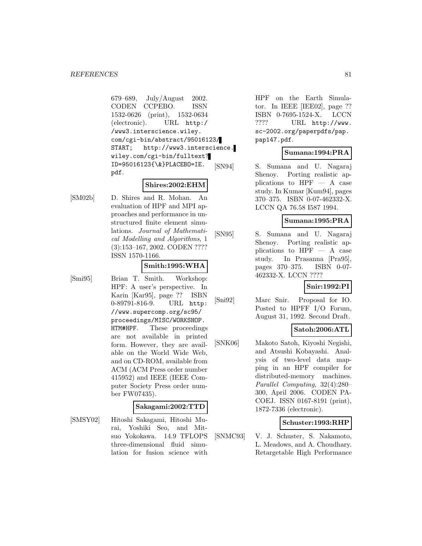679–689, July/August 2002. CODEN CCPEBO. ISSN 1532-0626 (print), 1532-0634 (electronic). URL http:/ /www3.interscience.wiley. com/cgi-bin/abstract/95016123/ START; http://www3.interscience. wiley.com/cgi-bin/fulltext? ID=95016123{\&}PLACEBO=IE. pdf.

# **Shires:2002:EHM**

[SM02b] D. Shires and R. Mohan. An evaluation of HPF and MPI approaches and performance in unstructured finite element simulations. Journal of Mathematical Modelling and Algorithms, 1 (3):153–167, 2002. CODEN ???? ISSN 1570-1166.

## **Smith:1995:WHA**

[Smi95] Brian T. Smith. Workshop: HPF: A user's perspective. In Karin [Kar95], page ?? ISBN 0-89791-816-9. URL http: //www.supercomp.org/sc95/ proceedings/MISC/WORKSHOP. HTM#HPF. These proceedings are not available in printed form. However, they are available on the World Wide Web, and on CD-ROM, available from ACM (ACM Press order number 415952) and IEEE (IEEE Computer Society Press order number FW07435).

# **Sakagami:2002:TTD**

[SMSY02] Hitoshi Sakagami, Hitoshi Murai, Yoshiki Seo, and Mitsuo Yokokawa. 14.9 TFLOPS three-dimensional fluid simulation for fusion science with

HPF on the Earth Simulator. In IEEE [IEE02], page ?? ISBN 0-7695-1524-X. LCCN ???? URL http://www. sc-2002.org/paperpdfs/pap. pap147.pdf.

# **Sumana:1994:PRA**

[SN94] S. Sumana and U. Nagaraj Shenoy. Porting realistic applications to  $HPF - A$  case study. In Kumar [Kum94], pages 370–375. ISBN 0-07-462332-X. LCCN QA 76.58 I587 1994.

# **Sumana:1995:PRA**

[SN95] S. Sumana and U. Nagaraj Shenoy. Porting realistic applications to  $HPF - A$  case study. In Prasanna [Pra95], pages 370–375. ISBN 0-07- 462332-X. LCCN ????

# **Snir:1992:PI**

[Sni92] Marc Snir. Proposal for IO. Posted to HPFF I/O Forum, August 31, 1992. Second Draft.

# **Satoh:2006:ATL**

[SNK06] Makoto Satoh, Kiyoshi Negishi, and Atsushi Kobayashi. Analysis of two-level data mapping in an HPF compiler for distributed-memory machines. Parallel Computing, 32(4):280– 300, April 2006. CODEN PA-COEJ. ISSN 0167-8191 (print), 1872-7336 (electronic).

# **Schuster:1993:RHP**

[SNMC93] V. J. Schuster, S. Nakamoto, L. Meadows, and A. Choudhary. Retargetable High Performance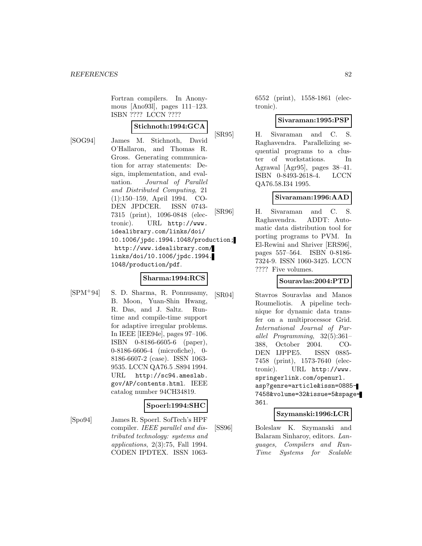Fortran compilers. In Anonymous [Ano93l], pages 111–123. ISBN ???? LCCN ????

## **Stichnoth:1994:GCA**

[SOG94] James M. Stichnoth, David O'Hallaron, and Thomas R. Gross. Generating communication for array statements: Design, implementation, and evaluation. Journal of Parallel and Distributed Computing, 21 (1):150–159, April 1994. CO-DEN JPDCER. ISSN 0743- 7315 (print), 1096-0848 (electronic). URL http://www. idealibrary.com/links/doi/ 10.1006/jpdc.1994.1048/production; http://www.idealibrary.com/ links/doi/10.1006/jpdc.1994.

1048/production/pdf.

#### **Sharma:1994:RCS**

- 
- [SPM<sup>+</sup>94] S. D. Sharma, R. Ponnusamy, B. Moon, Yuan-Shin Hwang, R. Das, and J. Saltz. Runtime and compile-time support for adaptive irregular problems. In IEEE [IEE94e], pages 97–106. ISBN 0-8186-6605-6 (paper), 0-8186-6606-4 (microfiche), 0- 8186-6607-2 (case). ISSN 1063- 9535. LCCN QA76.5 .S894 1994. URL http://sc94.ameslab. gov/AP/contents.html. IEEE catalog number 94CH34819.

## **Spoerl:1994:SHC**

[Spo94] James R. Spoerl. SofTech's HPF compiler. IEEE parallel and distributed technology: systems and applications, 2(3):75, Fall 1994. CODEN IPDTEX. ISSN 10636552 (print), 1558-1861 (electronic).

## **Sivaraman:1995:PSP**

[SR95] H. Sivaraman and C. S. Raghavendra. Parallelizing sequential programs to a cluster of workstations. In Agrawal [Agr95], pages 38–41. ISBN 0-8493-2618-4. LCCN QA76.58.I34 1995.

## **Sivaraman:1996:AAD**

[SR96] H. Sivaraman and C. S. Raghavendra. ADDT: Automatic data distribution tool for porting programs to PVM. In El-Rewini and Shriver [ERS96], pages 557–564. ISBN 0-8186- 7324-9. ISSN 1060-3425. LCCN ???? Five volumes.

## **Souravlas:2004:PTD**

[SR04] Stavros Souravlas and Manos Roumeliotis. A pipeline technique for dynamic data transfer on a multiprocessor Grid. International Journal of Parallel Programming, 32(5):361– 388, October 2004. CO-DEN IJPPE5. ISSN 0885- 7458 (print), 1573-7640 (electronic). URL http://www. springerlink.com/openurl. asp?genre=article&issn=0885- 7458&volume=32&issue=5&spage= 361.

## **Szymanski:1996:LCR**

[SS96] Boleslaw K. Szymanski and Balaram Sinharoy, editors. Languages, Compilers and Run-Time Systems for Scalable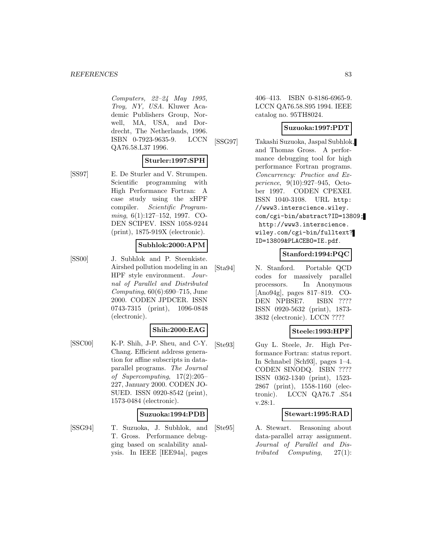Computers, 22–24 May 1995, Troy, NY, USA. Kluwer Academic Publishers Group, Norwell, MA, USA, and Dordrecht, The Netherlands, 1996. ISBN 0-7923-9635-9. LCCN QA76.58.L37 1996.

#### **Sturler:1997:SPH**

[SS97] E. De Sturler and V. Strumpen. Scientific programming with High Performance Fortran: A case study using the xHPF compiler. Scientific Programming, 6(1):127–152, 1997. CO-DEN SCIPEV. ISSN 1058-9244 (print), 1875-919X (electronic).

#### **Subhlok:2000:APM**

[SS00] J. Subhlok and P. Steenkiste. Airshed pollution modeling in an HPF style environment. Journal of Parallel and Distributed Computing, 60(6):690–715, June 2000. CODEN JPDCER. ISSN 0743-7315 (print), 1096-0848 (electronic).

## **Shih:2000:EAG**

[SSC00] K-P. Shih, J-P. Sheu, and C-Y. Chang. Efficient address generation for affine subscripts in dataparallel programs. The Journal of Supercomputing, 17(2):205– 227, January 2000. CODEN JO-SUED. ISSN 0920-8542 (print), 1573-0484 (electronic).

#### **Suzuoka:1994:PDB**

[SSG94] T. Suzuoka, J. Subhlok, and T. Gross. Performance debugging based on scalability analysis. In IEEE [IEE94a], pages

406–413. ISBN 0-8186-6965-9. LCCN QA76.58.S95 1994. IEEE catalog no. 95TH8024.

#### **Suzuoka:1997:PDT**

[SSG97] Takashi Suzuoka, Jaspal Subhlok, and Thomas Gross. A performance debugging tool for high performance Fortran programs. Concurrency: Practice and Experience, 9(10):927–945, October 1997. CODEN CPEXEI. ISSN 1040-3108. URL http: //www3.interscience.wiley. com/cgi-bin/abstract?ID=13809; http://www3.interscience. wiley.com/cgi-bin/fulltext? ID=13809&PLACEBO=IE.pdf.

## **Stanford:1994:PQC**

[Sta94] N. Stanford. Portable QCD codes for massively parallel processors. In Anonymous [Ano94g], pages 817–819. CO-DEN NPBSE7. ISBN ???? ISSN 0920-5632 (print), 1873- 3832 (electronic). LCCN ????

# **Steele:1993:HPF**

[Ste93] Guy L. Steele, Jr. High Performance Fortran: status report. In Schnabel [Sch93], pages 1–4. CODEN SINODQ. ISBN ???? ISSN 0362-1340 (print), 1523- 2867 (print), 1558-1160 (electronic). LCCN QA76.7 .S54 v.28:1.

## **Stewart:1995:RAD**

[Ste95] A. Stewart. Reasoning about data-parallel array assignment. Journal of Parallel and Distributed Computing, 27(1):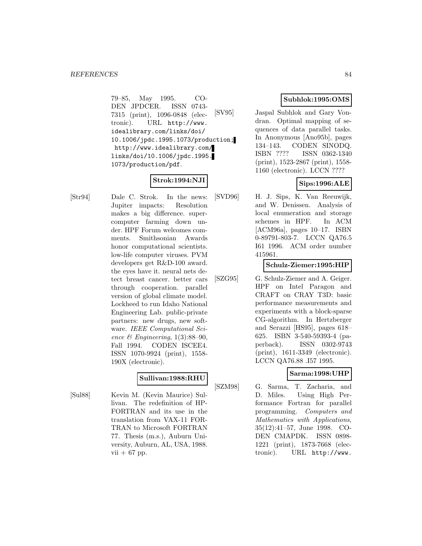79–85, May 1995. CO-DEN JPDCER. ISSN 0743- 7315 (print), 1096-0848 (electronic). URL http://www. idealibrary.com/links/doi/ 10.1006/jpdc.1995.1073/production; http://www.idealibrary.com/ links/doi/10.1006/jpdc.1995. 1073/production/pdf.

# **Strok:1994:NJI**

[Str94] Dale C. Strok. In the news: Jupiter impacts: Resolution makes a big difference. supercomputer farming down under. HPF Forum welcomes comments. Smithsonian Awards honor computational scientists. low-life computer viruses. PVM developers get R&D-100 award. the eyes have it. neural nets detect breast cancer. better cars through cooperation. parallel version of global climate model. Lockheed to run Idaho National Engineering Lab. public-private partners: new drugs, new software. IEEE Computational Science & Engineering,  $1(3):88-90$ , Fall 1994. CODEN ISCEE4. ISSN 1070-9924 (print), 1558- 190X (electronic).

# **Sullivan:1988:RHU**

[Sul88] Kevin M. (Kevin Maurice) Sullivan. The redefinition of HP-FORTRAN and its use in the translation from VAX-11 FOR-TRAN to Microsoft FORTRAN 77. Thesis (m.s.), Auburn University, Auburn, AL, USA, 1988. vii  $+ 67$  pp.

# **Subhlok:1995:OMS**

[SV95] Jaspal Subhlok and Gary Vondran. Optimal mapping of sequences of data parallel tasks. In Anonymous [Ano95b], pages 134–143. CODEN SINODQ. ISBN ???? ISSN 0362-1340 (print), 1523-2867 (print), 1558- 1160 (electronic). LCCN ????

## **Sips:1996:ALE**

[SVD96] H. J. Sips, K. Van Reeuwijk, and W. Denissen. Analysis of local enumeration and storage schemes in HPF. In ACM [ACM96a], pages 10–17. ISBN 0-89791-803-7. LCCN QA76.5 I61 1996. ACM order number 415961.

#### **Schulz-Ziemer:1995:HIP**

[SZG95] G. Schulz-Ziemer and A. Geiger. HPF on Intel Paragon and CRAFT on CRAY T3D: basic performance measurements and experiments with a block-sparse CG-algorithm. In Hertzberger and Serazzi [HS95], pages 618– 625. ISBN 3-540-59393-4 (paperback). ISSN 0302-9743 (print), 1611-3349 (electronic). LCCN QA76.88 .I57 1995.

# **Sarma:1998:UHP**

[SZM98] G. Sarma, T. Zacharia, and D. Miles. Using High Performance Fortran for parallel programming. Computers and Mathematics with Applications, 35(12):41–57, June 1998. CO-DEN CMAPDK. ISSN 0898- 1221 (print), 1873-7668 (electronic). URL http://www.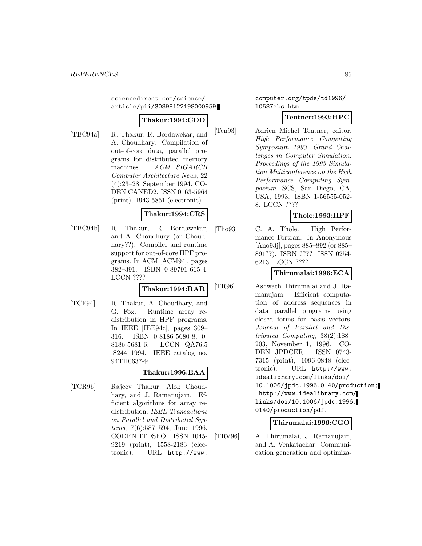sciencedirect.com/science/ article/pii/S0898122198000959.

# **Thakur:1994:COD**

[TBC94a] R. Thakur, R. Bordawekar, and A. Choudhary. Compilation of out-of-core data, parallel programs for distributed memory machines. ACM SIGARCH Computer Architecture News, 22 (4):23–28, September 1994. CO-DEN CANED2. ISSN 0163-5964 (print), 1943-5851 (electronic).

## **Thakur:1994:CRS**

[TBC94b] R. Thakur, R. Bordawekar, and A. Choudhury (or Choudhary??). Compiler and runtime support for out-of-core HPF programs. In ACM [ACM94], pages 382–391. ISBN 0-89791-665-4. LCCN ????

## **Thakur:1994:RAR**

[TCF94] R. Thakur, A. Choudhary, and G. Fox. Runtime array redistribution in HPF programs. In IEEE [IEE94c], pages 309– 316. ISBN 0-8186-5680-8, 0- 8186-5681-6. LCCN QA76.5 .S244 1994. IEEE catalog no. 94TH0637-9.

## **Thakur:1996:EAA**

[TCR96] Rajeev Thakur, Alok Choudhary, and J. Ramanujam. Efficient algorithms for array redistribution. IEEE Transactions on Parallel and Distributed Systems, 7(6):587–594, June 1996. CODEN ITDSEO. ISSN 1045- 9219 (print), 1558-2183 (electronic). URL http://www.

computer.org/tpds/td1996/ l0587abs.htm.

#### **Tentner:1993:HPC**

[Ten93] Adrien Michel Tentner, editor. High Performance Computing Symposium 1993. Grand Challenges in Computer Simulation. Proceedings of the 1993 Simulation Multiconference on the High Performance Computing Symposium. SCS, San Diego, CA, USA, 1993. ISBN 1-56555-052- 8. LCCN ????

# **Thole:1993:HPF**

[Tho93] C. A. Thole. High Performance Fortran. In Anonymous [Ano93j], pages 885–892 (or 885– 891??). ISBN ???? ISSN 0254- 6213. LCCN ????

**Thirumalai:1996:ECA**

[TR96] Ashwath Thirumalai and J. Ramanujam. Efficient computation of address sequences in data parallel programs using closed forms for basis vectors. Journal of Parallel and Distributed Computing, 38(2):188– 203, November 1, 1996. CO-DEN JPDCER. ISSN 0743- 7315 (print), 1096-0848 (electronic). URL http://www. idealibrary.com/links/doi/ 10.1006/jpdc.1996.0140/production; http://www.idealibrary.com/ links/doi/10.1006/jpdc.1996. 0140/production/pdf.

## **Thirumalai:1996:CGO**

[TRV96] A. Thirumalai, J. Ramanujam, and A. Venkatachar. Communication generation and optimiza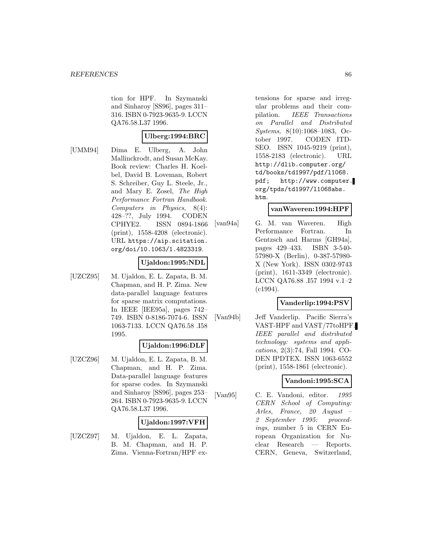tion for HPF. In Szymanski and Sinharoy [SS96], pages 311– 316. ISBN 0-7923-9635-9. LCCN QA76.58.L37 1996.

# **Ulberg:1994:BRC**

[UMM94] Dima E. Ulberg, A. John Mallinckrodt, and Susan McKay. Book review: Charles H. Koelbel, David B. Loveman, Robert S. Schreiber, Guy L. Steele, Jr., and Mary E. Zosel, The High Performance Fortran Handbook. Computers in Physics, 8(4): 428–??, July 1994. CODEN CPHYE2. ISSN 0894-1866 (print), 1558-4208 (electronic). URL https://aip.scitation. org/doi/10.1063/1.4823319.

#### **Ujaldon:1995:NDL**

[UZCZ95] M. Ujaldon, E. L. Zapata, B. M. Chapman, and H. P. Zima. New data-parallel language features for sparse matrix computations. In IEEE [IEE95a], pages 742– 749. ISBN 0-8186-7074-6. ISSN 1063-7133. LCCN QA76.58 .I58 1995.

#### **Ujaldon:1996:DLF**

[UZCZ96] M. Ujaldon, E. L. Zapata, B. M. Chapman, and H. P. Zima. Data-parallel language features for sparse codes. In Szymanski and Sinharoy [SS96], pages 253– 264. ISBN 0-7923-9635-9. LCCN QA76.58.L37 1996.

## **Ujaldon:1997:VFH**

[UZCZ97] M. Ujaldon, E. L. Zapata, B. M. Chapman, and H. P. Zima. Vienna-Fortran/HPF extensions for sparse and irregular problems and their compilation. IEEE Transactions on Parallel and Distributed Systems, 8(10):1068–1083, October 1997. CODEN ITD-SEO. ISSN 1045-9219 (print), 1558-2183 (electronic). URL http://dlib.computer.org/ td/books/td1997/pdf/l1068. pdf; http://www.computer. org/tpds/td1997/l1068abs. htm.

#### **vanWaveren:1994:HPF**

[van94a] G. M. van Waveren. High Performance Fortran. In Gentzsch and Harms [GH94a], pages 429–433. ISBN 3-540- 57980-X (Berlin), 0-387-57980- X (New York). ISSN 0302-9743 (print), 1611-3349 (electronic). LCCN QA76.88 .I57 1994 v.1–2 (c1994).

## **Vanderlip:1994:PSV**

[Van94b] Jeff Vanderlip. Pacific Sierra's VAST-HPF and VAST/77toHPF. IEEE parallel and distributed technology: systems and applications, 2(3):74, Fall 1994. CO-DEN IPDTEX. ISSN 1063-6552 (print), 1558-1861 (electronic).

## **Vandoni:1995:SCA**

[Van95] C. E. Vandoni, editor. 1995 CERN School of Computing: Arles, France, 20 August – 2 September 1995: proceedings, number 5 in CERN European Organization for Nuclear Research — Reports. CERN, Geneva, Switzerland,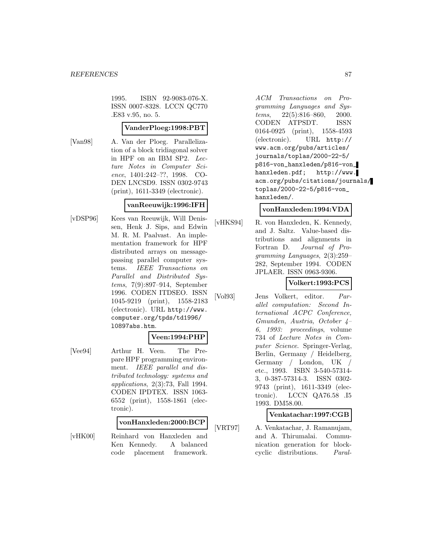1995. ISBN 92-9083-076-X. ISSN 0007-8328. LCCN QC770 .E83 v.95, no. 5.

#### **VanderPloeg:1998:PBT**

[Van98] A. Van der Ploeg. Parallelization of a block tridiagonal solver in HPF on an IBM SP2. Lecture Notes in Computer Science, 1401:242–??, 1998. CO-DEN LNCSD9. ISSN 0302-9743 (print), 1611-3349 (electronic).

## **vanReeuwijk:1996:IFH**

[vDSP96] Kees van Reeuwijk, Will Denissen, Henk J. Sips, and Edwin M. R. M. Paalvast. An implementation framework for HPF distributed arrays on messagepassing parallel computer systems. IEEE Transactions on Parallel and Distributed Systems, 7(9):897–914, September 1996. CODEN ITDSEO. ISSN 1045-9219 (print), 1558-2183 (electronic). URL http://www. computer.org/tpds/td1996/ l0897abs.htm.

## **Veen:1994:PHP**

[Vee94] Arthur H. Veen. The Prepare HPF programming environment. IEEE parallel and distributed technology: systems and applications, 2(3):73, Fall 1994. CODEN IPDTEX. ISSN 1063- 6552 (print), 1558-1861 (electronic).

## **vonHanxleden:2000:BCP**

[vHK00] Reinhard von Hanxleden and Ken Kennedy. A balanced code placement framework.

ACM Transactions on Programming Languages and Systems, 22(5):816–860, 2000. CODEN ATPSDT. ISSN 0164-0925 (print), 1558-4593 (electronic). URL http:// www.acm.org/pubs/articles/ journals/toplas/2000-22-5/ p816-von\_hanxleden/p816-von\_ hanxleden.pdf; http://www. acm.org/pubs/citations/journals/ toplas/2000-22-5/p816-von\_ hanxleden/.

## **vonHanxleden:1994:VDA**

[vHKS94] R. von Hanxleden, K. Kennedy, and J. Saltz. Value-based distributions and alignments in Fortran D. Journal of Programming Languages, 2(3):259– 282, September 1994. CODEN JPLAER. ISSN 0963-9306.

# **Volkert:1993:PCS**

[Vol93] Jens Volkert, editor. Parallel computation: Second International ACPC Conference, Gmunden, Austria, October 4– 6, 1993: proceedings, volume 734 of Lecture Notes in Computer Science. Springer-Verlag, Berlin, Germany / Heidelberg, Germany / London, UK / etc., 1993. ISBN 3-540-57314- 3, 0-387-57314-3. ISSN 0302- 9743 (print), 1611-3349 (electronic). LCCN QA76.58 .I5 1993. DM58.00.

## **Venkatachar:1997:CGB**

[VRT97] A. Venkatachar, J. Ramanujam, and A. Thirumalai. Communication generation for blockcyclic distributions. Paral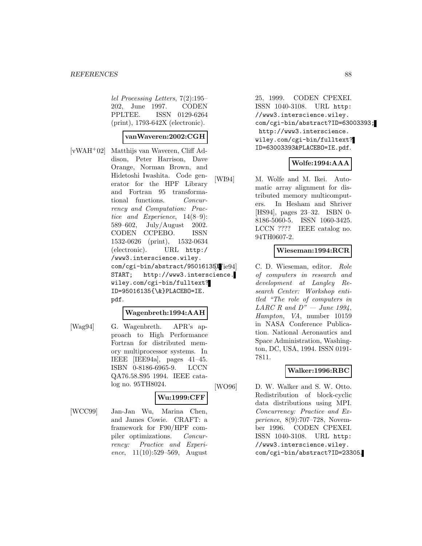lel Processing Letters, 7(2):195– 202, June 1997. CODEN PPLTEE. ISSN 0129-6264 (print), 1793-642X (electronic).

#### **vanWaveren:2002:CGH**

[vWAH<sup>+</sup>02] Matthijs van Waveren, Cliff Addison, Peter Harrison, Dave Orange, Norman Brown, and Hidetoshi Iwashita. Code generator for the HPF Library and Fortran 95 transformational functions. Concurrency and Computation: Practice and Experience, 14(8–9): 589–602, July/August 2002. CODEN CCPEBO. ISSN 1532-0626 (print), 1532-0634 (electronic). URL http:/ /www3.interscience.wiley. com/cgi-bin/abstract/95016135/ START; http://www3.interscience. wiley.com/cgi-bin/fulltext? ID=95016135{\&}PLACEBO=IE. pdf.

## **Wagenbreth:1994:AAH**

[Wag94] G. Wagenbreth. APR's approach to High Performance Fortran for distributed memory multiprocessor systems. In IEEE [IEE94a], pages 41–45. ISBN 0-8186-6965-9. LCCN QA76.58.S95 1994. IEEE catalog no. 95TH8024.

#### **Wu:1999:CFF**

[WCC99] Jan-Jan Wu, Marina Chen, and James Cowie. CRAFT: a framework for F90/HPF compiler optimizations. Concurrency: Practice and Experience, 11(10):529–569, August

25, 1999. CODEN CPEXEI. ISSN 1040-3108. URL http: //www3.interscience.wiley. com/cgi-bin/abstract?ID=63003393; http://www3.interscience. wiley.com/cgi-bin/fulltext? ID=63003393&PLACEBO=IE.pdf.

#### **Wolfe:1994:AAA**

[WI94] M. Wolfe and M. Ikei. Automatic array alignment for distributed memory multicomputers. In Hesham and Shriver [HS94], pages 23–32. ISBN 0- 8186-5060-5. ISSN 1060-3425. LCCN ???? IEEE catalog no. 94TH0607-2.

## **Wieseman:1994:RCR**

C. D. Wieseman, editor. Role of computers in research and development at Langley Research Center: Workshop entitled "The role of computers in  $LARC \, R \, and \, D" - June \, 1994,$ Hampton, VA, number 10159 in NASA Conference Publication. National Aeronautics and Space Administration, Washington, DC, USA, 1994. ISSN 0191- 7811.

## **Walker:1996:RBC**

[WO96] D. W. Walker and S. W. Otto. Redistribution of block-cyclic data distributions using MPI. Concurrency: Practice and Experience, 8(9):707–728, November 1996. CODEN CPEXEI. ISSN 1040-3108. URL http: //www3.interscience.wiley. com/cgi-bin/abstract?ID=23305.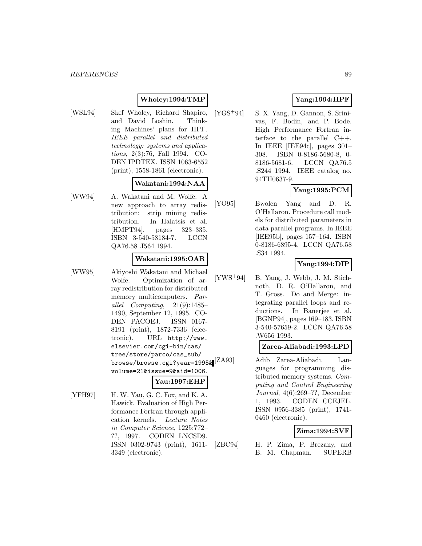## **Wholey:1994:TMP**

[WSL94] Skef Wholey, Richard Shapiro, and David Loshin. Thinking Machines' plans for HPF. IEEE parallel and distributed technology: systems and applications, 2(3):76, Fall 1994. CO-DEN IPDTEX. ISSN 1063-6552 (print), 1558-1861 (electronic).

## **Wakatani:1994:NAA**

[WW94] A. Wakatani and M. Wolfe. A new approach to array redistribution: strip mining redistribution. In Halatsis et al. [HMPT94], pages 323–335. ISBN 3-540-58184-7. LCCN QA76.58 .I564 1994.

#### **Wakatani:1995:OAR**

[WW95] Akiyoshi Wakatani and Michael Wolfe. Optimization of array redistribution for distributed memory multicomputers. Parallel Computing, 21(9):1485– 1490, September 12, 1995. CO-DEN PACOEJ. ISSN 0167- 8191 (print), 1872-7336 (electronic). URL http://www. elsevier.com/cgi-bin/cas/ tree/store/parco/cas\_sub/ browse/browse.cgi?year=1995& volume=21&issue=9&aid=1006.

## **Yau:1997:EHP**

[YFH97] H. W. Yau, G. C. Fox, and K. A. Hawick. Evaluation of High Performance Fortran through application kernels. Lecture Notes in Computer Science, 1225:772– ??, 1997. CODEN LNCSD9. ISSN 0302-9743 (print), 1611- 3349 (electronic).

# **Yang:1994:HPF**

[YGS<sup>+</sup>94] S. X. Yang, D. Gannon, S. Srinivas, F. Bodin, and P. Bode. High Performance Fortran interface to the parallel  $C++$ . In IEEE [IEE94c], pages 301– 308. ISBN 0-8186-5680-8, 0- 8186-5681-6. LCCN QA76.5 .S244 1994. IEEE catalog no. 94TH0637-9.

# **Yang:1995:PCM**

[YO95] Bwolen Yang and D. R. O'Hallaron. Procedure call models for distributed parameters in data parallel programs. In IEEE [IEE95b], pages 157–164. ISBN 0-8186-6895-4. LCCN QA76.58 .S34 1994.

## **Yang:1994:DIP**

[YWS<sup>+</sup>94] B. Yang, J. Webb, J. M. Stichnoth, D. R. O'Hallaron, and T. Gross. Do and Merge: integrating parallel loops and reductions. In Banerjee et al. [BGNP94], pages 169–183. ISBN 3-540-57659-2. LCCN QA76.58 .W656 1993.

#### **Zarea-Aliabadi:1993:LPD**

Adib Zarea-Aliabadi. Languages for programming distributed memory systems. Computing and Control Engineering Journal, 4(6):269–??, December 1, 1993. CODEN CCEJEL. ISSN 0956-3385 (print), 1741- 0460 (electronic).

# **Zima:1994:SVF**

[ZBC94] H. P. Zima, P. Brezany, and B. M. Chapman. SUPERB